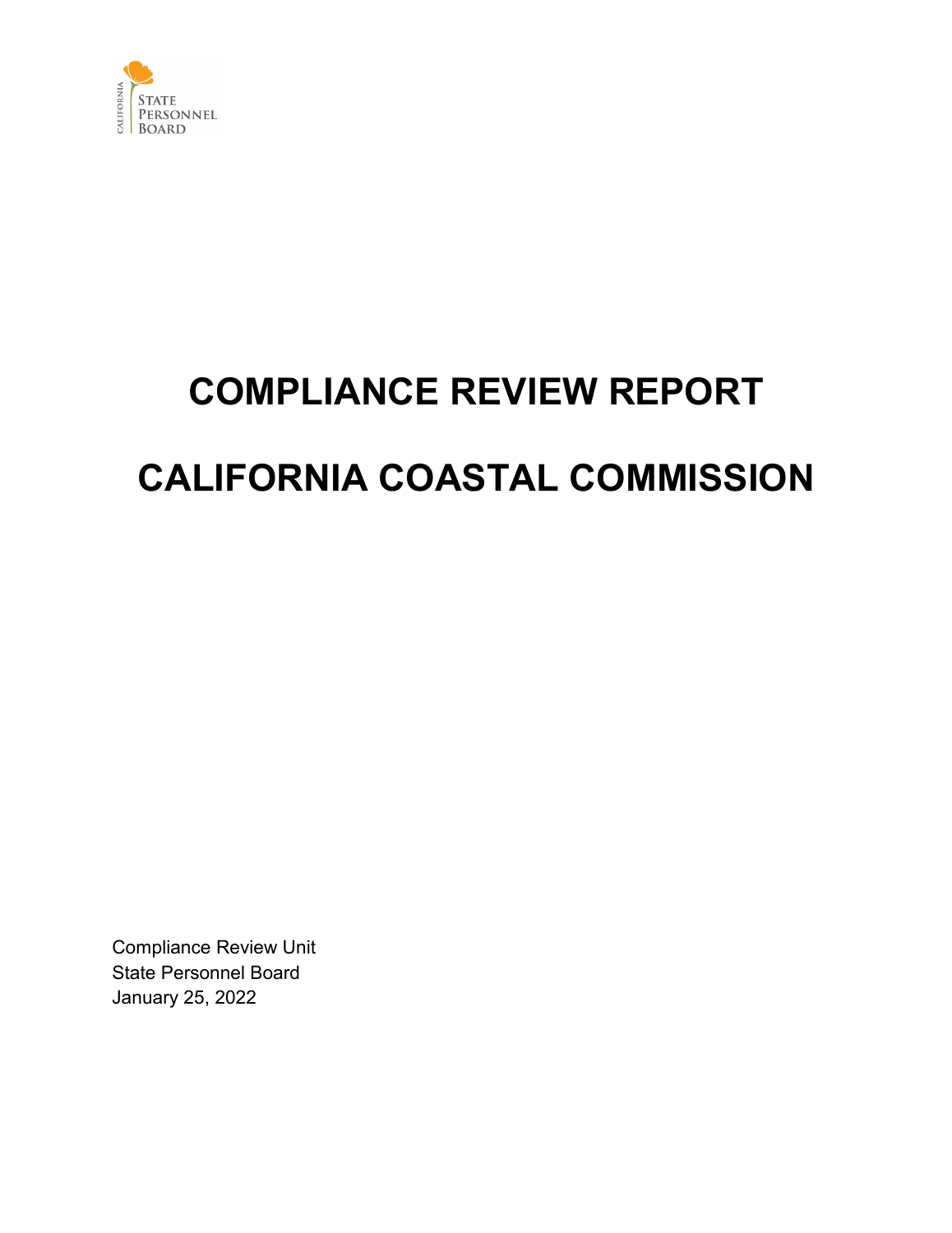

# **COMPLIANCE REVIEW REPORT CALIFORNIA COASTAL COMMISSION**

Compliance Review Unit State Personnel Board January 25, 2022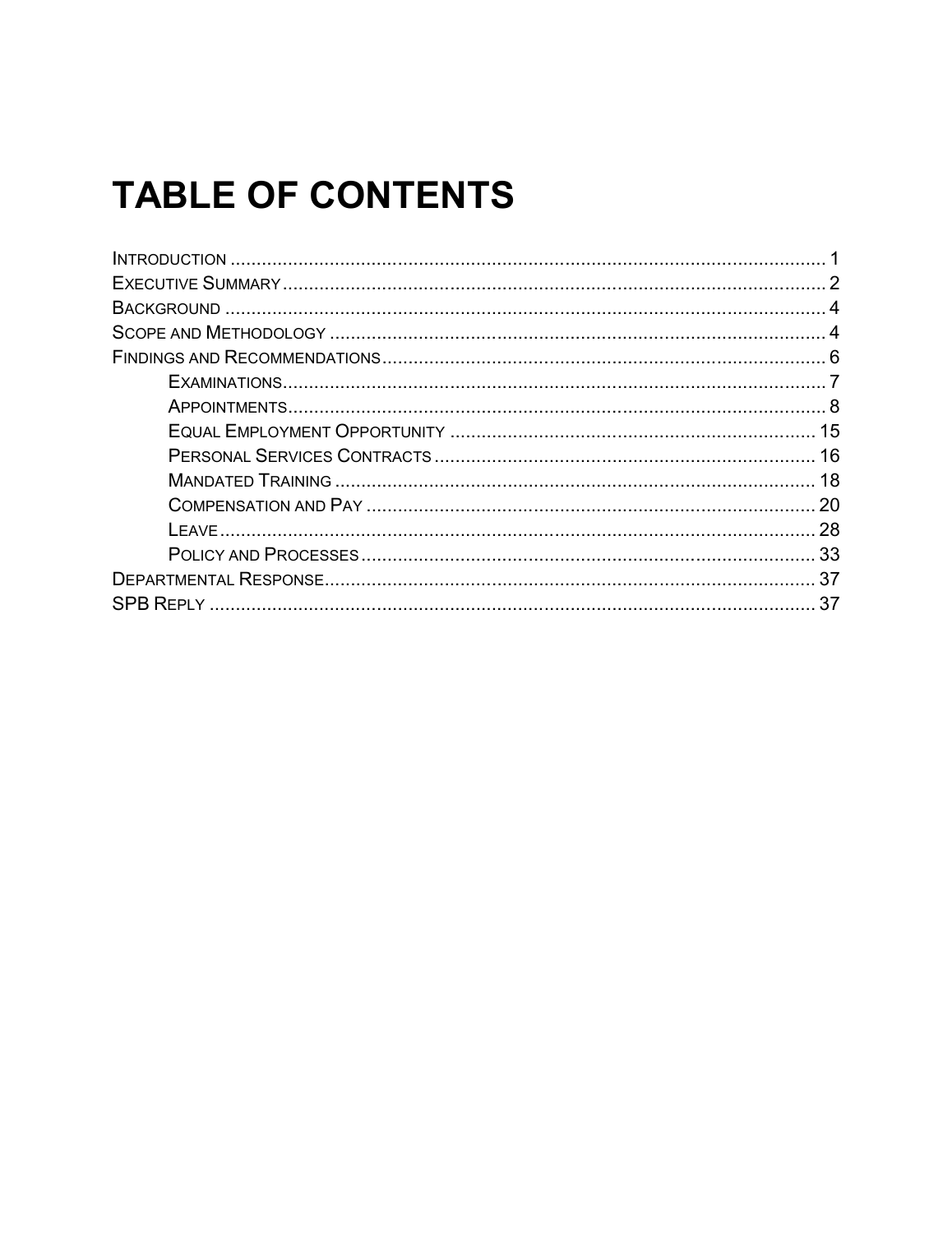## **TABLE OF CONTENTS**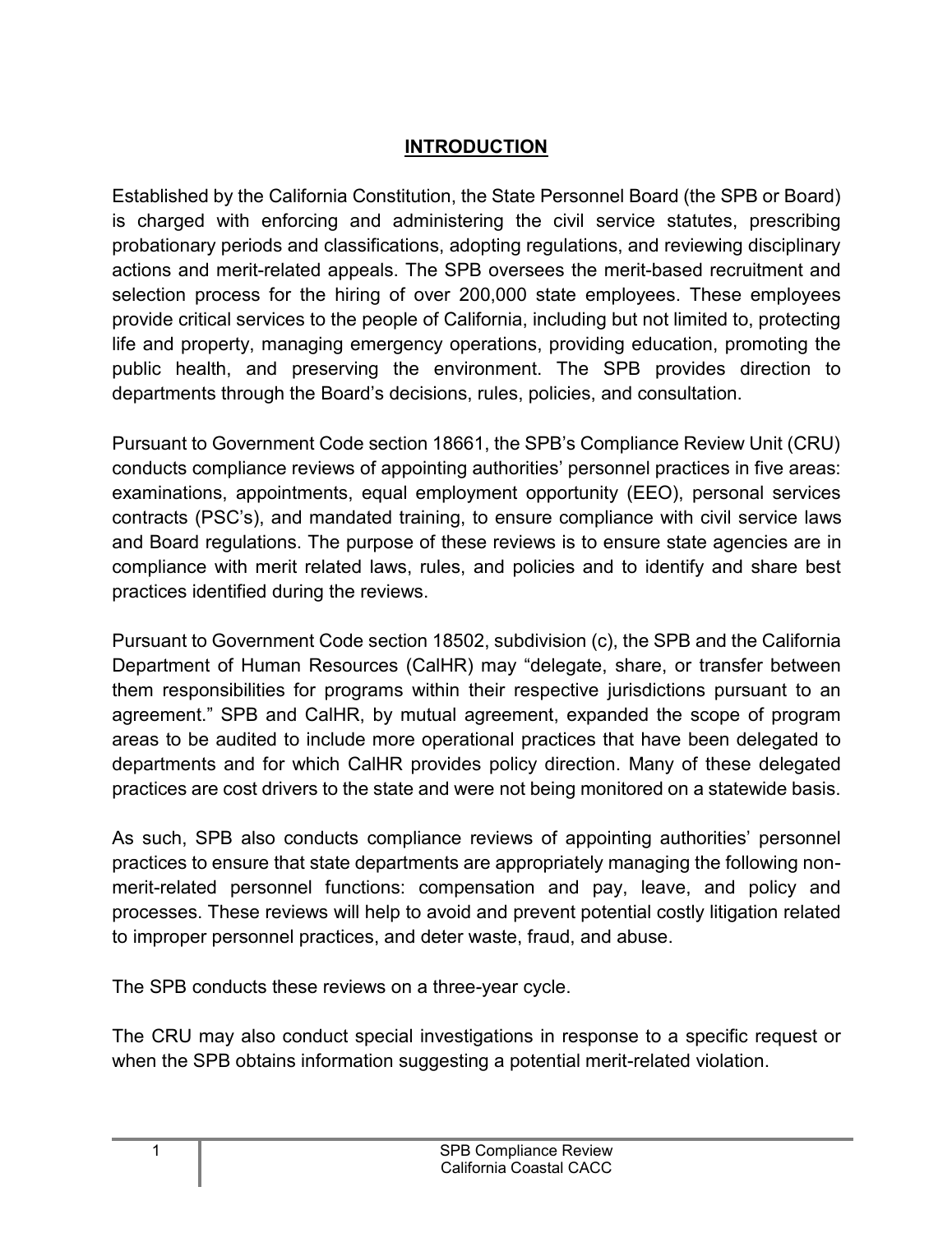#### **INTRODUCTION**

<span id="page-2-0"></span>Established by the California Constitution, the State Personnel Board (the SPB or Board) is charged with enforcing and administering the civil service statutes, prescribing probationary periods and classifications, adopting regulations, and reviewing disciplinary actions and merit-related appeals. The SPB oversees the merit-based recruitment and selection process for the hiring of over 200,000 state employees. These employees provide critical services to the people of California, including but not limited to, protecting life and property, managing emergency operations, providing education, promoting the public health, and preserving the environment. The SPB provides direction to departments through the Board's decisions, rules, policies, and consultation.

Pursuant to Government Code section 18661, the SPB's Compliance Review Unit (CRU) conducts compliance reviews of appointing authorities' personnel practices in five areas: examinations, appointments, equal employment opportunity (EEO), personal services contracts (PSC's), and mandated training, to ensure compliance with civil service laws and Board regulations. The purpose of these reviews is to ensure state agencies are in compliance with merit related laws, rules, and policies and to identify and share best practices identified during the reviews.

Pursuant to Government Code section 18502, subdivision (c), the SPB and the California Department of Human Resources (CalHR) may "delegate, share, or transfer between them responsibilities for programs within their respective jurisdictions pursuant to an agreement." SPB and CalHR, by mutual agreement, expanded the scope of program areas to be audited to include more operational practices that have been delegated to departments and for which CalHR provides policy direction. Many of these delegated practices are cost drivers to the state and were not being monitored on a statewide basis.

As such, SPB also conducts compliance reviews of appointing authorities' personnel practices to ensure that state departments are appropriately managing the following nonmerit-related personnel functions: compensation and pay, leave, and policy and processes. These reviews will help to avoid and prevent potential costly litigation related to improper personnel practices, and deter waste, fraud, and abuse.

The SPB conducts these reviews on a three-year cycle.

The CRU may also conduct special investigations in response to a specific request or when the SPB obtains information suggesting a potential merit-related violation.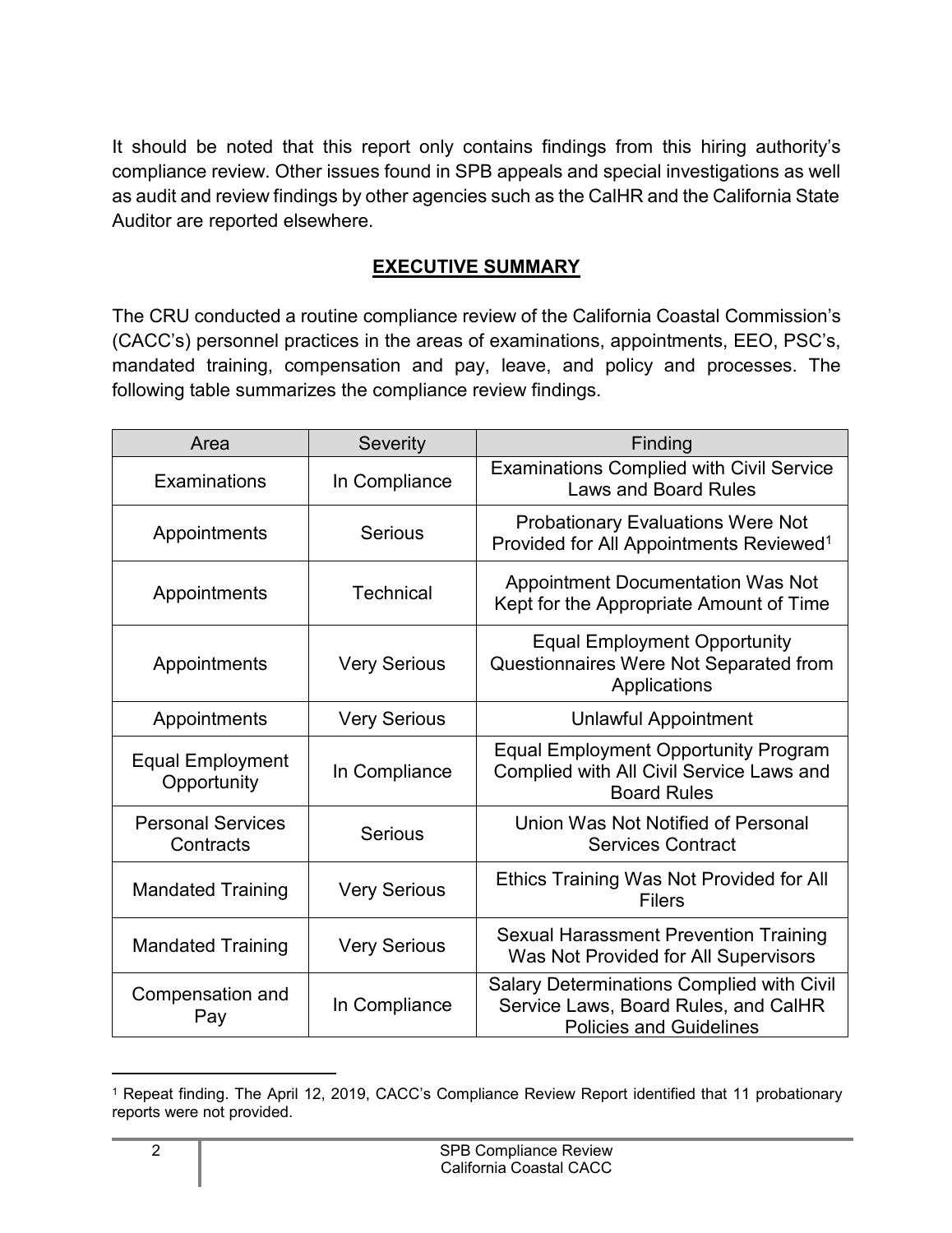It should be noted that this report only contains findings from this hiring authority's compliance review. Other issues found in SPB appeals and special investigations as well as audit and review findings by other agencies such as the CalHR and the California State Auditor are reported elsewhere.

#### **EXECUTIVE SUMMARY**

<span id="page-3-0"></span>The CRU conducted a routine compliance review of the California Coastal Commission's (CACC's) personnel practices in the areas of examinations, appointments, EEO, PSC's, mandated training, compensation and pay, leave, and policy and processes. The following table summarizes the compliance review findings.

| Area                                   | Severity<br>Finding |                                                                                                                     |
|----------------------------------------|---------------------|---------------------------------------------------------------------------------------------------------------------|
| Examinations                           | In Compliance       | <b>Examinations Complied with Civil Service</b><br><b>Laws and Board Rules</b>                                      |
| Appointments                           | <b>Serious</b>      | <b>Probationary Evaluations Were Not</b><br>Provided for All Appointments Reviewed <sup>1</sup>                     |
| Appointments                           | <b>Technical</b>    | <b>Appointment Documentation Was Not</b><br>Kept for the Appropriate Amount of Time                                 |
| Appointments                           | <b>Very Serious</b> | <b>Equal Employment Opportunity</b><br>Questionnaires Were Not Separated from<br>Applications                       |
| Appointments                           | <b>Very Serious</b> | <b>Unlawful Appointment</b>                                                                                         |
| <b>Equal Employment</b><br>Opportunity | In Compliance       | <b>Equal Employment Opportunity Program</b><br>Complied with All Civil Service Laws and<br><b>Board Rules</b>       |
| <b>Personal Services</b><br>Contracts  | Serious             | Union Was Not Notified of Personal<br><b>Services Contract</b>                                                      |
| <b>Mandated Training</b>               | <b>Very Serious</b> | Ethics Training Was Not Provided for All<br><b>Filers</b>                                                           |
| <b>Mandated Training</b>               | <b>Very Serious</b> | <b>Sexual Harassment Prevention Training</b><br>Was Not Provided for All Supervisors                                |
| Compensation and<br>Pay                | In Compliance       | Salary Determinations Complied with Civil<br>Service Laws, Board Rules, and CalHR<br><b>Policies and Guidelines</b> |

<span id="page-3-1"></span><sup>1</sup> Repeat finding. The April 12, 2019, CACC's Compliance Review Report identified that 11 probationary reports were not provided.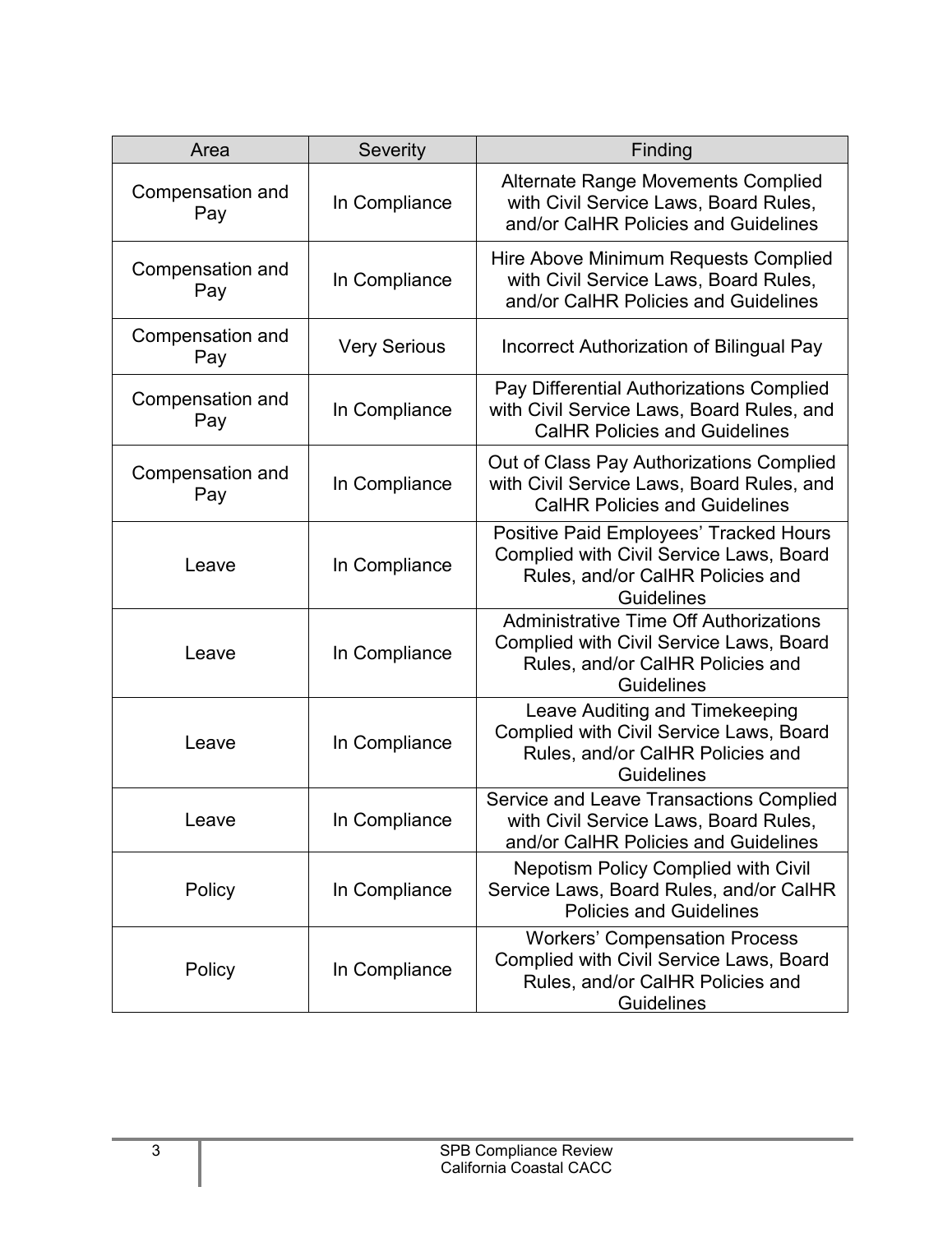| Area                    | Severity            | Finding                                                                                                                                           |
|-------------------------|---------------------|---------------------------------------------------------------------------------------------------------------------------------------------------|
| Compensation and<br>Pay | In Compliance       | <b>Alternate Range Movements Complied</b><br>with Civil Service Laws, Board Rules,<br>and/or CalHR Policies and Guidelines                        |
| Compensation and<br>Pay | In Compliance       | Hire Above Minimum Requests Complied<br>with Civil Service Laws, Board Rules,<br>and/or CalHR Policies and Guidelines                             |
| Compensation and<br>Pay | <b>Very Serious</b> | Incorrect Authorization of Bilingual Pay                                                                                                          |
| Compensation and<br>Pay | In Compliance       | Pay Differential Authorizations Complied<br>with Civil Service Laws, Board Rules, and<br><b>CalHR Policies and Guidelines</b>                     |
| Compensation and<br>Pay | In Compliance       | Out of Class Pay Authorizations Complied<br>with Civil Service Laws, Board Rules, and<br><b>CalHR Policies and Guidelines</b>                     |
| Leave                   | In Compliance       | Positive Paid Employees' Tracked Hours<br><b>Complied with Civil Service Laws, Board</b><br>Rules, and/or CalHR Policies and<br><b>Guidelines</b> |
| Leave                   | In Compliance       | <b>Administrative Time Off Authorizations</b><br>Complied with Civil Service Laws, Board<br>Rules, and/or CalHR Policies and<br><b>Guidelines</b> |
| Leave                   | In Compliance       | Leave Auditing and Timekeeping<br>Complied with Civil Service Laws, Board<br>Rules, and/or CalHR Policies and<br><b>Guidelines</b>                |
| Leave                   | In Compliance       | Service and Leave Transactions Complied<br>with Civil Service Laws, Board Rules,<br>and/or CalHR Policies and Guidelines                          |
| Policy                  | In Compliance       | <b>Nepotism Policy Complied with Civil</b><br>Service Laws, Board Rules, and/or CalHR<br><b>Policies and Guidelines</b>                           |
| Policy                  | In Compliance       | <b>Workers' Compensation Process</b><br><b>Complied with Civil Service Laws, Board</b><br>Rules, and/or CalHR Policies and<br><b>Guidelines</b>   |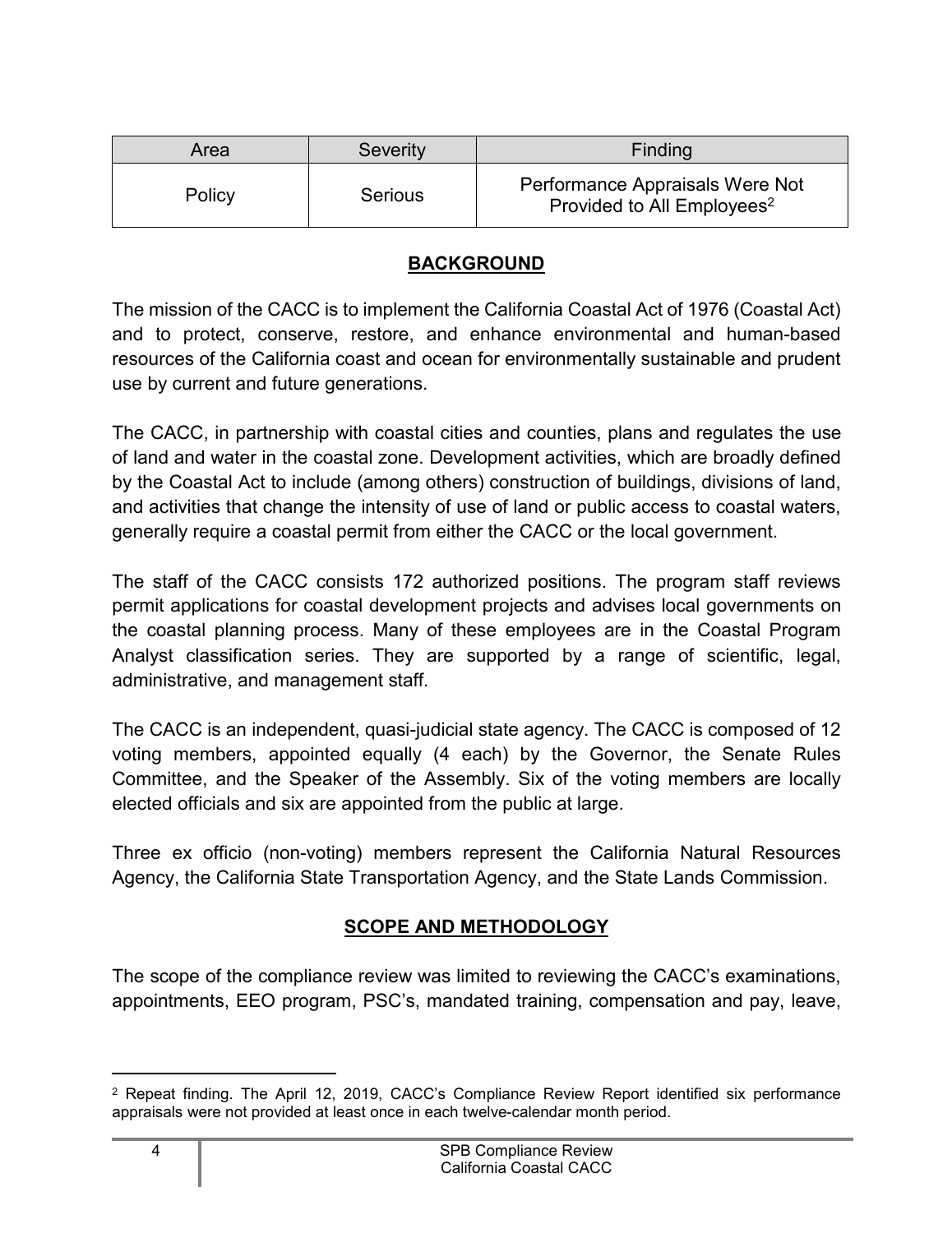| Area   | <b>Severity</b> | Finding                                                                   |
|--------|-----------------|---------------------------------------------------------------------------|
| Policy | <b>Serious</b>  | Performance Appraisals Were Not<br>Provided to All Employees <sup>2</sup> |

#### **BACKGROUND**

<span id="page-5-0"></span>The mission of the CACC is to implement the California Coastal Act of 1976 (Coastal Act) and to protect, conserve, restore, and enhance environmental and human-based resources of the California coast and ocean for environmentally sustainable and prudent use by current and future generations.

The CACC, in partnership with coastal cities and counties, plans and regulates the use of land and water in the coastal zone. Development activities, which are broadly defined by the Coastal Act to include (among others) construction of buildings, divisions of land, and activities that change the intensity of use of land or public access to coastal waters, generally require a coastal permit from either the CACC or the local government.

The staff of the CACC consists 172 authorized positions. The program staff reviews permit applications for coastal development projects and advises local governments on the coastal planning process. Many of these employees are in the Coastal Program Analyst classification series. They are supported by a range of scientific, legal, administrative, and management staff.

The CACC is an independent, quasi-judicial state agency. The CACC is composed of 12 voting members, appointed equally (4 each) by the Governor, the Senate Rules Committee, and the Speaker of the Assembly. Six of the voting members are locally elected officials and six are appointed from the public at large.

Three ex officio (non-voting) members represent the California Natural Resources Agency, the California State Transportation Agency, and the State Lands Commission.

### **SCOPE AND METHODOLOGY**

<span id="page-5-1"></span>The scope of the compliance review was limited to reviewing the CACC's examinations, appointments, EEO program, PSC's, mandated training, compensation and pay, leave,

<span id="page-5-2"></span><sup>2</sup> Repeat finding. The April 12, 2019, CACC's Compliance Review Report identified six performance appraisals were not provided at least once in each twelve-calendar month period.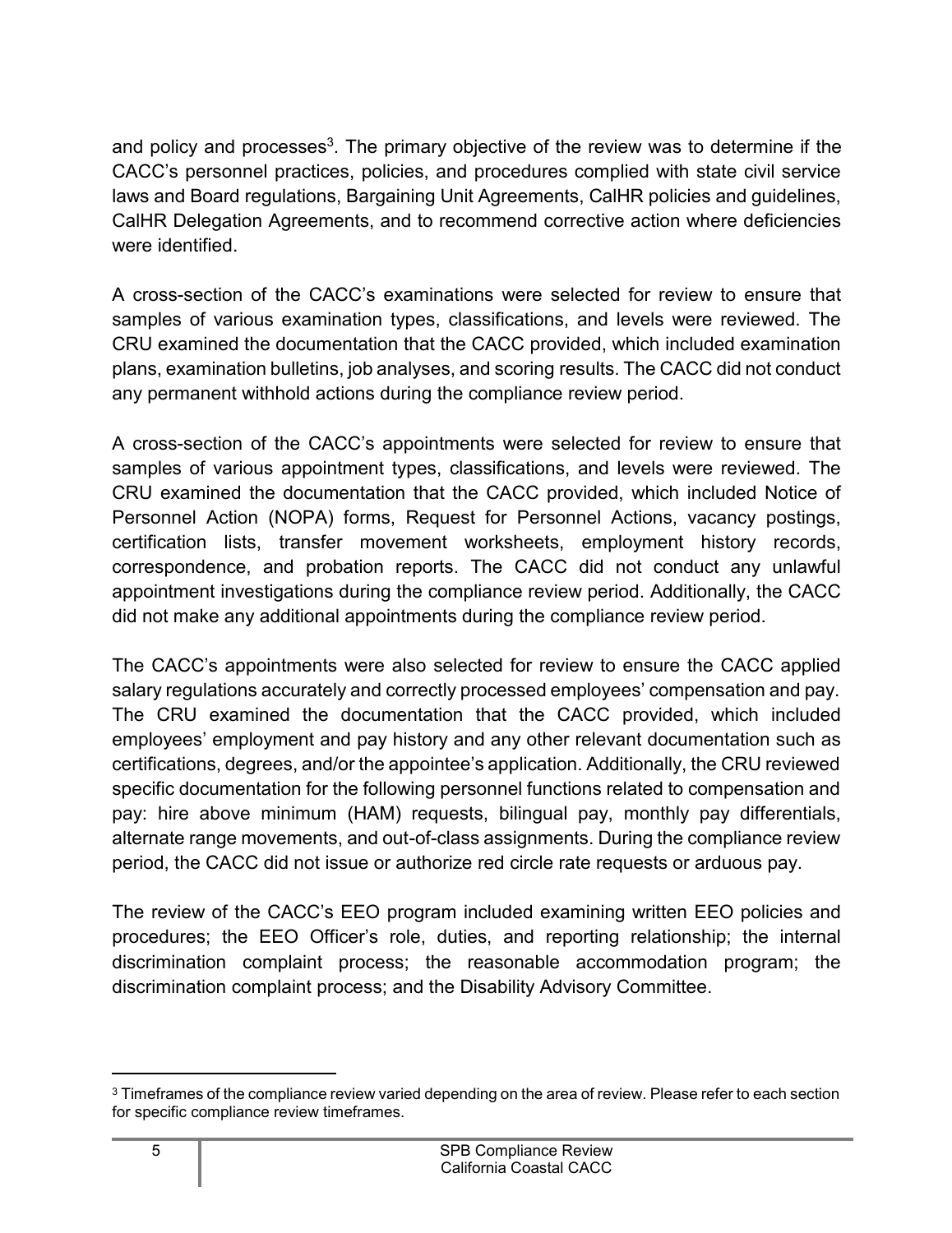and policy and processes<sup>[3](#page-6-0)</sup>. The primary objective of the review was to determine if the CACC's personnel practices, policies, and procedures complied with state civil service laws and Board regulations, Bargaining Unit Agreements, CalHR policies and guidelines, CalHR Delegation Agreements, and to recommend corrective action where deficiencies were identified.

A cross-section of the CACC's examinations were selected for review to ensure that samples of various examination types, classifications, and levels were reviewed. The CRU examined the documentation that the CACC provided, which included examination plans, examination bulletins, job analyses, and scoring results. The CACC did not conduct any permanent withhold actions during the compliance review period.

A cross-section of the CACC's appointments were selected for review to ensure that samples of various appointment types, classifications, and levels were reviewed. The CRU examined the documentation that the CACC provided, which included Notice of Personnel Action (NOPA) forms, Request for Personnel Actions, vacancy postings, certification lists, transfer movement worksheets, employment history records, correspondence, and probation reports. The CACC did not conduct any unlawful appointment investigations during the compliance review period. Additionally, the CACC did not make any additional appointments during the compliance review period.

The CACC's appointments were also selected for review to ensure the CACC applied salary regulations accurately and correctly processed employees' compensation and pay. The CRU examined the documentation that the CACC provided, which included employees' employment and pay history and any other relevant documentation such as certifications, degrees, and/or the appointee's application. Additionally, the CRU reviewed specific documentation for the following personnel functions related to compensation and pay: hire above minimum (HAM) requests, bilingual pay, monthly pay differentials, alternate range movements, and out-of-class assignments. During the compliance review period, the CACC did not issue or authorize red circle rate requests or arduous pay.

The review of the CACC's EEO program included examining written EEO policies and procedures; the EEO Officer's role, duties, and reporting relationship; the internal discrimination complaint process; the reasonable accommodation program; the discrimination complaint process; and the Disability Advisory Committee.

<span id="page-6-0"></span><sup>&</sup>lt;sup>3</sup> Timeframes of the compliance review varied depending on the area of review. Please refer to each section for specific compliance review timeframes.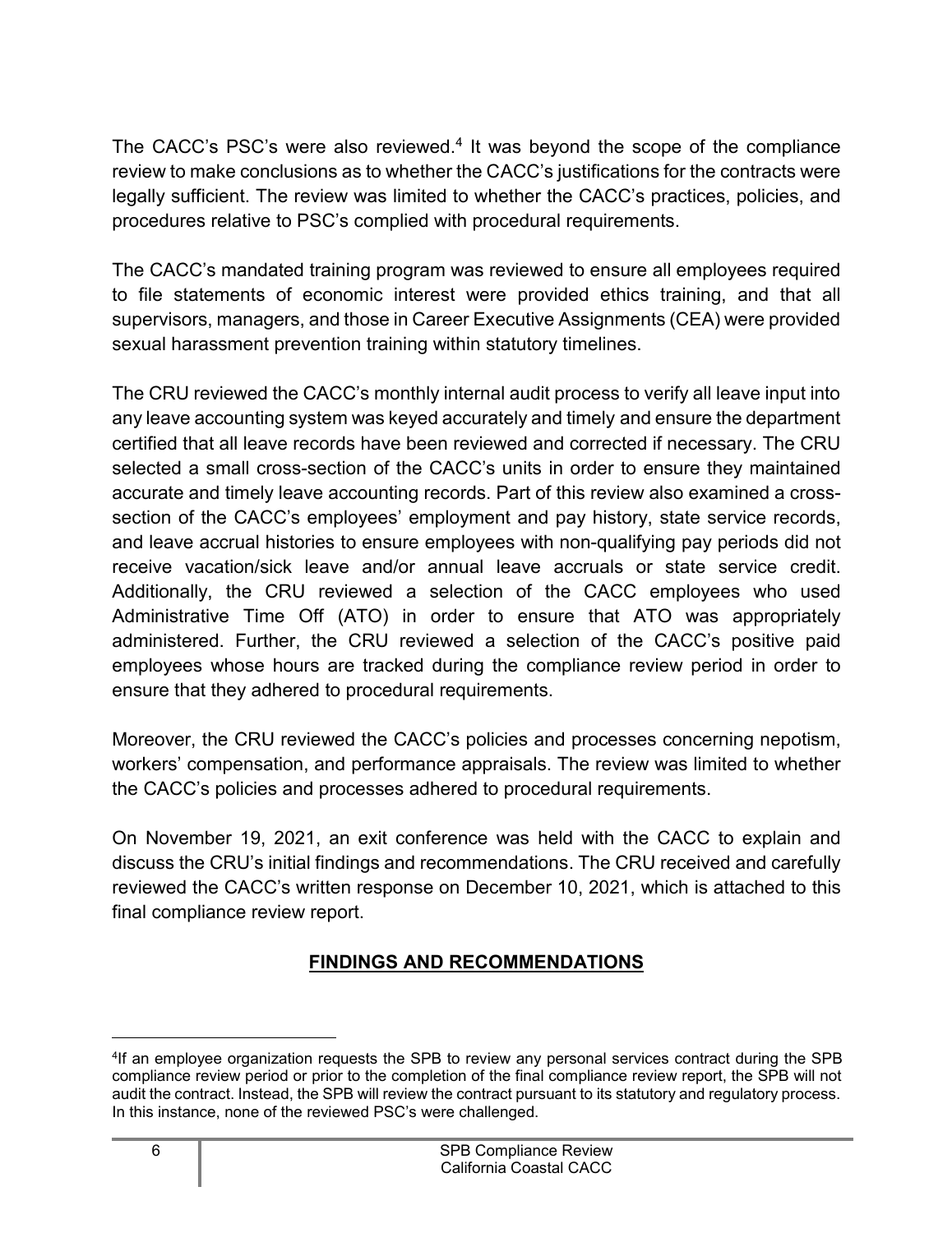The CACC's PSC's were also reviewed.<sup>[4](#page-7-1)</sup> It was beyond the scope of the compliance review to make conclusions as to whether the CACC's justifications for the contracts were legally sufficient. The review was limited to whether the CACC's practices, policies, and procedures relative to PSC's complied with procedural requirements.

The CACC's mandated training program was reviewed to ensure all employees required to file statements of economic interest were provided ethics training, and that all supervisors, managers, and those in Career Executive Assignments (CEA) were provided sexual harassment prevention training within statutory timelines.

The CRU reviewed the CACC's monthly internal audit process to verify all leave input into any leave accounting system was keyed accurately and timely and ensure the department certified that all leave records have been reviewed and corrected if necessary. The CRU selected a small cross-section of the CACC's units in order to ensure they maintained accurate and timely leave accounting records. Part of this review also examined a crosssection of the CACC's employees' employment and pay history, state service records, and leave accrual histories to ensure employees with non-qualifying pay periods did not receive vacation/sick leave and/or annual leave accruals or state service credit. Additionally, the CRU reviewed a selection of the CACC employees who used Administrative Time Off (ATO) in order to ensure that ATO was appropriately administered. Further, the CRU reviewed a selection of the CACC's positive paid employees whose hours are tracked during the compliance review period in order to ensure that they adhered to procedural requirements.

Moreover, the CRU reviewed the CACC's policies and processes concerning nepotism, workers' compensation, and performance appraisals. The review was limited to whether the CACC's policies and processes adhered to procedural requirements.

On November 19, 2021, an exit conference was held with the CACC to explain and discuss the CRU's initial findings and recommendations. The CRU received and carefully reviewed the CACC's written response on December 10, 2021, which is attached to this final compliance review report.

#### **FINDINGS AND RECOMMENDATIONS**

<span id="page-7-1"></span><span id="page-7-0"></span><sup>4</sup> If an employee organization requests the SPB to review any personal services contract during the SPB compliance review period or prior to the completion of the final compliance review report, the SPB will not audit the contract. Instead, the SPB will review the contract pursuant to its statutory and regulatory process. In this instance, none of the reviewed PSC's were challenged.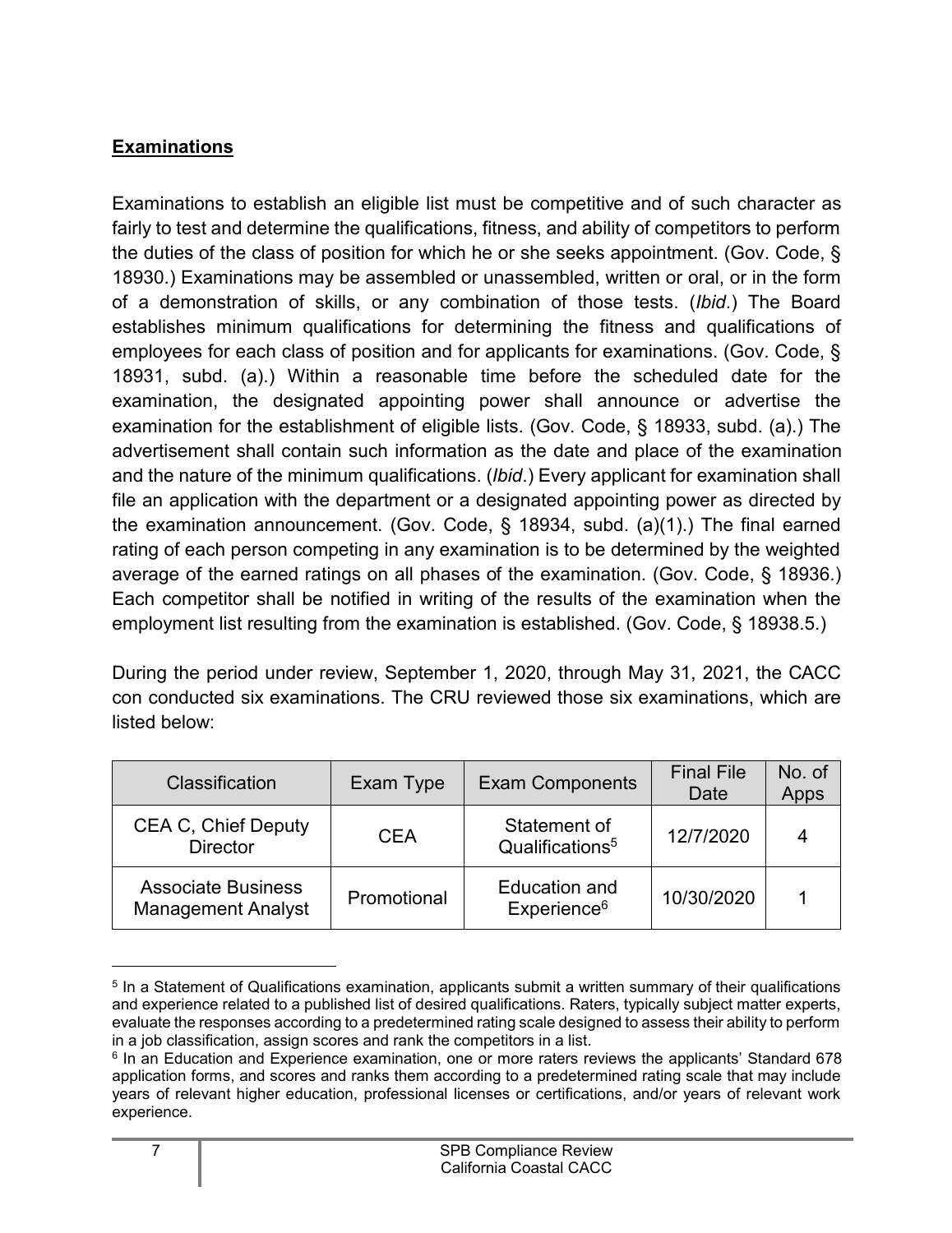#### <span id="page-8-0"></span>**Examinations**

Examinations to establish an eligible list must be competitive and of such character as fairly to test and determine the qualifications, fitness, and ability of competitors to perform the duties of the class of position for which he or she seeks appointment. (Gov. Code, § 18930.) Examinations may be assembled or unassembled, written or oral, or in the form of a demonstration of skills, or any combination of those tests. (*Ibid*.) The Board establishes minimum qualifications for determining the fitness and qualifications of employees for each class of position and for applicants for examinations. (Gov. Code, § 18931, subd. (a).) Within a reasonable time before the scheduled date for the examination, the designated appointing power shall announce or advertise the examination for the establishment of eligible lists. (Gov. Code, § 18933, subd. (a).) The advertisement shall contain such information as the date and place of the examination and the nature of the minimum qualifications. (*Ibid*.) Every applicant for examination shall file an application with the department or a designated appointing power as directed by the examination announcement. (Gov. Code, § 18934, subd. (a)(1).) The final earned rating of each person competing in any examination is to be determined by the weighted average of the earned ratings on all phases of the examination. (Gov. Code, § 18936.) Each competitor shall be notified in writing of the results of the examination when the employment list resulting from the examination is established. (Gov. Code, § 18938.5.)

During the period under review, September 1, 2020, through May 31, 2021, the CACC con conducted six examinations. The CRU reviewed those six examinations, which are listed below:

| Classification                                         | Exam Type   | <b>Exam Components</b>                          | <b>Final File</b><br>Date | No. of<br>Apps |
|--------------------------------------------------------|-------------|-------------------------------------------------|---------------------------|----------------|
| <b>CEA C, Chief Deputy</b><br><b>Director</b>          | <b>CEA</b>  | Statement of<br>Qualifications <sup>5</sup>     | 12/7/2020                 | 4              |
| <b>Associate Business</b><br><b>Management Analyst</b> | Promotional | <b>Education and</b><br>Experience <sup>6</sup> | 10/30/2020                |                |

<span id="page-8-1"></span> $<sup>5</sup>$  In a Statement of Qualifications examination, applicants submit a written summary of their qualifications</sup> and experience related to a published list of desired qualifications. Raters, typically subject matter experts, evaluate the responses according to a predetermined rating scale designed to assess their ability to perform in a job classification, assign scores and rank the competitors in a list.

<span id="page-8-2"></span><sup>6</sup> In an Education and Experience examination, one or more raters reviews the applicants' Standard 678 application forms, and scores and ranks them according to a predetermined rating scale that may include years of relevant higher education, professional licenses or certifications, and/or years of relevant work experience.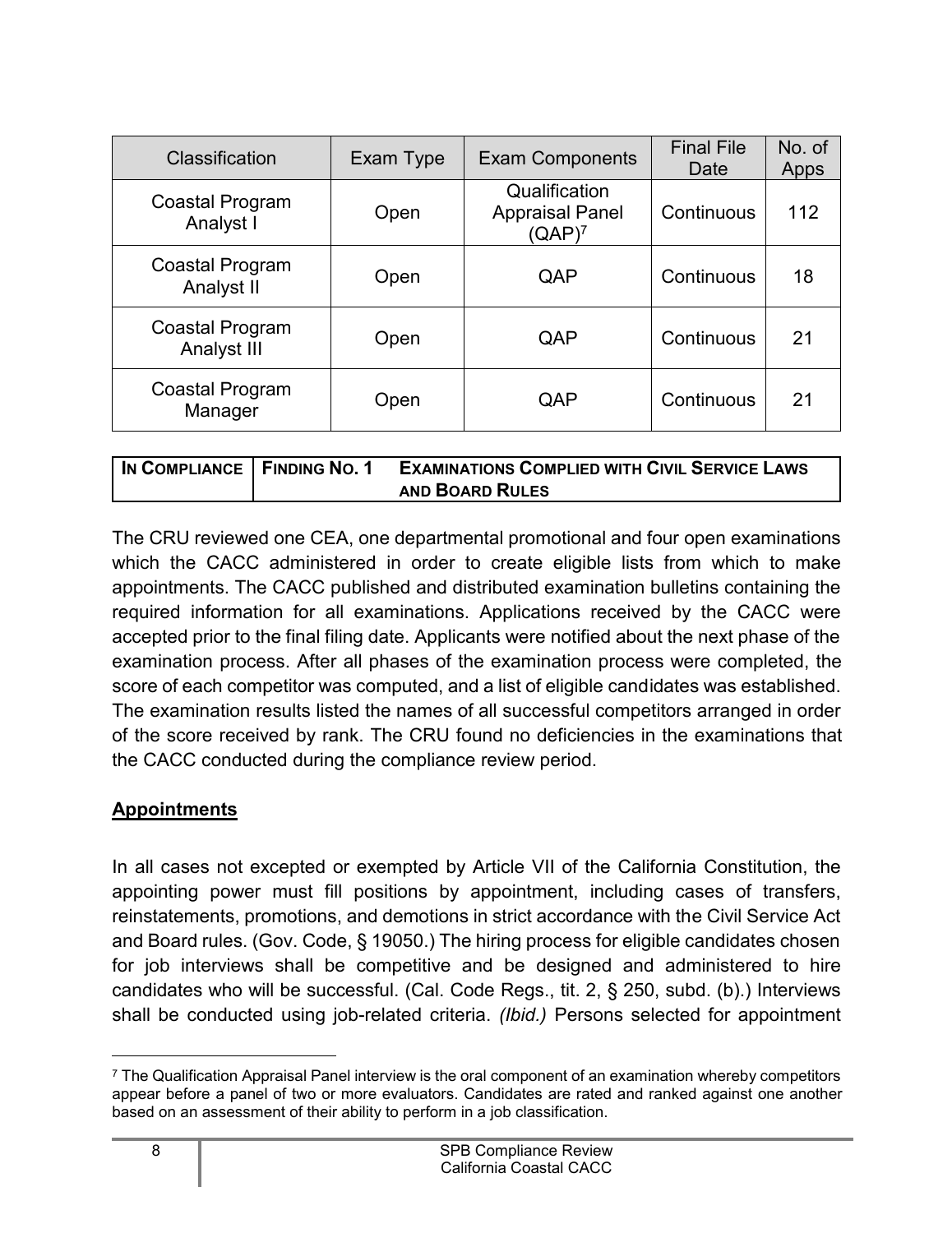| Classification                 | Exam Type | <b>Exam Components</b>                               | <b>Final File</b><br>Date | No. of<br>Apps |
|--------------------------------|-----------|------------------------------------------------------|---------------------------|----------------|
| Coastal Program<br>Analyst I   | Open      | Qualification<br><b>Appraisal Panel</b><br>$(QAP)^7$ | Continuous                | 112            |
| Coastal Program<br>Analyst II  | Open      | QAP                                                  | Continuous                | 18             |
| Coastal Program<br>Analyst III | Open      | QAP                                                  | Continuous                | 21             |
| Coastal Program<br>Manager     | Open      | QAP                                                  | Continuous                | 21             |

| IN COMPLIANCE   FINDING NO. 1 | <b>EXAMINATIONS COMPLIED WITH CIVIL SERVICE LAWS</b> |
|-------------------------------|------------------------------------------------------|
|                               | <b>AND BOARD RULES</b>                               |

The CRU reviewed one CEA, one departmental promotional and four open examinations which the CACC administered in order to create eligible lists from which to make appointments. The CACC published and distributed examination bulletins containing the required information for all examinations. Applications received by the CACC were accepted prior to the final filing date. Applicants were notified about the next phase of the examination process. After all phases of the examination process were completed, the score of each competitor was computed, and a list of eligible candidates was established. The examination results listed the names of all successful competitors arranged in order of the score received by rank. The CRU found no deficiencies in the examinations that the CACC conducted during the compliance review period.

#### <span id="page-9-0"></span>**Appointments**

In all cases not excepted or exempted by Article VII of the California Constitution, the appointing power must fill positions by appointment, including cases of transfers, reinstatements, promotions, and demotions in strict accordance with the Civil Service Act and Board rules. (Gov. Code, § 19050.) The hiring process for eligible candidates chosen for job interviews shall be competitive and be designed and administered to hire candidates who will be successful. (Cal. Code Regs., tit. 2, § 250, subd. (b).) Interviews shall be conducted using job-related criteria. *(Ibid.)* Persons selected for appointment

<span id="page-9-1"></span> $7$  The Qualification Appraisal Panel interview is the oral component of an examination whereby competitors appear before a panel of two or more evaluators. Candidates are rated and ranked against one another based on an assessment of their ability to perform in a job classification.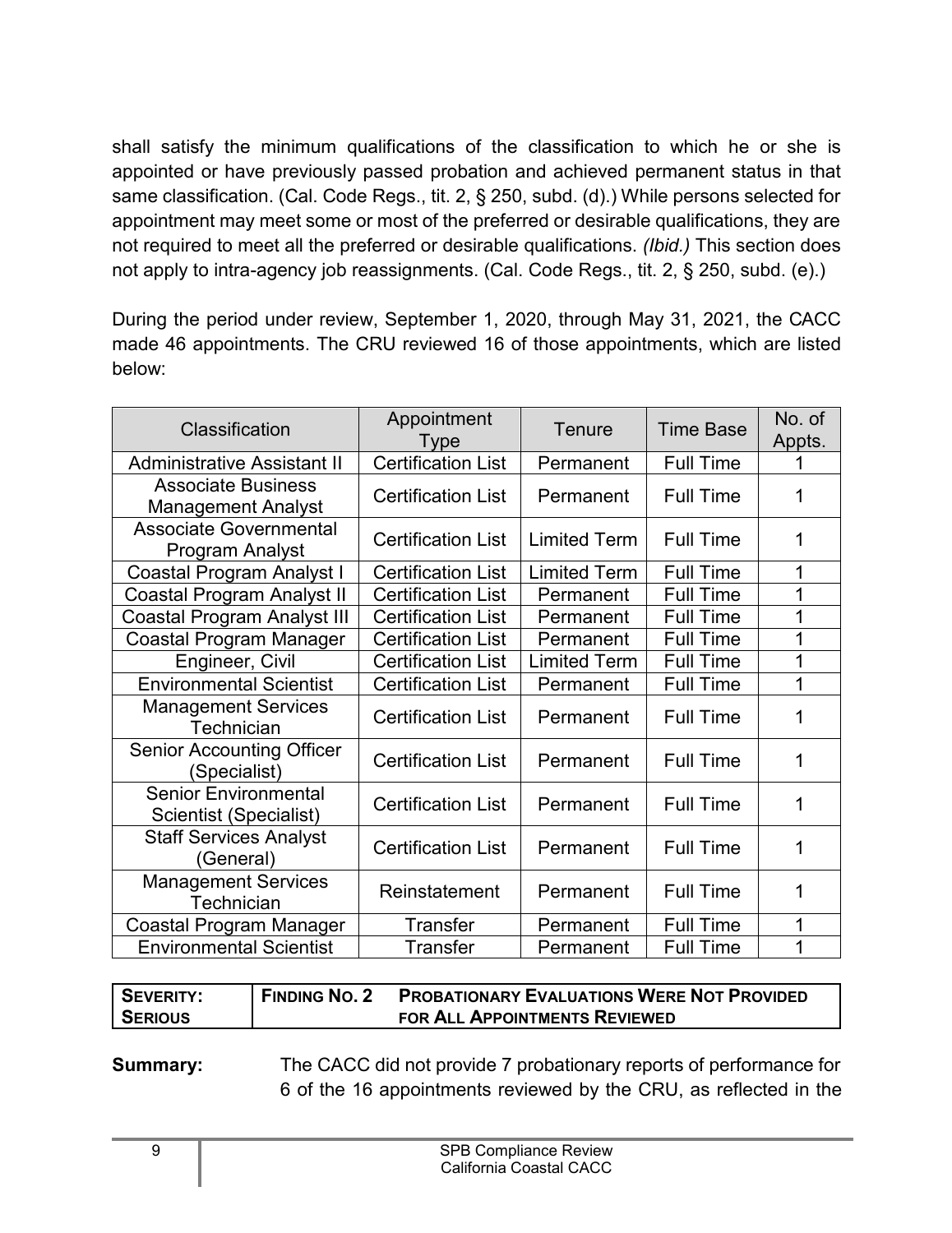shall satisfy the minimum qualifications of the classification to which he or she is appointed or have previously passed probation and achieved permanent status in that same classification. (Cal. Code Regs., tit. 2, § 250, subd. (d).) While persons selected for appointment may meet some or most of the preferred or desirable qualifications, they are not required to meet all the preferred or desirable qualifications. *(Ibid.)* This section does not apply to intra-agency job reassignments. (Cal. Code Regs., tit. 2, § 250, subd. (e).)

During the period under review, September 1, 2020, through May 31, 2021, the CACC made 46 appointments. The CRU reviewed 16 of those appointments, which are listed below:

| Classification                                         | Appointment<br>Type       | <b>Tenure</b>       | <b>Time Base</b> | No. of<br>Appts. |
|--------------------------------------------------------|---------------------------|---------------------|------------------|------------------|
| <b>Administrative Assistant II</b>                     | <b>Certification List</b> | Permanent           | <b>Full Time</b> |                  |
| <b>Associate Business</b><br><b>Management Analyst</b> | <b>Certification List</b> | Permanent           | <b>Full Time</b> | 1                |
| <b>Associate Governmental</b><br>Program Analyst       | <b>Certification List</b> | <b>Limited Term</b> | <b>Full Time</b> | 1                |
| Coastal Program Analyst I                              | <b>Certification List</b> | <b>Limited Term</b> | <b>Full Time</b> | 1                |
| <b>Coastal Program Analyst II</b>                      | <b>Certification List</b> | Permanent           | <b>Full Time</b> | 1                |
| Coastal Program Analyst III                            | <b>Certification List</b> | Permanent           | <b>Full Time</b> | 1                |
| Coastal Program Manager                                | <b>Certification List</b> | Permanent           | <b>Full Time</b> | 1                |
| Engineer, Civil                                        | <b>Certification List</b> | <b>Limited Term</b> | <b>Full Time</b> | 1                |
| <b>Environmental Scientist</b>                         | <b>Certification List</b> | Permanent           | <b>Full Time</b> | 1                |
| <b>Management Services</b><br>Technician               | <b>Certification List</b> | Permanent           | <b>Full Time</b> | 1                |
| <b>Senior Accounting Officer</b><br>(Specialist)       | <b>Certification List</b> | Permanent           | <b>Full Time</b> | 1                |
| <b>Senior Environmental</b><br>Scientist (Specialist)  | <b>Certification List</b> | Permanent           | <b>Full Time</b> | 1                |
| <b>Staff Services Analyst</b><br>(General)             | <b>Certification List</b> | Permanent           | <b>Full Time</b> | 1                |
| <b>Management Services</b><br>Technician               | Reinstatement             | Permanent           | <b>Full Time</b> | 1                |
| Coastal Program Manager                                | <b>Transfer</b>           | Permanent           | <b>Full Time</b> | 1                |
| <b>Environmental Scientist</b>                         | Transfer                  | Permanent           | <b>Full Time</b> | 1                |

| SEVERITY:      | <b>FINDING NO. 2</b> | <b>PROBATIONARY EVALUATIONS WERE NOT PROVIDED</b> |
|----------------|----------------------|---------------------------------------------------|
| <b>SERIOUS</b> |                      | FOR ALL APPOINTMENTS REVIEWED                     |

**Summary:** The CACC did not provide 7 probationary reports of performance for 6 of the 16 appointments reviewed by the CRU, as reflected in the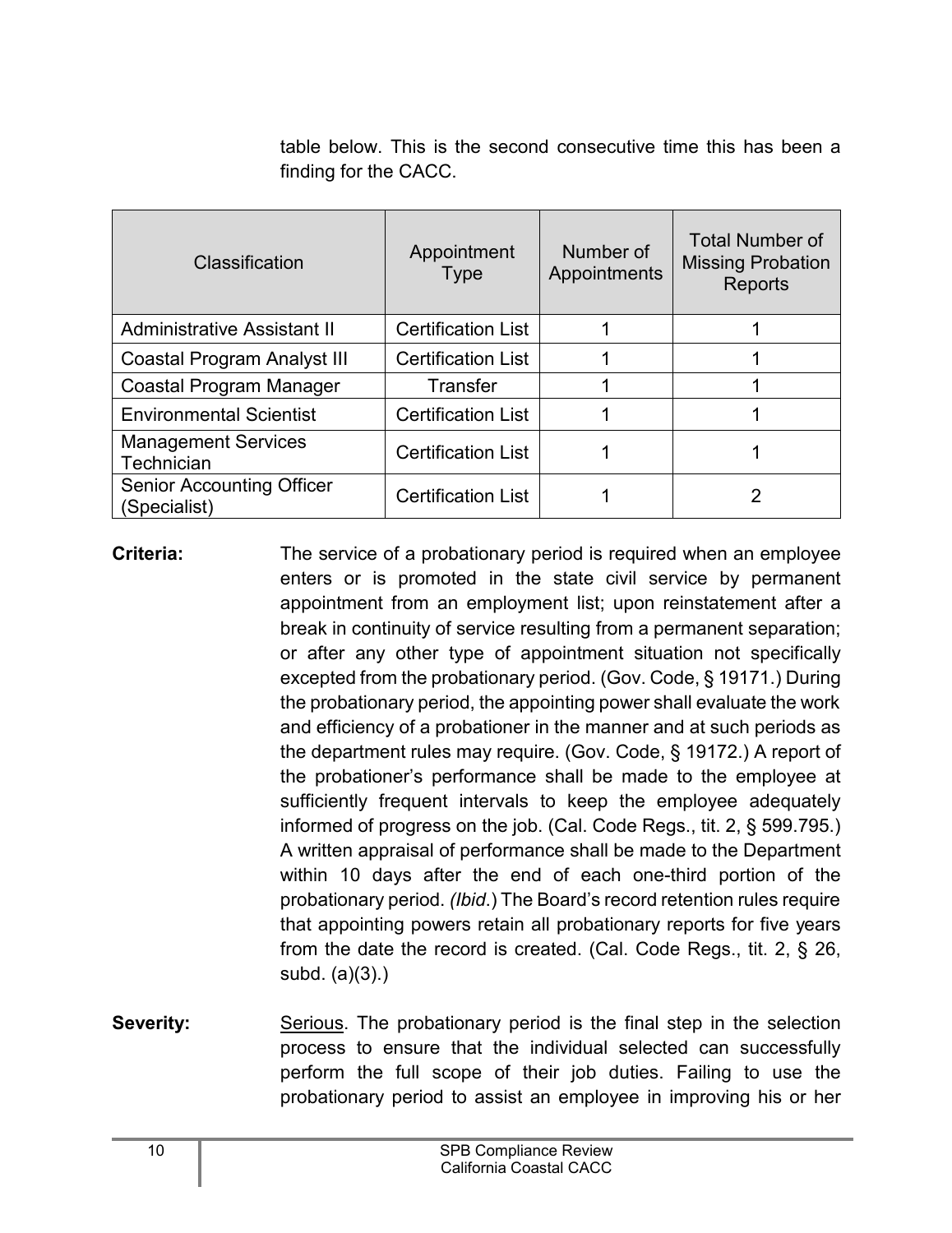table below. This is the second consecutive time this has been a finding for the CACC.

| Classification                                   | Appointment<br><b>Type</b> | Number of<br>Appointments | <b>Total Number of</b><br><b>Missing Probation</b><br>Reports |
|--------------------------------------------------|----------------------------|---------------------------|---------------------------------------------------------------|
| <b>Administrative Assistant II</b>               | <b>Certification List</b>  |                           |                                                               |
| <b>Coastal Program Analyst III</b>               | <b>Certification List</b>  |                           |                                                               |
| Coastal Program Manager                          | <b>Transfer</b>            |                           |                                                               |
| <b>Environmental Scientist</b>                   | <b>Certification List</b>  |                           |                                                               |
| <b>Management Services</b><br>Technician         | <b>Certification List</b>  |                           |                                                               |
| <b>Senior Accounting Officer</b><br>(Specialist) | <b>Certification List</b>  |                           | 2                                                             |

**Criteria:** The service of a probationary period is required when an employee enters or is promoted in the state civil service by permanent appointment from an employment list; upon reinstatement after a break in continuity of service resulting from a permanent separation; or after any other type of appointment situation not specifically excepted from the probationary period. (Gov. Code, § 19171.) During the probationary period, the appointing power shall evaluate the work and efficiency of a probationer in the manner and at such periods as the department rules may require. (Gov. Code, § 19172.) A report of the probationer's performance shall be made to the employee at sufficiently frequent intervals to keep the employee adequately informed of progress on the job. (Cal. Code Regs., tit. 2, § 599.795.) A written appraisal of performance shall be made to the Department within 10 days after the end of each one-third portion of the probationary period. *(Ibid*.) The Board's record retention rules require that appointing powers retain all probationary reports for five years from the date the record is created. (Cal. Code Regs., tit. 2, § 26, subd. (a)(3).)

**Severity:** Serious. The probationary period is the final step in the selection process to ensure that the individual selected can successfully perform the full scope of their job duties. Failing to use the probationary period to assist an employee in improving his or her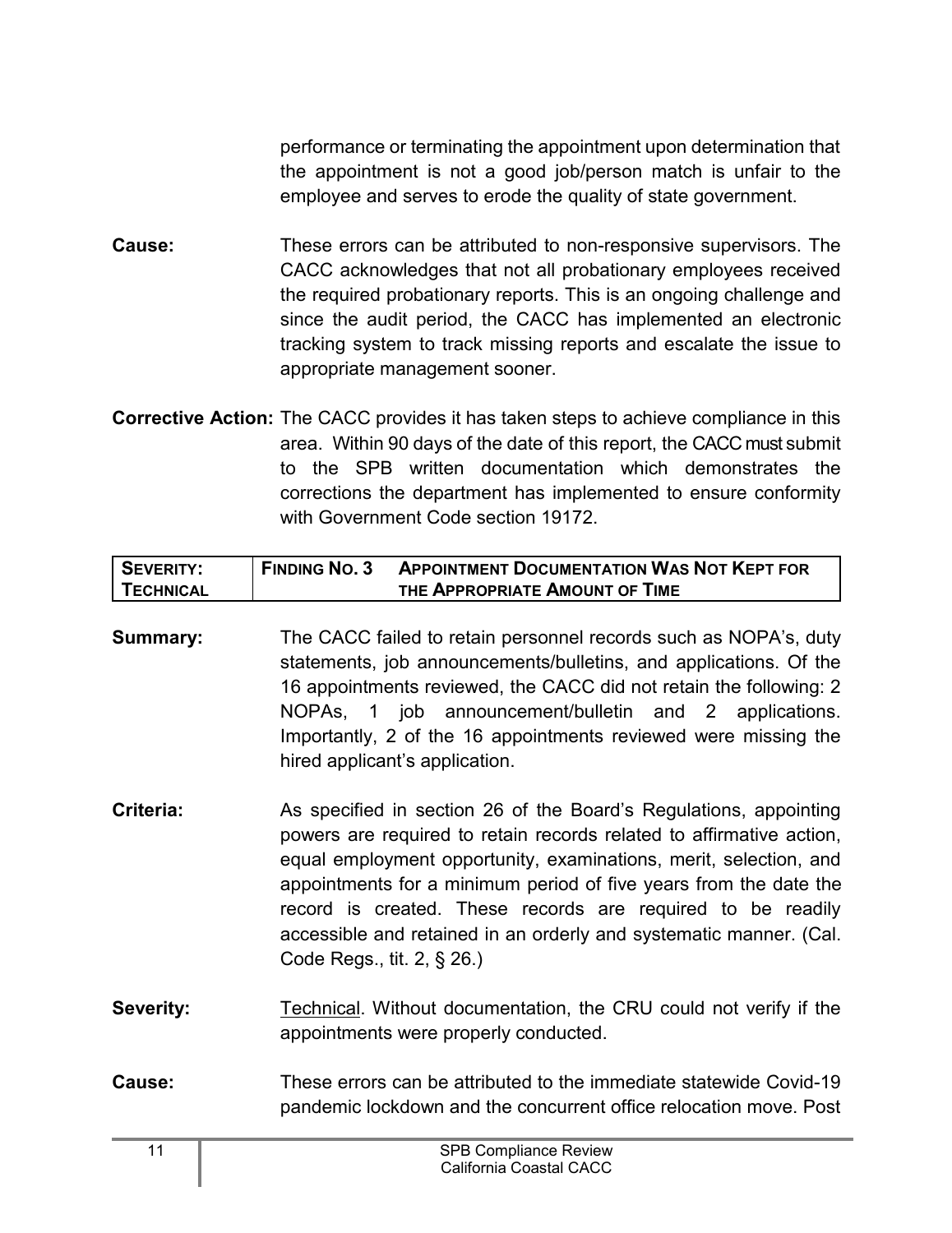performance or terminating the appointment upon determination that the appointment is not a good job/person match is unfair to the employee and serves to erode the quality of state government.

- **Cause:** These errors can be attributed to non-responsive supervisors. The CACC acknowledges that not all probationary employees received the required probationary reports. This is an ongoing challenge and since the audit period, the CACC has implemented an electronic tracking system to track missing reports and escalate the issue to appropriate management sooner.
- **Corrective Action:** The CACC provides it has taken steps to achieve compliance in this area. Within 90 days of the date of this report, the CACC must submit to the SPB written documentation which demonstrates the corrections the department has implemented to ensure conformity with Government Code section 19172

| <b>SEVERITY:</b> | <b>FINDING NO. 3</b> | <b>APPOINTMENT DOCUMENTATION WAS NOT KEPT FOR</b> |
|------------------|----------------------|---------------------------------------------------|
| <b>TECHNICAL</b> |                      | THE APPROPRIATE AMOUNT OF TIME                    |

- **Summary:** The CACC failed to retain personnel records such as NOPA's, duty statements, job announcements/bulletins, and applications. Of the 16 appointments reviewed, the CACC did not retain the following: 2 NOPAs, 1 job announcement/bulletin and 2 applications. Importantly, 2 of the 16 appointments reviewed were missing the hired applicant's application.
- **Criteria:** As specified in section 26 of the Board's Regulations, appointing powers are required to retain records related to affirmative action, equal employment opportunity, examinations, merit, selection, and appointments for a minimum period of five years from the date the record is created. These records are required to be readily accessible and retained in an orderly and systematic manner. (Cal. Code Regs., tit. 2, § 26.)
- **Severity:** Technical. Without documentation, the CRU could not verify if the appointments were properly conducted.
- **Cause:** These errors can be attributed to the immediate statewide Covid-19 pandemic lockdown and the concurrent office relocation move. Post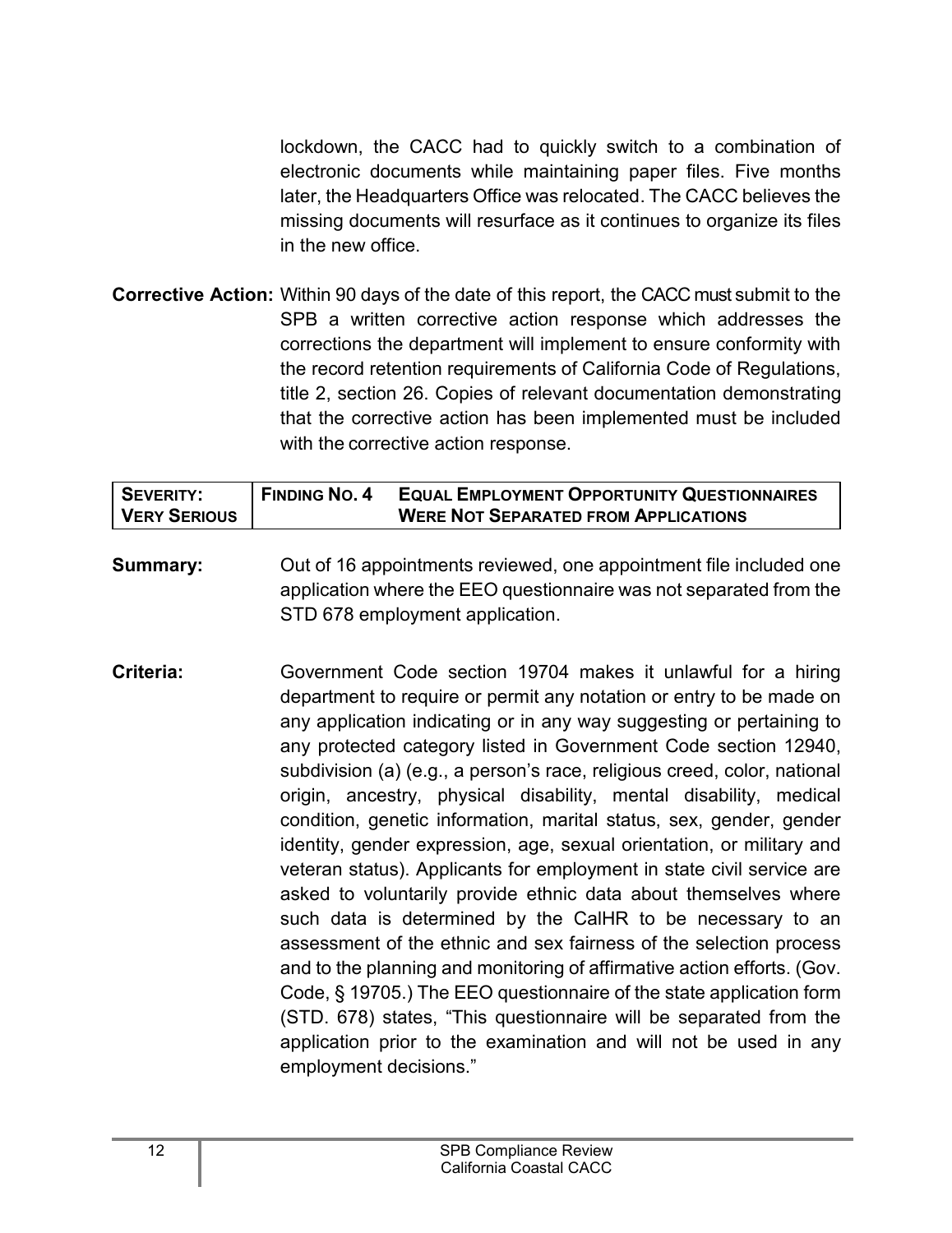lockdown, the CACC had to quickly switch to a combination of electronic documents while maintaining paper files. Five months later, the Headquarters Office was relocated. The CACC believes the missing documents will resurface as it continues to organize its files in the new office.

**Corrective Action:** Within 90 days of the date of this report, the CACC must submit to the SPB a written corrective action response which addresses the corrections the department will implement to ensure conformity with the record retention requirements of California Code of Regulations, title 2, section 26. Copies of relevant documentation demonstrating that the corrective action has been implemented must be included with the corrective action response.

| I SEVERITY:  | <b>FINDING NO. 4</b> | <b>EQUAL EMPLOYMENT OPPORTUNITY QUESTIONNAIRES</b> |
|--------------|----------------------|----------------------------------------------------|
| VERY SERIOUS |                      | <b>WERE NOT SEPARATED FROM APPLICATIONS</b>        |

- **Summary:** Out of 16 appointments reviewed, one appointment file included one application where the EEO questionnaire was not separated from the STD 678 employment application.
- **Criteria:** Government Code section 19704 makes it unlawful for a hiring department to require or permit any notation or entry to be made on any application indicating or in any way suggesting or pertaining to any protected category listed in Government Code section 12940, subdivision (a) (e.g., a person's race, religious creed, color, national origin, ancestry, physical disability, mental disability, medical condition, genetic information, marital status, sex, gender, gender identity, gender expression, age, sexual orientation, or military and veteran status). Applicants for employment in state civil service are asked to voluntarily provide ethnic data about themselves where such data is determined by the CalHR to be necessary to an assessment of the ethnic and sex fairness of the selection process and to the planning and monitoring of affirmative action efforts. (Gov. Code, § 19705.) The EEO questionnaire of the state application form (STD. 678) states, "This questionnaire will be separated from the application prior to the examination and will not be used in any employment decisions."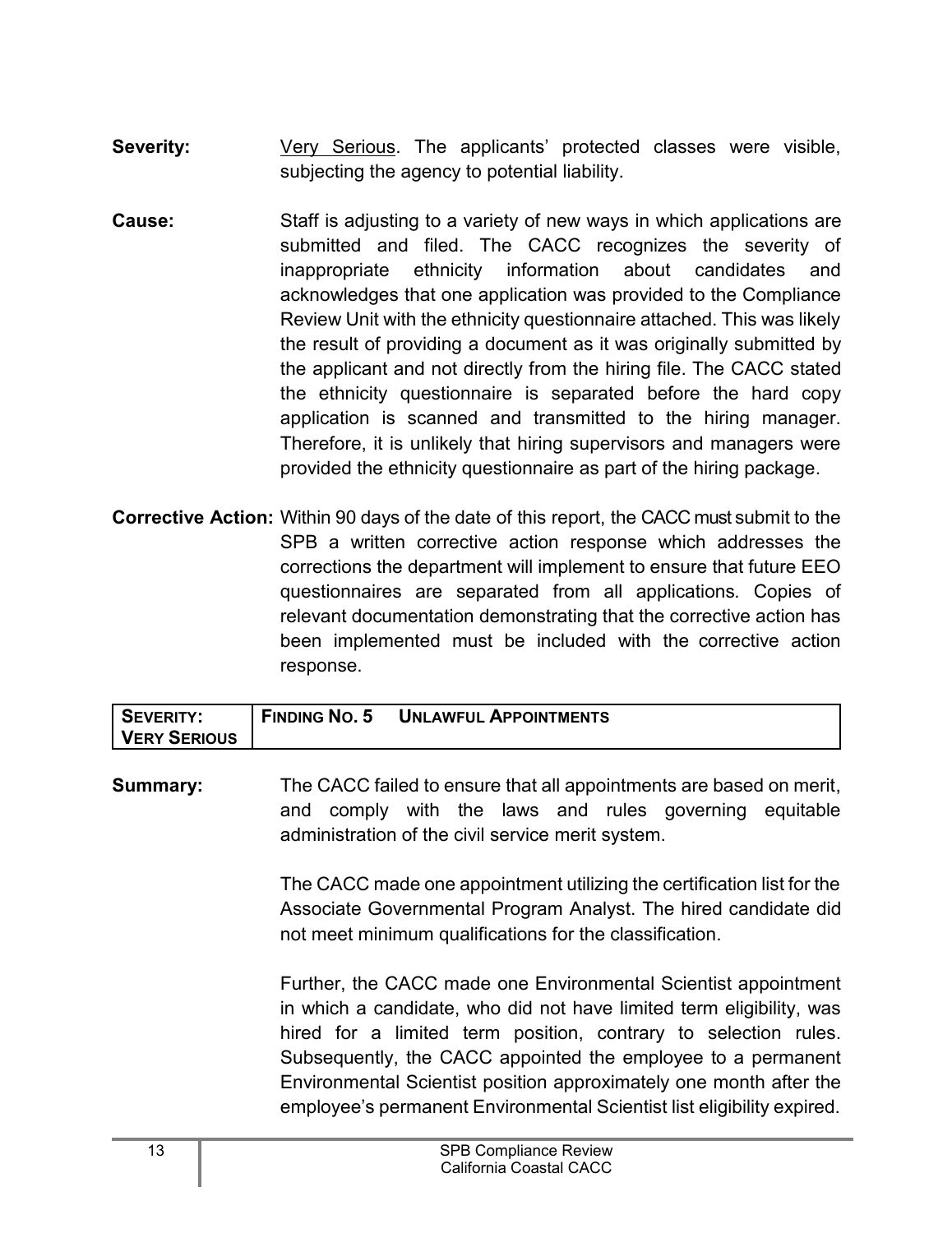- **Severity:** Very Serious. The applicants' protected classes were visible, subjecting the agency to potential liability.
- **Cause:** Staff is adjusting to a variety of new ways in which applications are submitted and filed. The CACC recognizes the severity of inappropriate ethnicity information about candidates and acknowledges that one application was provided to the Compliance Review Unit with the ethnicity questionnaire attached. This was likely the result of providing a document as it was originally submitted by the applicant and not directly from the hiring file. The CACC stated the ethnicity questionnaire is separated before the hard copy application is scanned and transmitted to the hiring manager. Therefore, it is unlikely that hiring supervisors and managers were provided the ethnicity questionnaire as part of the hiring package.
- **Corrective Action:** Within 90 days of the date of this report, the CACC must submit to the SPB a written corrective action response which addresses the corrections the department will implement to ensure that future EEO questionnaires are separated from all applications*.* Copies of relevant documentation demonstrating that the corrective action has been implemented must be included with the corrective action response.

| <b>FINDING NO. 5</b><br>SEVERITY:<br><b>UNLAWFUL APPOINTMENTS</b> | <b>VERY SERIOUS</b> |  |
|-------------------------------------------------------------------|---------------------|--|
|                                                                   |                     |  |

**Summary:** The CACC failed to ensure that all appointments are based on merit, and comply with the laws and rules governing equitable administration of the civil service merit system.

> The CACC made one appointment utilizing the certification list for the Associate Governmental Program Analyst. The hired candidate did not meet minimum qualifications for the classification.

> Further, the CACC made one Environmental Scientist appointment in which a candidate, who did not have limited term eligibility, was hired for a limited term position, contrary to selection rules. Subsequently, the CACC appointed the employee to a permanent Environmental Scientist position approximately one month after the employee's permanent Environmental Scientist list eligibility expired.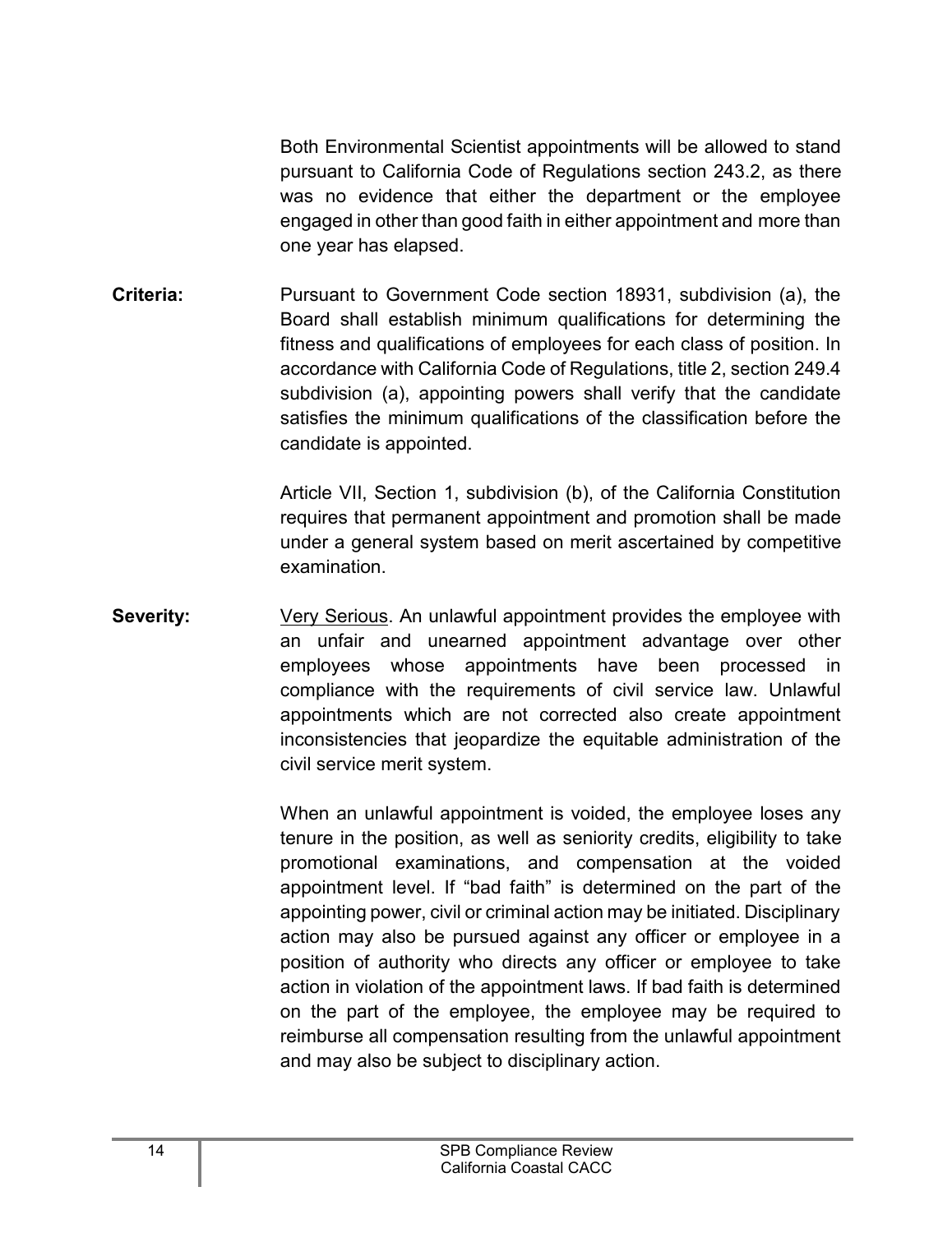Both Environmental Scientist appointments will be allowed to stand pursuant to California Code of Regulations section 243.2, as there was no evidence that either the department or the employee engaged in other than good faith in either appointment and more than one year has elapsed.

**Criteria:** Pursuant to Government Code section 18931, subdivision (a), the Board shall establish minimum qualifications for determining the fitness and qualifications of employees for each class of position. In accordance with California Code of Regulations, title 2, section 249.4 subdivision (a), appointing powers shall verify that the candidate satisfies the minimum qualifications of the classification before the candidate is appointed.

> Article VII, Section 1, subdivision (b), of the California Constitution requires that permanent appointment and promotion shall be made under a general system based on merit ascertained by competitive examination.

**Severity:** Very Serious. An unlawful appointment provides the employee with an unfair and unearned appointment advantage over other employees whose appointments have been processed in compliance with the requirements of civil service law. Unlawful appointments which are not corrected also create appointment inconsistencies that jeopardize the equitable administration of the civil service merit system.

> When an unlawful appointment is voided, the employee loses any tenure in the position, as well as seniority credits, eligibility to take promotional examinations, and compensation at the voided appointment level. If "bad faith" is determined on the part of the appointing power, civil or criminal action may be initiated. Disciplinary action may also be pursued against any officer or employee in a position of authority who directs any officer or employee to take action in violation of the appointment laws. If bad faith is determined on the part of the employee, the employee may be required to reimburse all compensation resulting from the unlawful appointment and may also be subject to disciplinary action.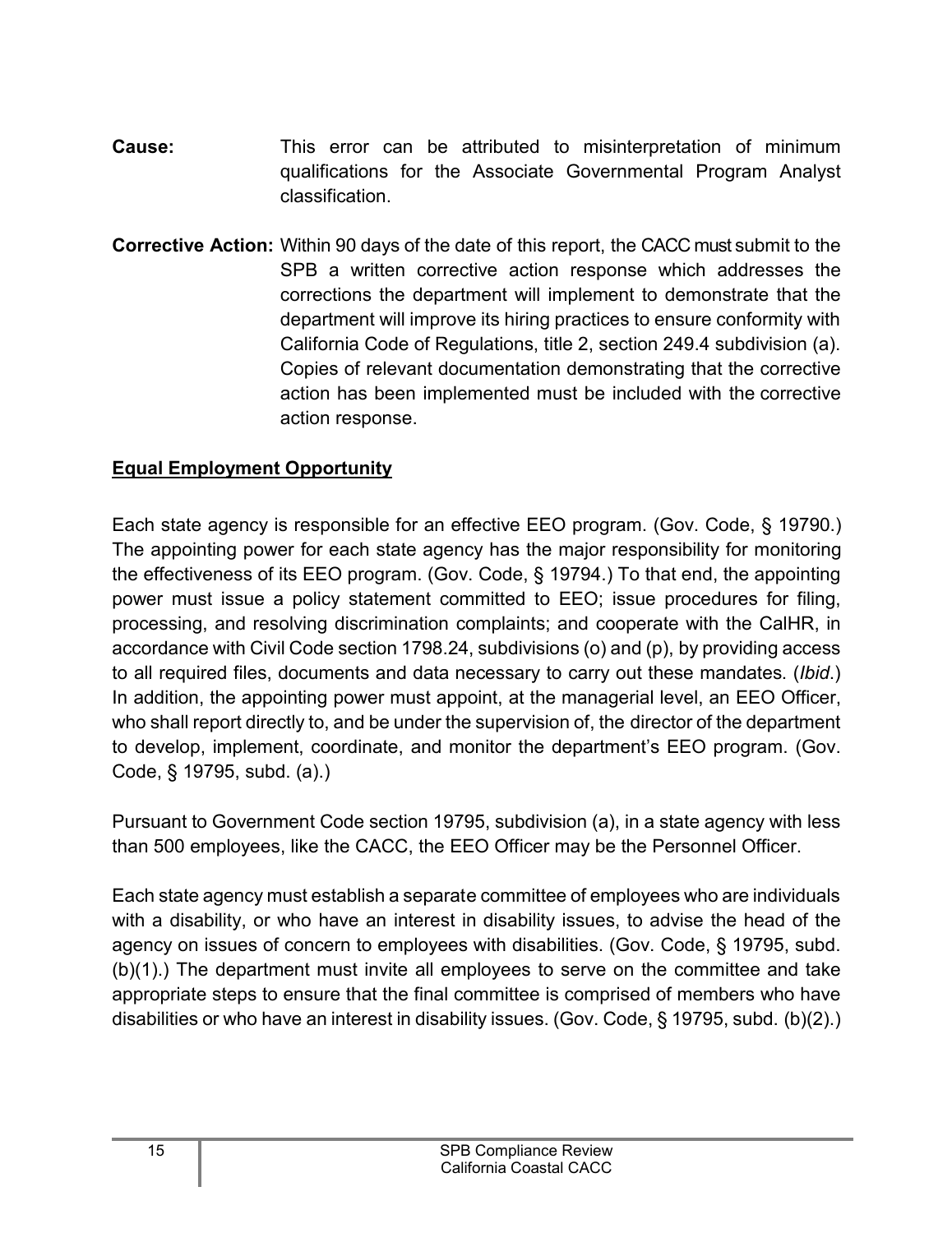- **Cause:** This error can be attributed to misinterpretation of minimum qualifications for the Associate Governmental Program Analyst classification.
- **Corrective Action:** Within 90 days of the date of this report, the CACC must submit to the SPB a written corrective action response which addresses the corrections the department will implement to demonstrate that the department will improve its hiring practices to ensure conformity with California Code of Regulations, title 2, section 249.4 subdivision (a). Copies of relevant documentation demonstrating that the corrective action has been implemented must be included with the corrective action response.

#### <span id="page-16-0"></span>**Equal Employment Opportunity**

Each state agency is responsible for an effective EEO program. (Gov. Code, § 19790.) The appointing power for each state agency has the major responsibility for monitoring the effectiveness of its EEO program. (Gov. Code, § 19794.) To that end, the appointing power must issue a policy statement committed to EEO; issue procedures for filing, processing, and resolving discrimination complaints; and cooperate with the CalHR, in accordance with Civil Code section 1798.24, subdivisions (o) and (p), by providing access to all required files, documents and data necessary to carry out these mandates. (*Ibid*.) In addition, the appointing power must appoint, at the managerial level, an EEO Officer, who shall report directly to, and be under the supervision of, the director of the department to develop, implement, coordinate, and monitor the department's EEO program. (Gov. Code, § 19795, subd. (a).)

Pursuant to Government Code section 19795, subdivision (a), in a state agency with less than 500 employees, like the CACC, the EEO Officer may be the Personnel Officer.

Each state agency must establish a separate committee of employees who are individuals with a disability, or who have an interest in disability issues, to advise the head of the agency on issues of concern to employees with disabilities. (Gov. Code, § 19795, subd. (b)(1).) The department must invite all employees to serve on the committee and take appropriate steps to ensure that the final committee is comprised of members who have disabilities or who have an interest in disability issues. (Gov. Code, § 19795, subd. (b)(2).)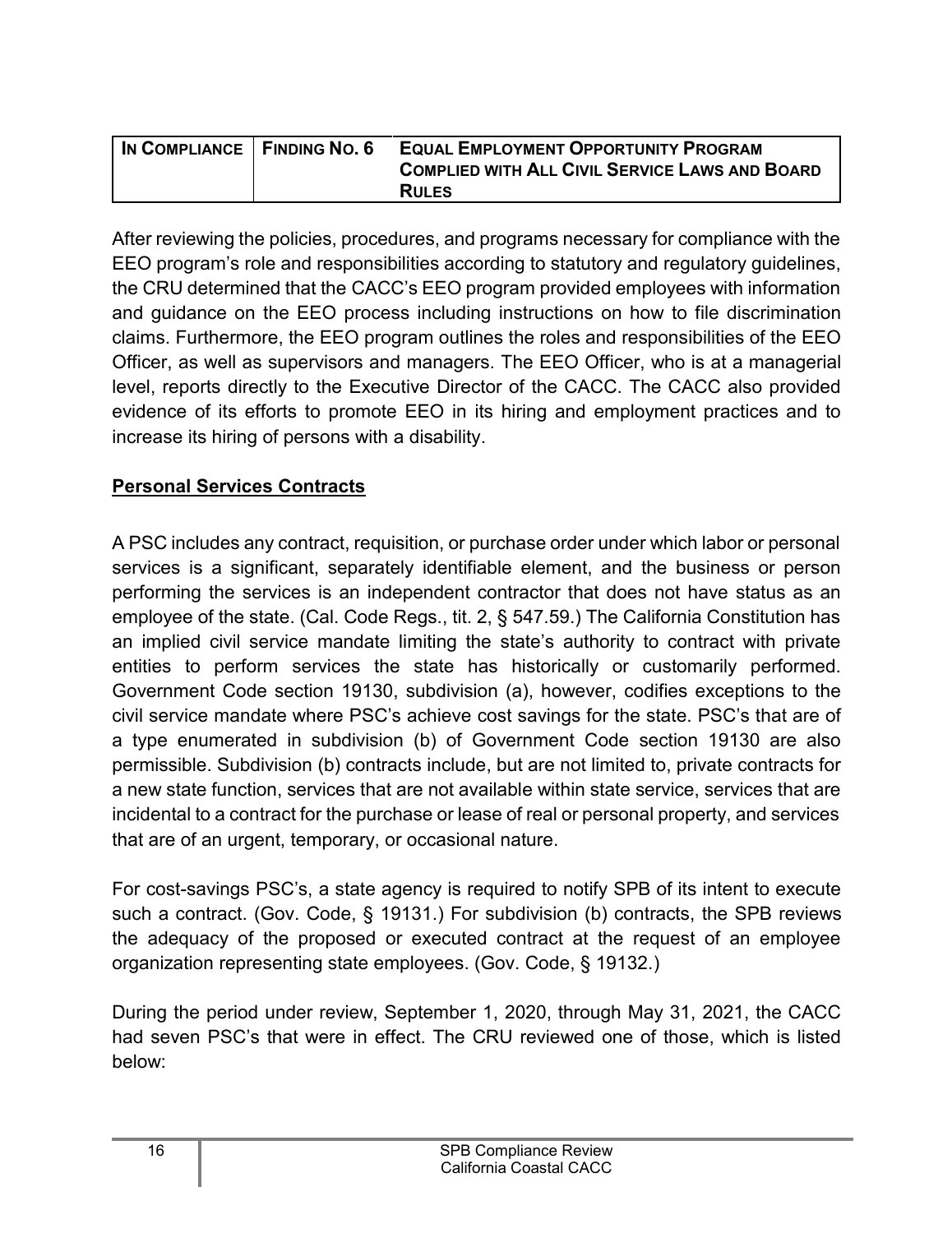| IN COMPLIANCE   FINDING NO. 6 | <b>EQUAL EMPLOYMENT OPPORTUNITY PROGRAM</b>           |
|-------------------------------|-------------------------------------------------------|
|                               | <b>COMPLIED WITH ALL CIVIL SERVICE LAWS AND BOARD</b> |
|                               | <b>RULES</b>                                          |

After reviewing the policies, procedures, and programs necessary for compliance with the EEO program's role and responsibilities according to statutory and regulatory guidelines, the CRU determined that the CACC's EEO program provided employees with information and guidance on the EEO process including instructions on how to file discrimination claims. Furthermore, the EEO program outlines the roles and responsibilities of the EEO Officer, as well as supervisors and managers. The EEO Officer, who is at a managerial level, reports directly to the Executive Director of the CACC. The CACC also provided evidence of its efforts to promote EEO in its hiring and employment practices and to increase its hiring of persons with a disability.

#### <span id="page-17-0"></span>**Personal Services Contracts**

A PSC includes any contract, requisition, or purchase order under which labor or personal services is a significant, separately identifiable element, and the business or person performing the services is an independent contractor that does not have status as an employee of the state. (Cal. Code Regs., tit. 2, § 547.59.) The California Constitution has an implied civil service mandate limiting the state's authority to contract with private entities to perform services the state has historically or customarily performed. Government Code section 19130, subdivision (a), however, codifies exceptions to the civil service mandate where PSC's achieve cost savings for the state. PSC's that are of a type enumerated in subdivision (b) of Government Code section 19130 are also permissible. Subdivision (b) contracts include, but are not limited to, private contracts for a new state function, services that are not available within state service, services that are incidental to a contract for the purchase or lease of real or personal property, and services that are of an urgent, temporary, or occasional nature.

For cost-savings PSC's, a state agency is required to notify SPB of its intent to execute such a contract. (Gov. Code, § 19131.) For subdivision (b) contracts, the SPB reviews the adequacy of the proposed or executed contract at the request of an employee organization representing state employees. (Gov. Code, § 19132.)

During the period under review, September 1, 2020, through May 31, 2021, the CACC had seven PSC's that were in effect. The CRU reviewed one of those, which is listed below: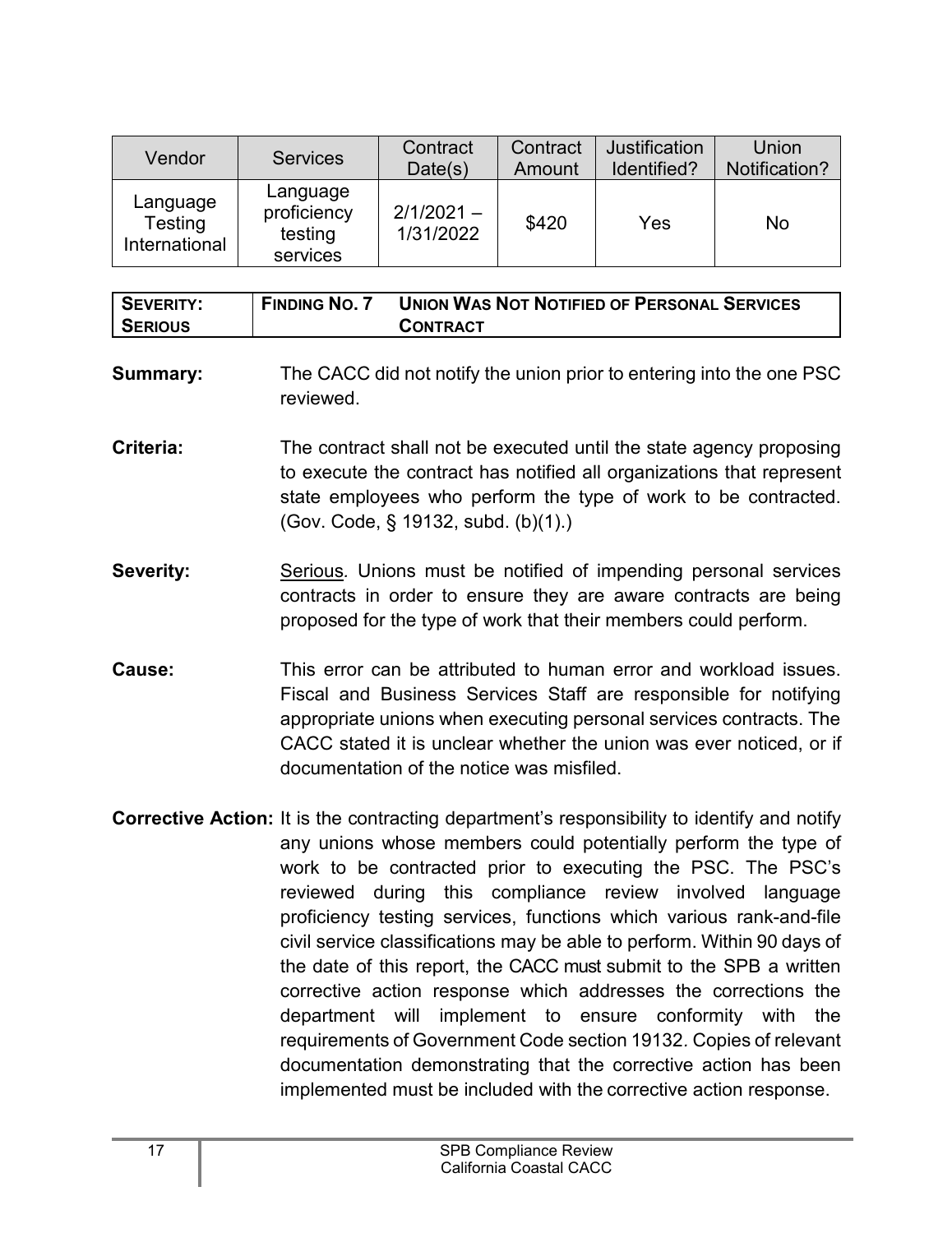| Vendor                               | <b>Services</b>                                | Contract<br>Date(s)       | Contract<br>Amount | Justification<br>Identified? | Union<br>Notification? |
|--------------------------------------|------------------------------------------------|---------------------------|--------------------|------------------------------|------------------------|
| Language<br>Testing<br>International | Language<br>proficiency<br>testing<br>services | $2/1/2021 -$<br>1/31/2022 | \$420              | Yes                          | No                     |

| SEVERITY: | <b>FINDING NO. 7</b> | <b>UNION WAS NOT NOTIFIED OF PERSONAL SERVICES</b> |
|-----------|----------------------|----------------------------------------------------|
| SERIOUS   |                      | <b>CONTRACT</b>                                    |

- **Summary:** The CACC did not notify the union prior to entering into the one PSC reviewed.
- **Criteria:** The contract shall not be executed until the state agency proposing to execute the contract has notified all organizations that represent state employees who perform the type of work to be contracted. (Gov. Code, § 19132, subd. (b)(1).)
- **Severity:** Serious. Unions must be notified of impending personal services contracts in order to ensure they are aware contracts are being proposed for the type of work that their members could perform.
- **Cause:** This error can be attributed to human error and workload issues. Fiscal and Business Services Staff are responsible for notifying appropriate unions when executing personal services contracts. The CACC stated it is unclear whether the union was ever noticed, or if documentation of the notice was misfiled.
- **Corrective Action:** It is the contracting department's responsibility to identify and notify any unions whose members could potentially perform the type of work to be contracted prior to executing the PSC. The PSC's reviewed during this compliance review involved language proficiency testing services, functions which various rank-and-file civil service classifications may be able to perform. Within 90 days of the date of this report, the CACC must submit to the SPB a written corrective action response which addresses the corrections the department will implement to ensure conformity with the requirements of Government Code section 19132*.* Copies of relevant documentation demonstrating that the corrective action has been implemented must be included with the corrective action response.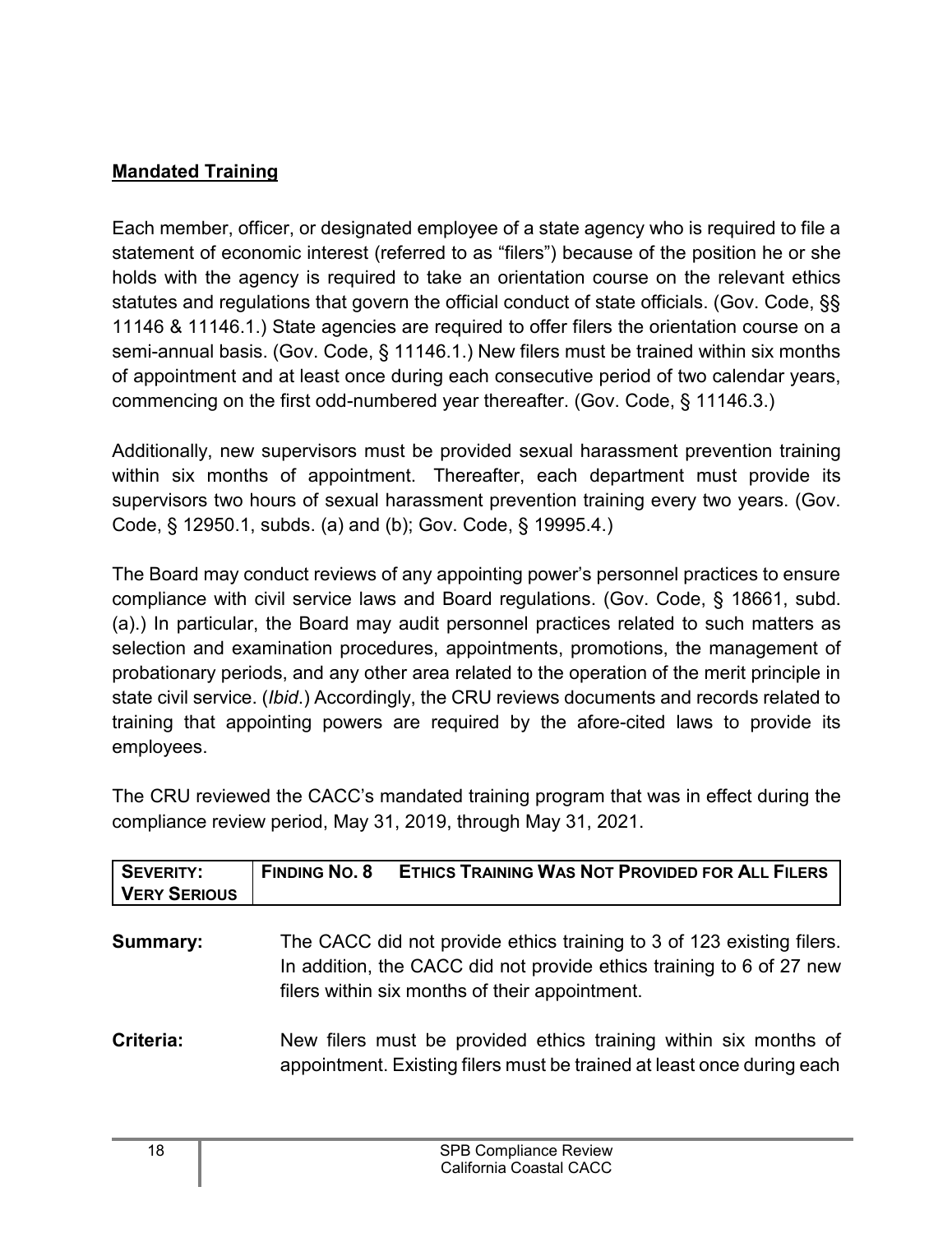#### <span id="page-19-0"></span>**Mandated Training**

Each member, officer, or designated employee of a state agency who is required to file a statement of economic interest (referred to as "filers") because of the position he or she holds with the agency is required to take an orientation course on the relevant ethics statutes and regulations that govern the official conduct of state officials. (Gov. Code, §§ 11146 & 11146.1.) State agencies are required to offer filers the orientation course on a semi-annual basis. (Gov. Code, § 11146.1.) New filers must be trained within six months of appointment and at least once during each consecutive period of two calendar years, commencing on the first odd-numbered year thereafter. (Gov. Code, § 11146.3.)

Additionally, new supervisors must be provided sexual harassment prevention training within six months of appointment. Thereafter, each department must provide its supervisors two hours of sexual harassment prevention training every two years. (Gov. Code, § 12950.1, subds. (a) and (b); Gov. Code, § 19995.4.)

The Board may conduct reviews of any appointing power's personnel practices to ensure compliance with civil service laws and Board regulations. (Gov. Code, § 18661, subd. (a).) In particular, the Board may audit personnel practices related to such matters as selection and examination procedures, appointments, promotions, the management of probationary periods, and any other area related to the operation of the merit principle in state civil service. (*Ibid*.) Accordingly, the CRU reviews documents and records related to training that appointing powers are required by the afore-cited laws to provide its employees.

The CRU reviewed the CACC's mandated training program that was in effect during the compliance review period, May 31, 2019, through May 31, 2021.

| <b>SEVERITY:</b><br><b>VERY SERIOUS</b> | <b>ETHICS TRAINING WAS NOT PROVIDED FOR ALL FILERS</b><br><b>FINDING NO. 8</b>                                                                                                                  |
|-----------------------------------------|-------------------------------------------------------------------------------------------------------------------------------------------------------------------------------------------------|
| Summary:                                | The CACC did not provide ethics training to 3 of 123 existing filers.<br>In addition, the CACC did not provide ethics training to 6 of 27 new<br>filers within six months of their appointment. |
| Criteria:                               | New filers must be provided ethics training within six months of<br>appointment. Existing filers must be trained at least once during each                                                      |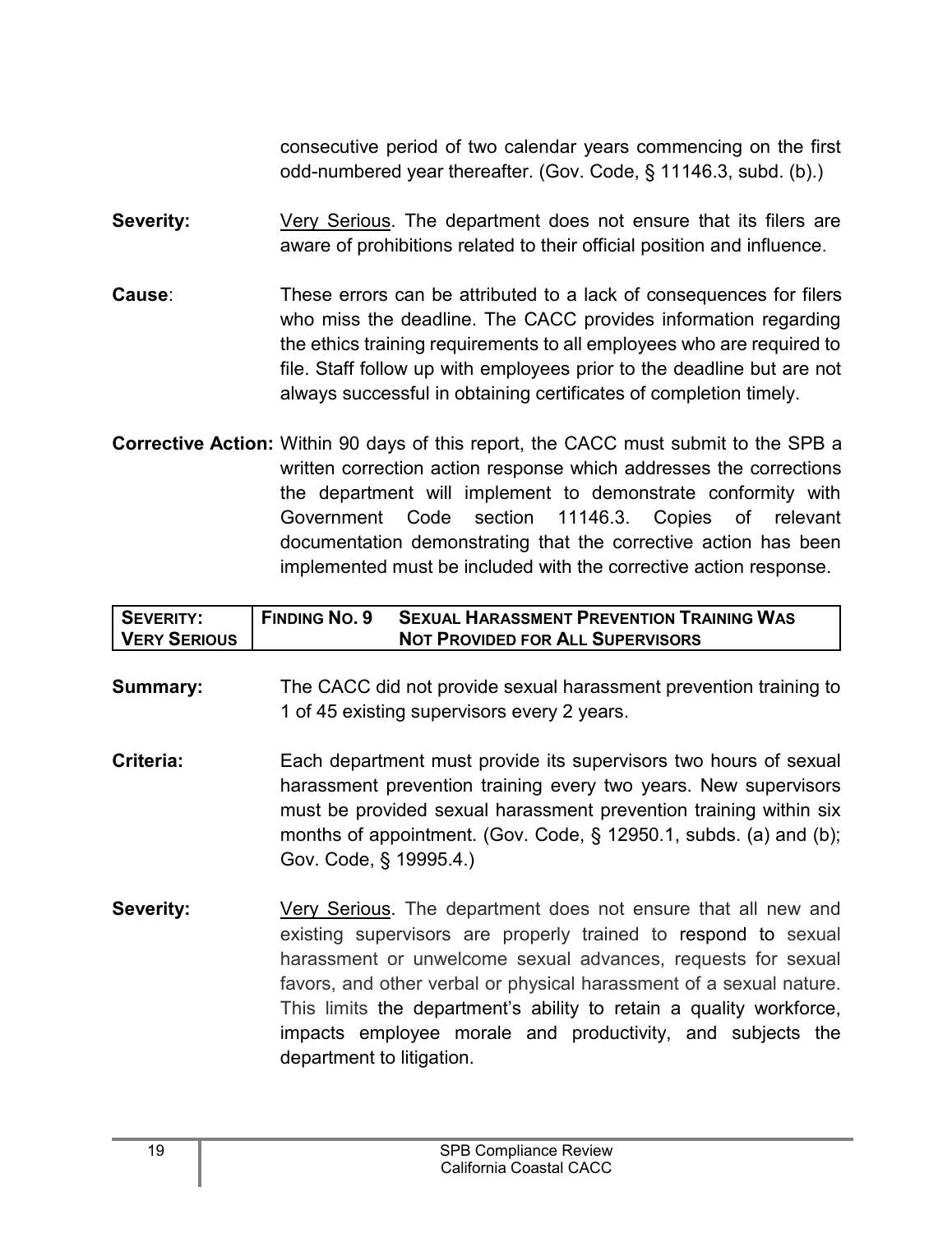consecutive period of two calendar years commencing on the first odd-numbered year thereafter. (Gov. Code, § 11146.3, subd. (b).)

- **Severity:** Very Serious. The department does not ensure that its filers are aware of prohibitions related to their official position and influence.
- **Cause**: These errors can be attributed to a lack of consequences for filers who miss the deadline. The CACC provides information regarding the ethics training requirements to all employees who are required to file. Staff follow up with employees prior to the deadline but are not always successful in obtaining certificates of completion timely.
- **Corrective Action:** Within 90 days of this report, the CACC must submit to the SPB a written correction action response which addresses the corrections the department will implement to demonstrate conformity with Government Code section 11146.3. Copies of relevant documentation demonstrating that the corrective action has been implemented must be included with the corrective action response.

| SEVERITY:           | <b>FINDING NO. 9</b> | <b>SEXUAL HARASSMENT PREVENTION TRAINING WAS</b> |
|---------------------|----------------------|--------------------------------------------------|
| <b>VERY SERIOUS</b> |                      | <b>NOT PROVIDED FOR ALL SUPERVISORS</b>          |

- **Summary:** The CACC did not provide sexual harassment prevention training to 1 of 45 existing supervisors every 2 years.
- **Criteria:** Each department must provide its supervisors two hours of sexual harassment prevention training every two years. New supervisors must be provided sexual harassment prevention training within six months of appointment. (Gov. Code, § 12950.1, subds. (a) and (b); Gov. Code, § 19995.4.)
- **Severity:** Very Serious. The department does not ensure that all new and existing supervisors are properly trained to respond to sexual harassment or unwelcome sexual advances, requests for sexual favors, and other verbal or physical harassment of a sexual nature. This limits the department's ability to retain a quality workforce, impacts employee morale and productivity, and subjects the department to litigation.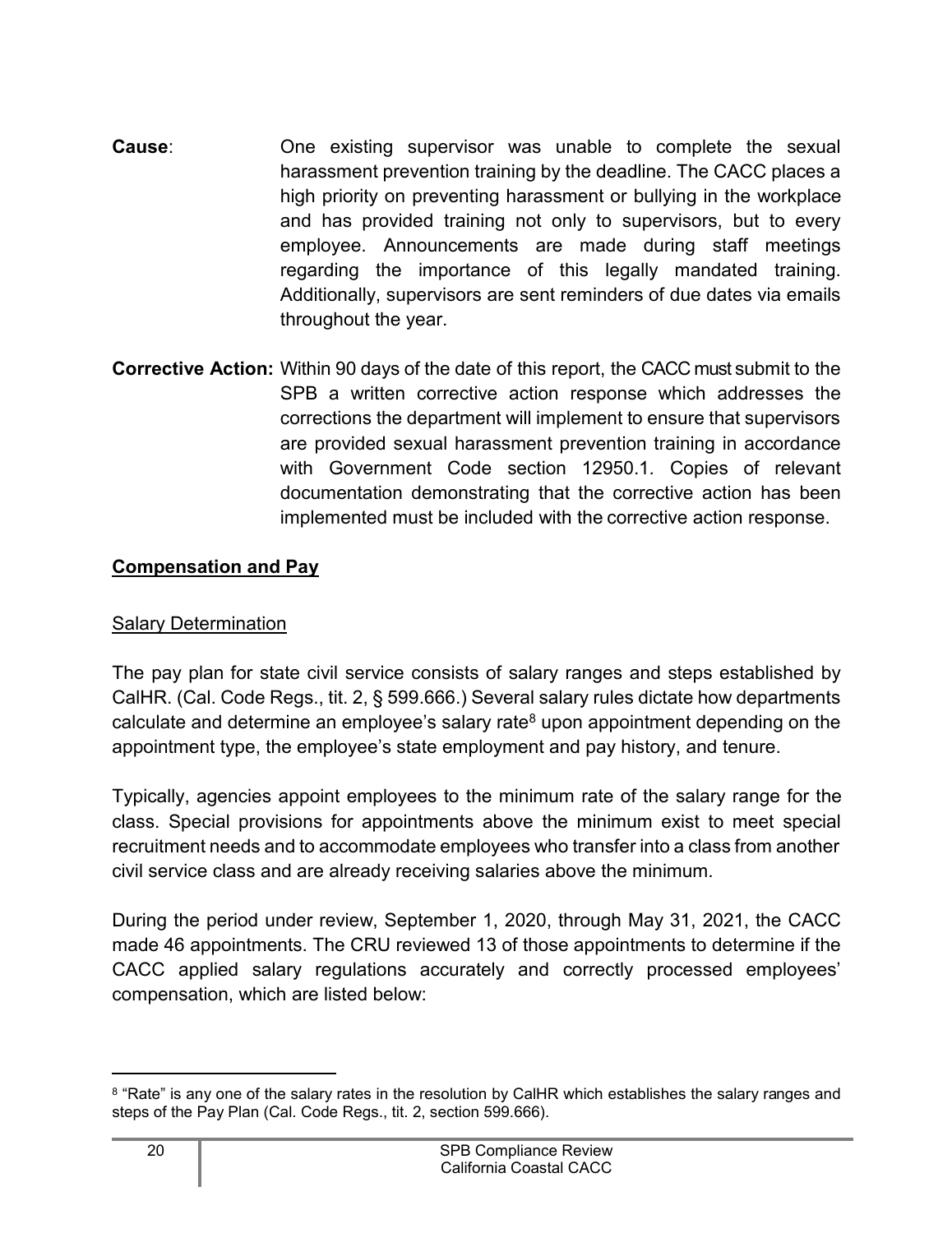- **Cause**: One existing supervisor was unable to complete the sexual harassment prevention training by the deadline. The CACC places a high priority on preventing harassment or bullying in the workplace and has provided training not only to supervisors, but to every employee. Announcements are made during staff meetings regarding the importance of this legally mandated training. Additionally, supervisors are sent reminders of due dates via emails throughout the year.
- **Corrective Action:** Within 90 days of the date of this report, the CACC must submit to the SPB a written corrective action response which addresses the corrections the department will implement to ensure that supervisors are provided sexual harassment prevention training in accordance with Government Code section 12950.1*.* Copies of relevant documentation demonstrating that the corrective action has been implemented must be included with the corrective action response.

#### <span id="page-21-0"></span>**Compensation and Pay**

#### **Salary Determination**

The pay plan for state civil service consists of salary ranges and steps established by CalHR. (Cal. Code Regs., tit. 2, § 599.666.) Several salary rules dictate how departments calculate and determine an employee's salary rate<sup>[8](#page-21-1)</sup> upon appointment depending on the appointment type, the employee's state employment and pay history, and tenure.

Typically, agencies appoint employees to the minimum rate of the salary range for the class. Special provisions for appointments above the minimum exist to meet special recruitment needs and to accommodate employees who transfer into a class from another civil service class and are already receiving salaries above the minimum.

During the period under review, September 1, 2020, through May 31, 2021, the CACC made 46 appointments. The CRU reviewed 13 of those appointments to determine if the CACC applied salary regulations accurately and correctly processed employees' compensation, which are listed below:

<span id="page-21-1"></span> $^8$  "Rate" is any one of the salary rates in the resolution by CalHR which establishes the salary ranges and steps of the Pay Plan (Cal. Code Regs., tit. 2, section 599.666).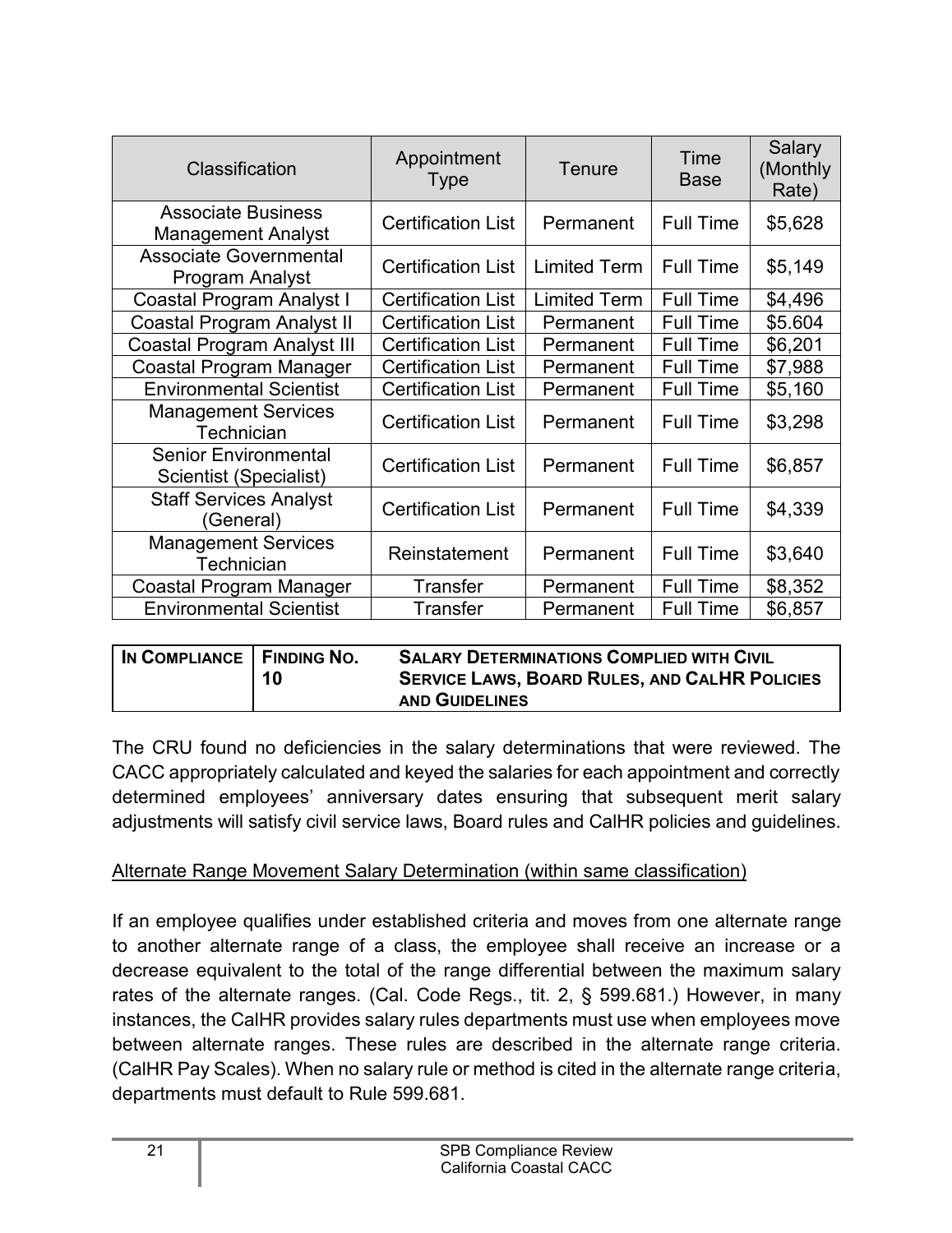| Classification                                         | Appointment<br><b>Type</b> | Tenure              | Time<br><b>Base</b> | Salary<br>(Monthly<br>Rate) |
|--------------------------------------------------------|----------------------------|---------------------|---------------------|-----------------------------|
| <b>Associate Business</b><br><b>Management Analyst</b> | <b>Certification List</b>  | Permanent           | <b>Full Time</b>    | \$5,628                     |
| <b>Associate Governmental</b><br>Program Analyst       | <b>Certification List</b>  | <b>Limited Term</b> | <b>Full Time</b>    | \$5,149                     |
| Coastal Program Analyst I                              | <b>Certification List</b>  | <b>Limited Term</b> | <b>Full Time</b>    | \$4,496                     |
| <b>Coastal Program Analyst II</b>                      | <b>Certification List</b>  | Permanent           | <b>Full Time</b>    | \$5.604                     |
| <b>Coastal Program Analyst III</b>                     | <b>Certification List</b>  | Permanent           | <b>Full Time</b>    | \$6,201                     |
| Coastal Program Manager                                | <b>Certification List</b>  | Permanent           | <b>Full Time</b>    | \$7,988                     |
| <b>Environmental Scientist</b>                         | <b>Certification List</b>  | Permanent           | <b>Full Time</b>    | \$5,160                     |
| <b>Management Services</b><br>Technician               | <b>Certification List</b>  | Permanent           | <b>Full Time</b>    | \$3,298                     |
| <b>Senior Environmental</b><br>Scientist (Specialist)  | <b>Certification List</b>  | Permanent           | <b>Full Time</b>    | \$6,857                     |
| <b>Staff Services Analyst</b><br>(General)             | <b>Certification List</b>  | Permanent           | <b>Full Time</b>    | \$4,339                     |
| <b>Management Services</b><br>Technician               | Reinstatement              | Permanent           | <b>Full Time</b>    | \$3,640                     |
| Coastal Program Manager                                | <b>Transfer</b>            | Permanent           | <b>Full Time</b>    | \$8,352                     |
| <b>Environmental Scientist</b>                         | Transfer                   | Permanent           | <b>Full Time</b>    | \$6,857                     |

| IN COMPLIANCE   FINDING NO. | 10 | <b>SALARY DETERMINATIONS COMPLIED WITH CIVIL</b><br><b>SERVICE LAWS, BOARD RULES, AND CALHR POLICIES</b> |
|-----------------------------|----|----------------------------------------------------------------------------------------------------------|
|                             |    | <b>AND GUIDELINES</b>                                                                                    |

The CRU found no deficiencies in the salary determinations that were reviewed. The CACC appropriately calculated and keyed the salaries for each appointment and correctly determined employees' anniversary dates ensuring that subsequent merit salary adjustments will satisfy civil service laws, Board rules and CalHR policies and guidelines.

#### Alternate Range Movement Salary Determination (within same classification)

If an employee qualifies under established criteria and moves from one alternate range to another alternate range of a class, the employee shall receive an increase or a decrease equivalent to the total of the range differential between the maximum salary rates of the alternate ranges. (Cal. Code Regs., tit. 2, § 599.681.) However, in many instances, the CalHR provides salary rules departments must use when employees move between alternate ranges. These rules are described in the alternate range criteria. (CalHR Pay Scales). When no salary rule or method is cited in the alternate range criteria, departments must default to Rule 599.681.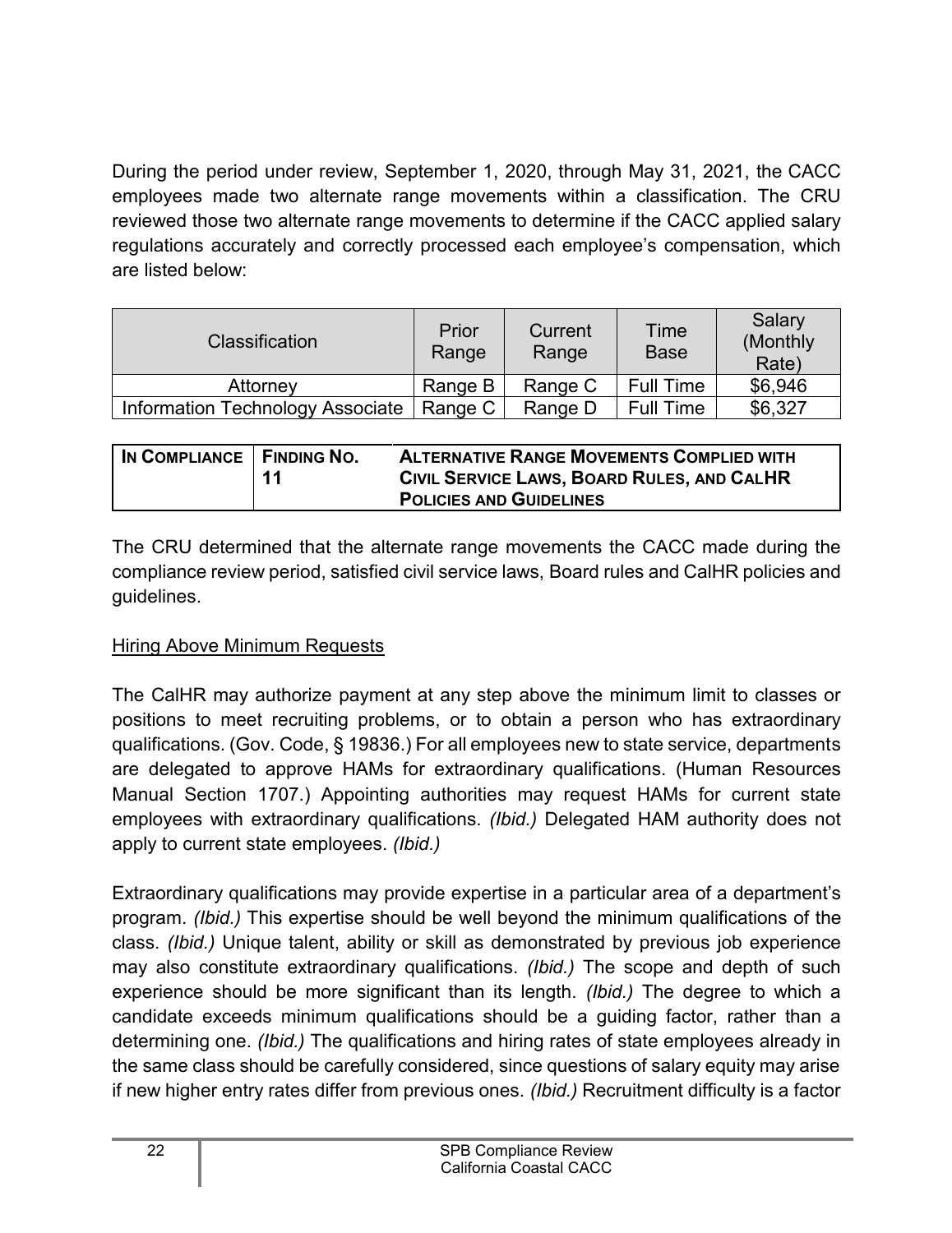During the period under review, September 1, 2020, through May 31, 2021, the CACC employees made two alternate range movements within a classification. The CRU reviewed those two alternate range movements to determine if the CACC applied salary regulations accurately and correctly processed each employee's compensation, which are listed below:

| <b>Classification</b>            | Prior<br>Range | Current<br>Range | Time<br><b>Base</b> | Salary<br>(Monthly)<br>Rate) |
|----------------------------------|----------------|------------------|---------------------|------------------------------|
| Attorney                         | Range B        | Range C          | <b>Full Time</b>    | \$6,946                      |
| Information Technology Associate | Range C        | Range D          | <b>Full Time</b>    | \$6,327                      |

| IN COMPLIANCE   FINDING NO. | 11 | <b>ALTERNATIVE RANGE MOVEMENTS COMPLIED WITH</b><br>CIVIL SERVICE LAWS, BOARD RULES, AND CALHR |
|-----------------------------|----|------------------------------------------------------------------------------------------------|
|                             |    | <b>POLICIES AND GUIDELINES</b>                                                                 |

The CRU determined that the alternate range movements the CACC made during the compliance review period, satisfied civil service laws, Board rules and CalHR policies and guidelines.

#### Hiring Above Minimum Requests

The CalHR may authorize payment at any step above the minimum limit to classes or positions to meet recruiting problems, or to obtain a person who has extraordinary qualifications. (Gov. Code, § 19836.) For all employees new to state service, departments are delegated to approve HAMs for extraordinary qualifications. (Human Resources Manual Section 1707.) Appointing authorities may request HAMs for current state employees with extraordinary qualifications. *(Ibid.)* Delegated HAM authority does not apply to current state employees. *(Ibid.)*

Extraordinary qualifications may provide expertise in a particular area of a department's program. *(Ibid.)* This expertise should be well beyond the minimum qualifications of the class. *(Ibid.)* Unique talent, ability or skill as demonstrated by previous job experience may also constitute extraordinary qualifications. *(Ibid.)* The scope and depth of such experience should be more significant than its length. *(Ibid.)* The degree to which a candidate exceeds minimum qualifications should be a guiding factor, rather than a determining one. *(Ibid.)* The qualifications and hiring rates of state employees already in the same class should be carefully considered, since questions of salary equity may arise if new higher entry rates differ from previous ones. *(Ibid.)* Recruitment difficulty is a factor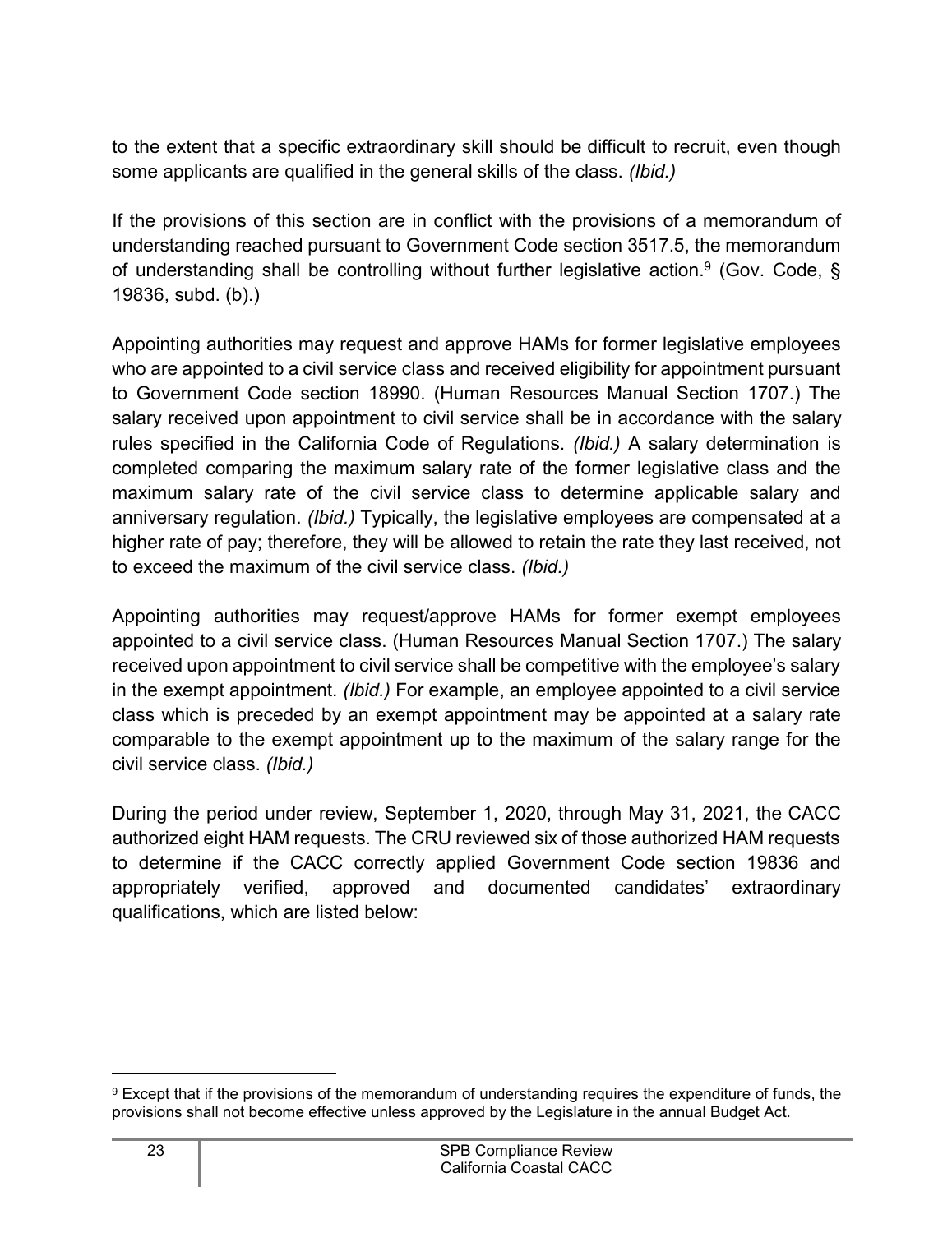to the extent that a specific extraordinary skill should be difficult to recruit, even though some applicants are qualified in the general skills of the class. *(Ibid.)*

If the provisions of this section are in conflict with the provisions of a memorandum of understanding reached pursuant to Government Code section 3517.5, the memorandum of understanding shall be controlling without further legislative action.<sup>[9](#page-24-0)</sup> (Gov. Code, § 19836, subd. (b).)

Appointing authorities may request and approve HAMs for former legislative employees who are appointed to a civil service class and received eligibility for appointment pursuant to Government Code section 18990. (Human Resources Manual Section 1707.) The salary received upon appointment to civil service shall be in accordance with the salary rules specified in the California Code of Regulations. *(Ibid.)* A salary determination is completed comparing the maximum salary rate of the former legislative class and the maximum salary rate of the civil service class to determine applicable salary and anniversary regulation. *(Ibid.)* Typically, the legislative employees are compensated at a higher rate of pay; therefore, they will be allowed to retain the rate they last received, not to exceed the maximum of the civil service class. *(Ibid.)*

Appointing authorities may request/approve HAMs for former exempt employees appointed to a civil service class. (Human Resources Manual Section 1707.) The salary received upon appointment to civil service shall be competitive with the employee's salary in the exempt appointment. *(Ibid.)* For example, an employee appointed to a civil service class which is preceded by an exempt appointment may be appointed at a salary rate comparable to the exempt appointment up to the maximum of the salary range for the civil service class. *(Ibid.)*

During the period under review, September 1, 2020, through May 31, 2021, the CACC authorized eight HAM requests. The CRU reviewed six of those authorized HAM requests to determine if the CACC correctly applied Government Code section 19836 and appropriately verified, approved and documented candidates' extraordinary qualifications, which are listed below:

<span id="page-24-0"></span><sup>9</sup> Except that if the provisions of the memorandum of understanding requires the expenditure of funds, the provisions shall not become effective unless approved by the Legislature in the annual Budget Act.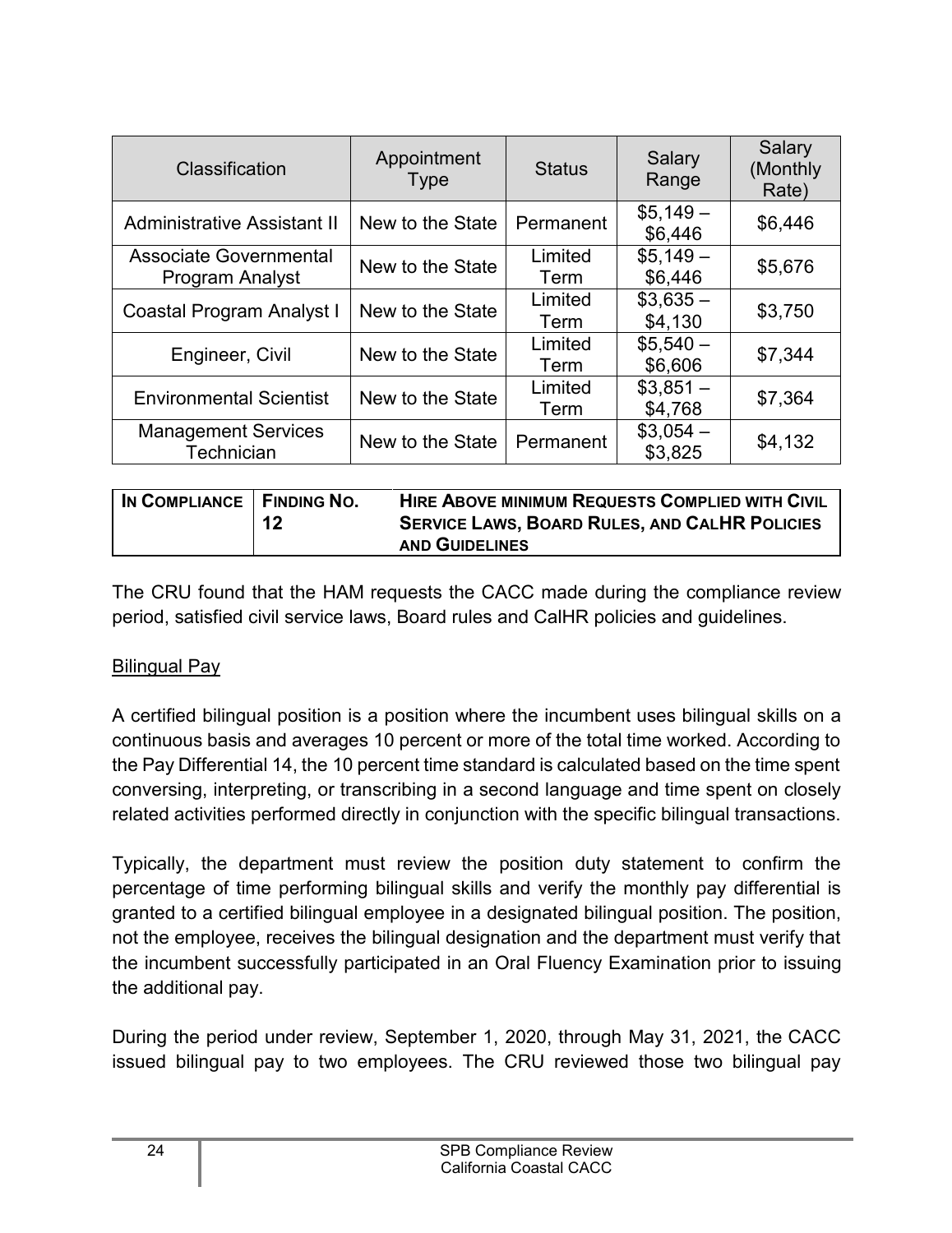| Classification                            | Appointment<br>Type | <b>Status</b>   | Salary<br>Range      | Salary<br>(Monthly<br>Rate) |
|-------------------------------------------|---------------------|-----------------|----------------------|-----------------------------|
| <b>Administrative Assistant II</b>        | New to the State    | Permanent       | $$5,149-$<br>\$6,446 | \$6,446                     |
| Associate Governmental<br>Program Analyst | New to the State    | Limited<br>Term | $$5,149-$<br>\$6,446 | \$5,676                     |
| Coastal Program Analyst I                 | New to the State    | Limited<br>Term | $$3,635-$<br>\$4,130 | \$3,750                     |
| Engineer, Civil                           | New to the State    | Limited<br>Term | $$5,540-$<br>\$6,606 | \$7,344                     |
| <b>Environmental Scientist</b>            | New to the State    | Limited<br>Term | $$3,851-$<br>\$4,768 | \$7,364                     |
| <b>Management Services</b><br>Technician  | New to the State    | Permanent       | $$3,054-$<br>\$3,825 | \$4,132                     |

| IN COMPLIANCE   FINDING NO.<br>12 | <b>HIRE ABOVE MINIMUM REQUESTS COMPLIED WITH CIVIL</b><br><b>SERVICE LAWS, BOARD RULES, AND CALHR POLICIES</b><br><b>AND GUIDELINES</b> |
|-----------------------------------|-----------------------------------------------------------------------------------------------------------------------------------------|
|-----------------------------------|-----------------------------------------------------------------------------------------------------------------------------------------|

The CRU found that the HAM requests the CACC made during the compliance review period, satisfied civil service laws, Board rules and CalHR policies and guidelines.

#### Bilingual Pay

A certified bilingual position is a position where the incumbent uses bilingual skills on a continuous basis and averages 10 percent or more of the total time worked. According to the Pay Differential 14, the 10 percent time standard is calculated based on the time spent conversing, interpreting, or transcribing in a second language and time spent on closely related activities performed directly in conjunction with the specific bilingual transactions.

Typically, the department must review the position duty statement to confirm the percentage of time performing bilingual skills and verify the monthly pay differential is granted to a certified bilingual employee in a designated bilingual position. The position, not the employee, receives the bilingual designation and the department must verify that the incumbent successfully participated in an Oral Fluency Examination prior to issuing the additional pay.

During the period under review, September 1, 2020, through May 31, 2021, the CACC issued bilingual pay to two employees. The CRU reviewed those two bilingual pay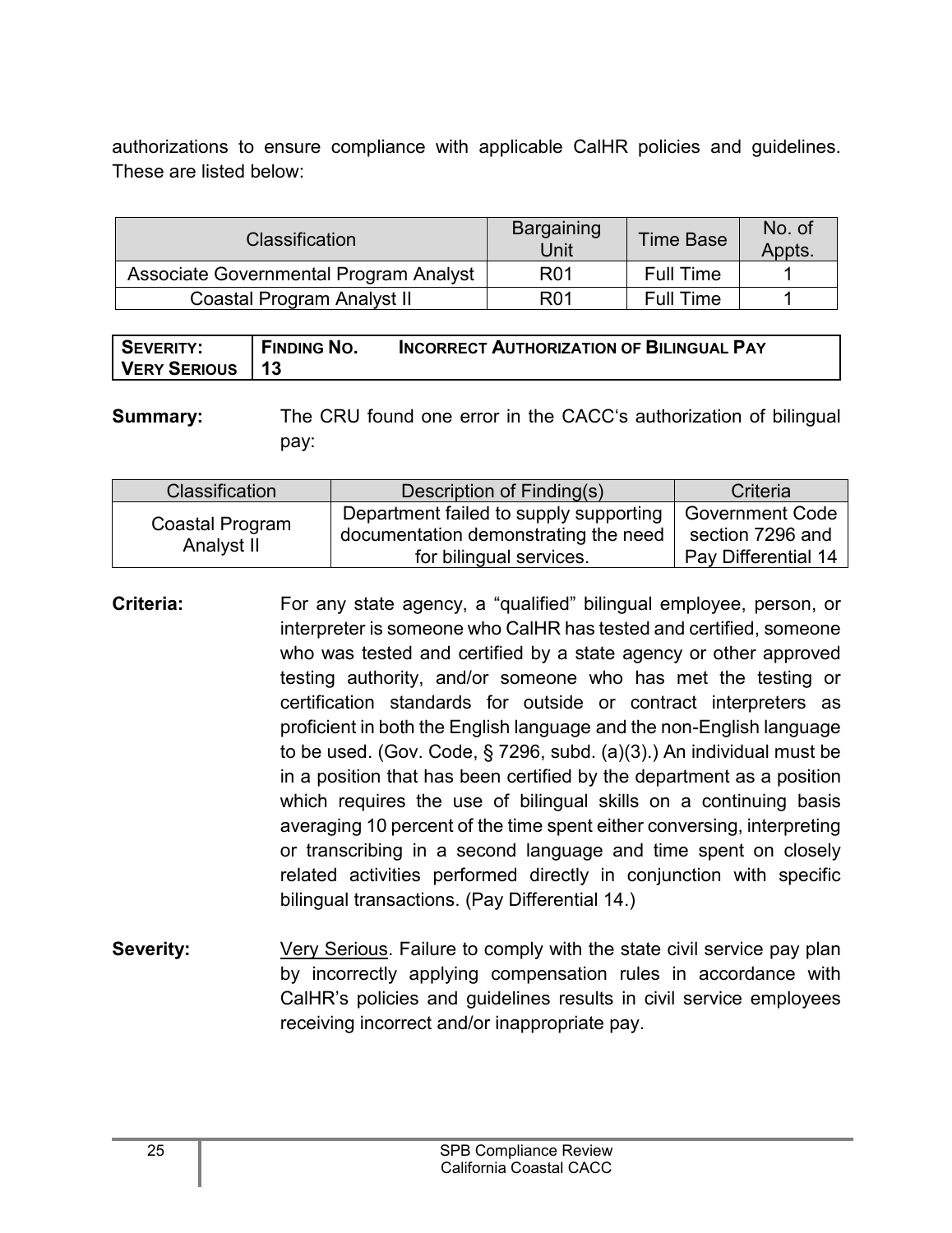authorizations to ensure compliance with applicable CalHR policies and guidelines. These are listed below:

| <b>Classification</b>                  | Bargaining<br><b>Time Base</b><br><b>Unit</b> |                  | No. of<br>Appts. |
|----------------------------------------|-----------------------------------------------|------------------|------------------|
| Associate Governmental Program Analyst | R <sub>0</sub> 1                              | <b>Full Time</b> |                  |
| Coastal Program Analyst II             | R <sub>0</sub> 1                              | <b>Full Time</b> |                  |

| SEVERITY:         | <sup>1</sup> FINDING NO. | INCORRECT AUTHORIZATION OF BILINGUAL PAY |
|-------------------|--------------------------|------------------------------------------|
| VERY SERIOUS   13 |                          |                                          |

**Summary:** The CRU found one error in the CACC's authorization of bilingual pay:

| <b>Classification</b>         | Description of Finding(s)                                                                                 | Criteria                                                          |
|-------------------------------|-----------------------------------------------------------------------------------------------------------|-------------------------------------------------------------------|
| Coastal Program<br>Analyst II | Department failed to supply supporting<br>documentation demonstrating the need<br>for bilingual services. | <b>Government Code</b><br>section 7296 and<br>Pay Differential 14 |

- **Criteria:** For any state agency, a "qualified" bilingual employee, person, or interpreter is someone who CalHR has tested and certified, someone who was tested and certified by a state agency or other approved testing authority, and/or someone who has met the testing or certification standards for outside or contract interpreters as proficient in both the English language and the non-English language to be used. (Gov. Code, § 7296, subd. (a)(3).) An individual must be in a position that has been certified by the department as a position which requires the use of bilingual skills on a continuing basis averaging 10 percent of the time spent either conversing, interpreting or transcribing in a second language and time spent on closely related activities performed directly in conjunction with specific bilingual transactions. (Pay Differential 14.)
- **Severity:** Very Serious. Failure to comply with the state civil service pay plan by incorrectly applying compensation rules in accordance with CalHR's policies and guidelines results in civil service employees receiving incorrect and/or inappropriate pay.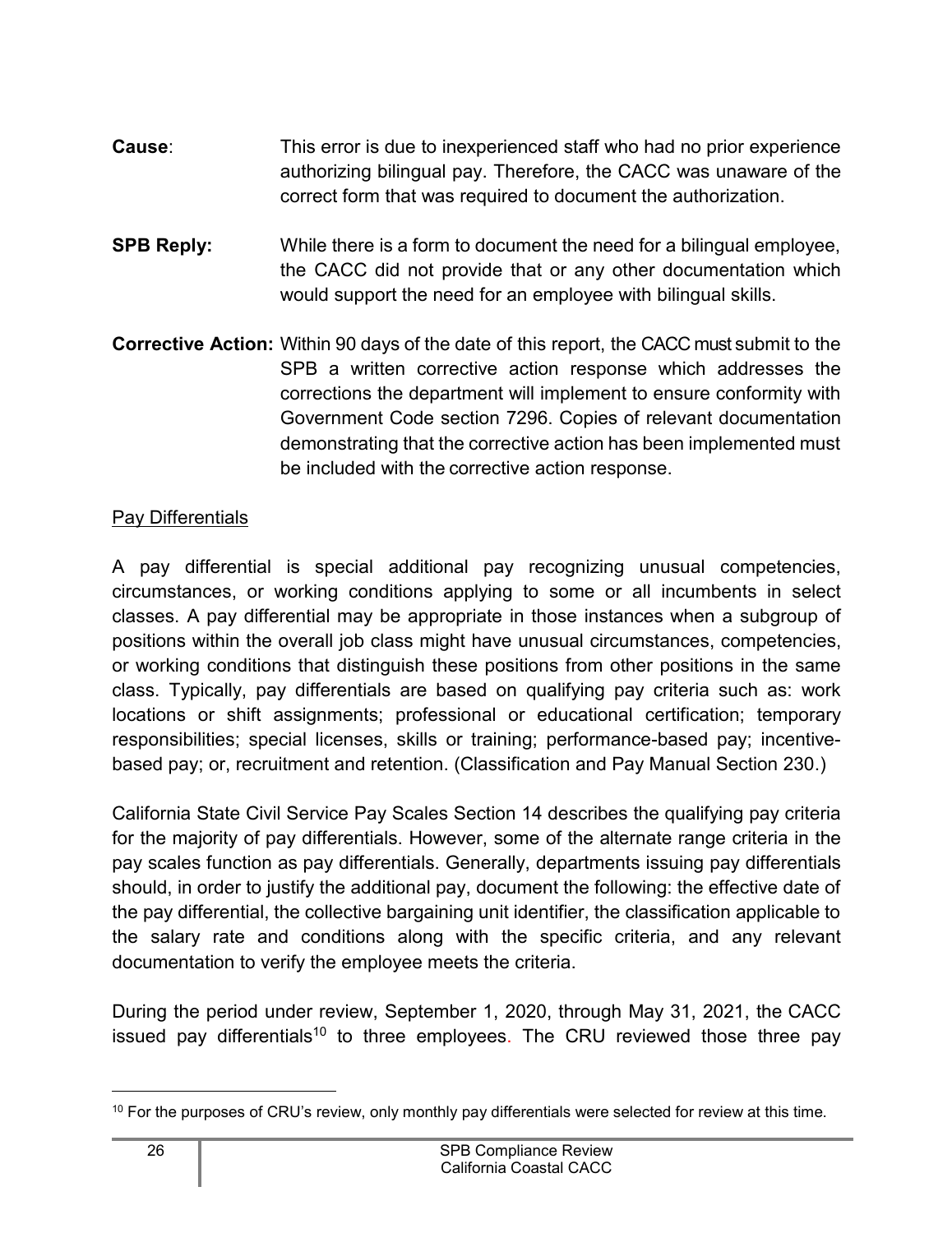- **Cause**: This error is due to inexperienced staff who had no prior experience authorizing bilingual pay. Therefore, the CACC was unaware of the correct form that was required to document the authorization.
- **SPB Reply:** While there is a form to document the need for a bilingual employee, the CACC did not provide that or any other documentation which would support the need for an employee with bilingual skills.
- **Corrective Action:** Within 90 days of the date of this report, the CACC must submit to the SPB a written corrective action response which addresses the corrections the department will implement to ensure conformity with Government Code section 7296. Copies of relevant documentation demonstrating that the corrective action has been implemented must be included with the corrective action response.

#### Pay Differentials

A pay differential is special additional pay recognizing unusual competencies, circumstances, or working conditions applying to some or all incumbents in select classes. A pay differential may be appropriate in those instances when a subgroup of positions within the overall job class might have unusual circumstances, competencies, or working conditions that distinguish these positions from other positions in the same class. Typically, pay differentials are based on qualifying pay criteria such as: work locations or shift assignments; professional or educational certification; temporary responsibilities; special licenses, skills or training; performance-based pay; incentivebased pay; or, recruitment and retention. (Classification and Pay Manual Section 230.)

California State Civil Service Pay Scales Section 14 describes the qualifying pay criteria for the majority of pay differentials. However, some of the alternate range criteria in the pay scales function as pay differentials. Generally, departments issuing pay differentials should, in order to justify the additional pay, document the following: the effective date of the pay differential, the collective bargaining unit identifier, the classification applicable to the salary rate and conditions along with the specific criteria, and any relevant documentation to verify the employee meets the criteria.

During the period under review, September 1, 2020, through May 31, 2021, the CACC issued pay differentials<sup>[10](#page-27-0)</sup> to three employees. The CRU reviewed those three pay

<span id="page-27-0"></span><sup>&</sup>lt;sup>10</sup> For the purposes of CRU's review, only monthly pay differentials were selected for review at this time.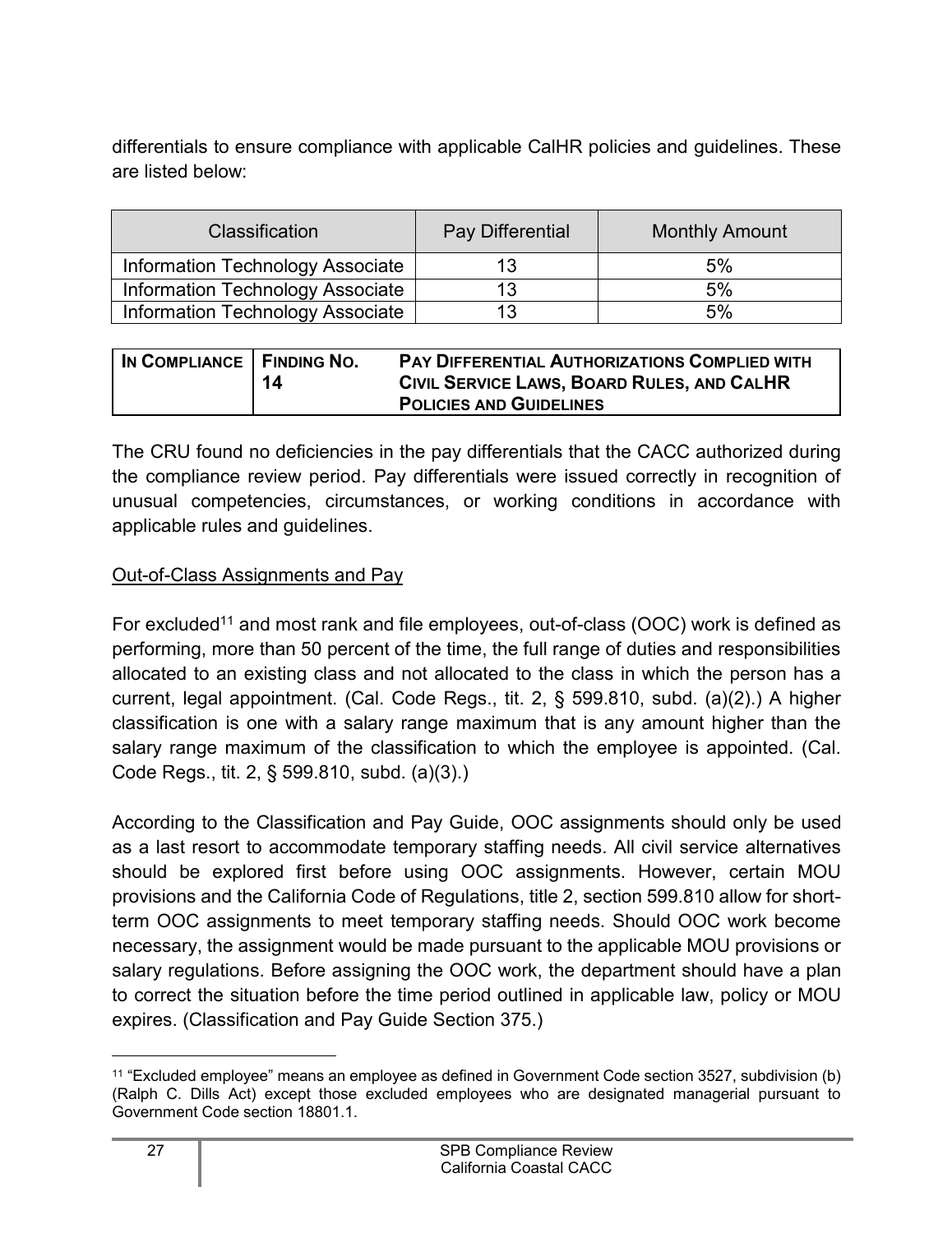differentials to ensure compliance with applicable CalHR policies and guidelines. These are listed below:

| <b>Classification</b>                   | Pay Differential | <b>Monthly Amount</b> |
|-----------------------------------------|------------------|-----------------------|
| Information Technology Associate        | 13               | 5%                    |
| <b>Information Technology Associate</b> | 13               | 5%                    |
| Information Technology Associate        | 13               | 5%                    |

| IN COMPLIANCE   FINDING NO. | 14 | PAY DIFFERENTIAL AUTHORIZATIONS COMPLIED WITH<br>CIVIL SERVICE LAWS, BOARD RULES, AND CALHR |
|-----------------------------|----|---------------------------------------------------------------------------------------------|
|                             |    | <b>POLICIES AND GUIDELINES</b>                                                              |

The CRU found no deficiencies in the pay differentials that the CACC authorized during the compliance review period. Pay differentials were issued correctly in recognition of unusual competencies, circumstances, or working conditions in accordance with applicable rules and guidelines.

#### Out-of-Class Assignments and Pay

For excluded<sup>[11](#page-28-0)</sup> and most rank and file employees, out-of-class (OOC) work is defined as performing, more than 50 percent of the time, the full range of duties and responsibilities allocated to an existing class and not allocated to the class in which the person has a current, legal appointment. (Cal. Code Regs., tit. 2, § 599.810, subd. (a)(2).) A higher classification is one with a salary range maximum that is any amount higher than the salary range maximum of the classification to which the employee is appointed. (Cal. Code Regs., tit. 2, § 599.810, subd. (a)(3).)

According to the Classification and Pay Guide, OOC assignments should only be used as a last resort to accommodate temporary staffing needs. All civil service alternatives should be explored first before using OOC assignments. However, certain MOU provisions and the California Code of Regulations, title 2, section 599.810 allow for shortterm OOC assignments to meet temporary staffing needs. Should OOC work become necessary, the assignment would be made pursuant to the applicable MOU provisions or salary regulations. Before assigning the OOC work, the department should have a plan to correct the situation before the time period outlined in applicable law, policy or MOU expires. (Classification and Pay Guide Section 375.)

<span id="page-28-0"></span><sup>11</sup> "Excluded employee" means an employee as defined in Government Code section 3527, subdivision (b) (Ralph C. Dills Act) except those excluded employees who are designated managerial pursuant to Government Code section 18801.1.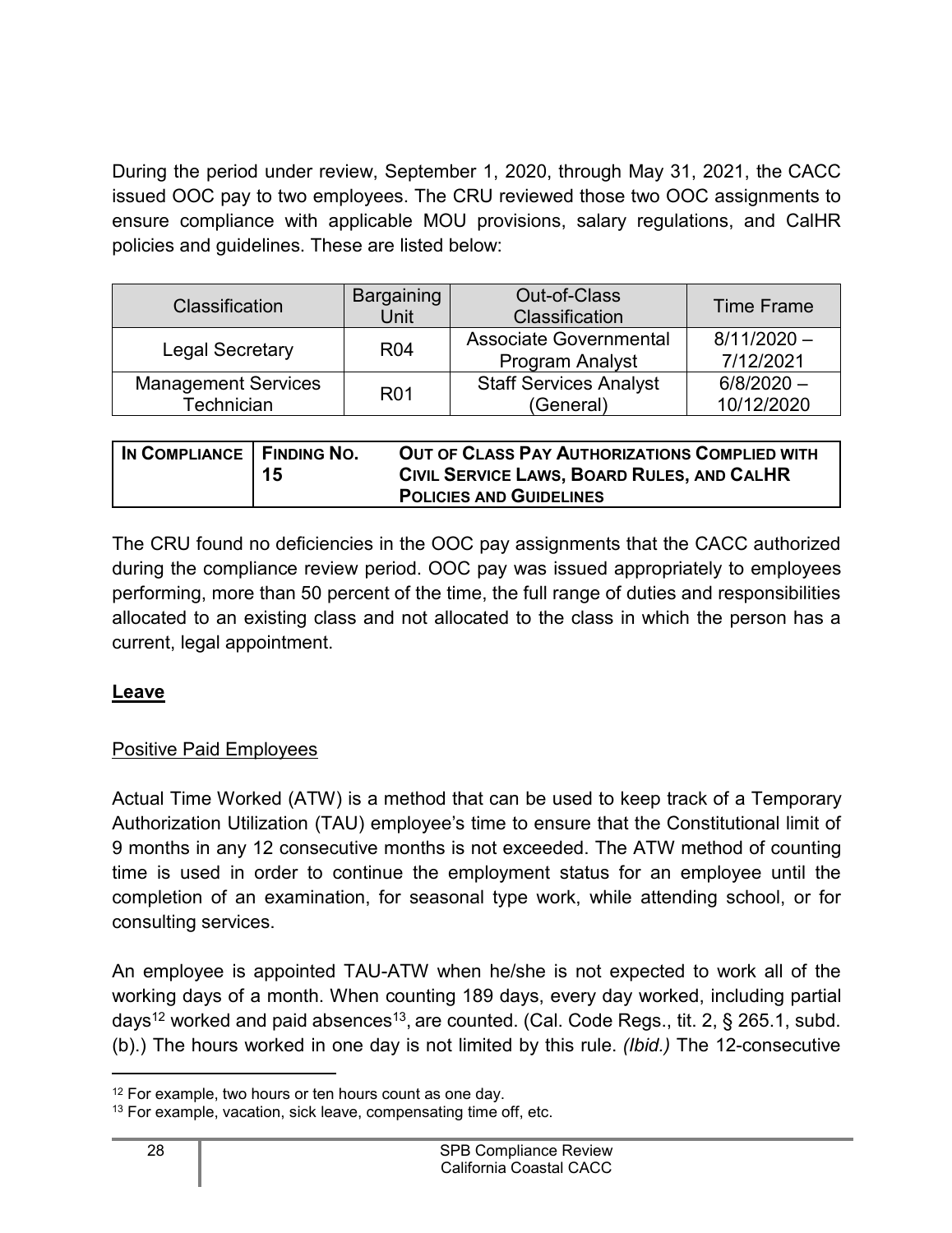During the period under review, September 1, 2020, through May 31, 2021, the CACC issued OOC pay to two employees. The CRU reviewed those two OOC assignments to ensure compliance with applicable MOU provisions, salary regulations, and CalHR policies and guidelines. These are listed below:

| Classification                           | Bargaining<br>Unit | <b>Out-of-Class</b><br>Classification                   | <b>Time Frame</b>          |
|------------------------------------------|--------------------|---------------------------------------------------------|----------------------------|
| <b>Legal Secretary</b>                   | <b>R04</b>         | <b>Associate Governmental</b><br><b>Program Analyst</b> | $8/11/2020 -$<br>7/12/2021 |
| <b>Management Services</b><br>Technician | <b>R01</b>         | <b>Staff Services Analyst</b><br>(General)              | $6/8/2020 -$<br>10/12/2020 |

| IN COMPLIANCE   FINDING NO. | 15 | OUT OF CLASS PAY AUTHORIZATIONS COMPLIED WITH<br>CIVIL SERVICE LAWS, BOARD RULES, AND CALHR |
|-----------------------------|----|---------------------------------------------------------------------------------------------|
|                             |    | <b>POLICIES AND GUIDELINES</b>                                                              |

The CRU found no deficiencies in the OOC pay assignments that the CACC authorized during the compliance review period. OOC pay was issued appropriately to employees performing, more than 50 percent of the time, the full range of duties and responsibilities allocated to an existing class and not allocated to the class in which the person has a current, legal appointment.

#### <span id="page-29-0"></span>**Leave**

#### Positive Paid Employees

Actual Time Worked (ATW) is a method that can be used to keep track of a Temporary Authorization Utilization (TAU) employee's time to ensure that the Constitutional limit of 9 months in any 12 consecutive months is not exceeded. The ATW method of counting time is used in order to continue the employment status for an employee until the completion of an examination, for seasonal type work, while attending school, or for consulting services.

An employee is appointed TAU-ATW when he/she is not expected to work all of the working days of a month. When counting 189 days, every day worked, including partial days $^{12}$  $^{12}$  $^{12}$  worked and paid absences $^{13}$  $^{13}$  $^{13}$ , are counted. (Cal. Code Regs., tit. 2, § 265.1, subd. (b).) The hours worked in one day is not limited by this rule. *(Ibid.)* The 12-consecutive

<span id="page-29-1"></span><sup>&</sup>lt;sup>12</sup> For example, two hours or ten hours count as one day.

<span id="page-29-2"></span><sup>&</sup>lt;sup>13</sup> For example, vacation, sick leave, compensating time off, etc.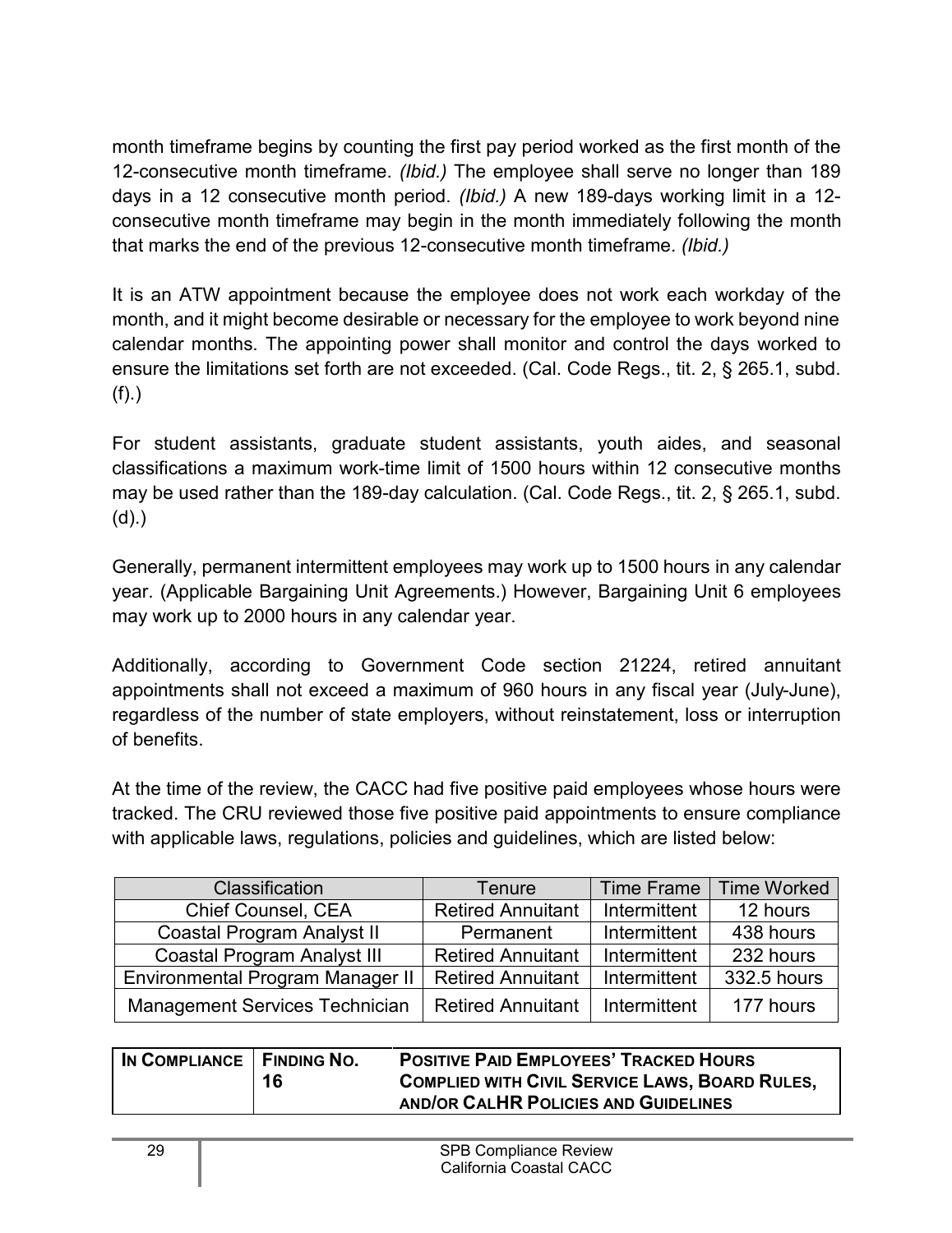month timeframe begins by counting the first pay period worked as the first month of the 12-consecutive month timeframe. *(Ibid.)* The employee shall serve no longer than 189 days in a 12 consecutive month period. *(Ibid.)* A new 189-days working limit in a 12 consecutive month timeframe may begin in the month immediately following the month that marks the end of the previous 12-consecutive month timeframe. *(Ibid.)*

It is an ATW appointment because the employee does not work each workday of the month, and it might become desirable or necessary for the employee to work beyond nine calendar months. The appointing power shall monitor and control the days worked to ensure the limitations set forth are not exceeded. (Cal. Code Regs., tit. 2, § 265.1, subd. (f).)

For student assistants, graduate student assistants, youth aides, and seasonal classifications a maximum work-time limit of 1500 hours within 12 consecutive months may be used rather than the 189-day calculation. (Cal. Code Regs., tit. 2, § 265.1, subd. (d).)

Generally, permanent intermittent employees may work up to 1500 hours in any calendar year. (Applicable Bargaining Unit Agreements.) However, Bargaining Unit 6 employees may work up to 2000 hours in any calendar year.

Additionally, according to Government Code section 21224, retired annuitant appointments shall not exceed a maximum of 960 hours in any fiscal year (July-June), regardless of the number of state employers, without reinstatement, loss or interruption of benefits.

At the time of the review, the CACC had five positive paid employees whose hours were tracked. The CRU reviewed those five positive paid appointments to ensure compliance with applicable laws, regulations, policies and guidelines, which are listed below:

| Classification                        | Tenure                   | <b>Time Frame</b> | <b>Time Worked</b> |
|---------------------------------------|--------------------------|-------------------|--------------------|
| Chief Counsel, CEA                    | <b>Retired Annuitant</b> | Intermittent      | 12 hours           |
| <b>Coastal Program Analyst II</b>     | Permanent                | Intermittent      | 438 hours          |
| <b>Coastal Program Analyst III</b>    | <b>Retired Annuitant</b> | Intermittent      | 232 hours          |
| Environmental Program Manager II      | <b>Retired Annuitant</b> | Intermittent      | 332.5 hours        |
| <b>Management Services Technician</b> | <b>Retired Annuitant</b> | Intermittent      | 177 hours          |

| IN COMPLIANCE   FINDING NO. | 16 | <b>POSITIVE PAID EMPLOYEES' TRACKED HOURS</b><br><b>COMPLIED WITH CIVIL SERVICE LAWS, BOARD RULES,</b> |
|-----------------------------|----|--------------------------------------------------------------------------------------------------------|
|                             |    | AND/OR CALHR POLICIES AND GUIDELINES                                                                   |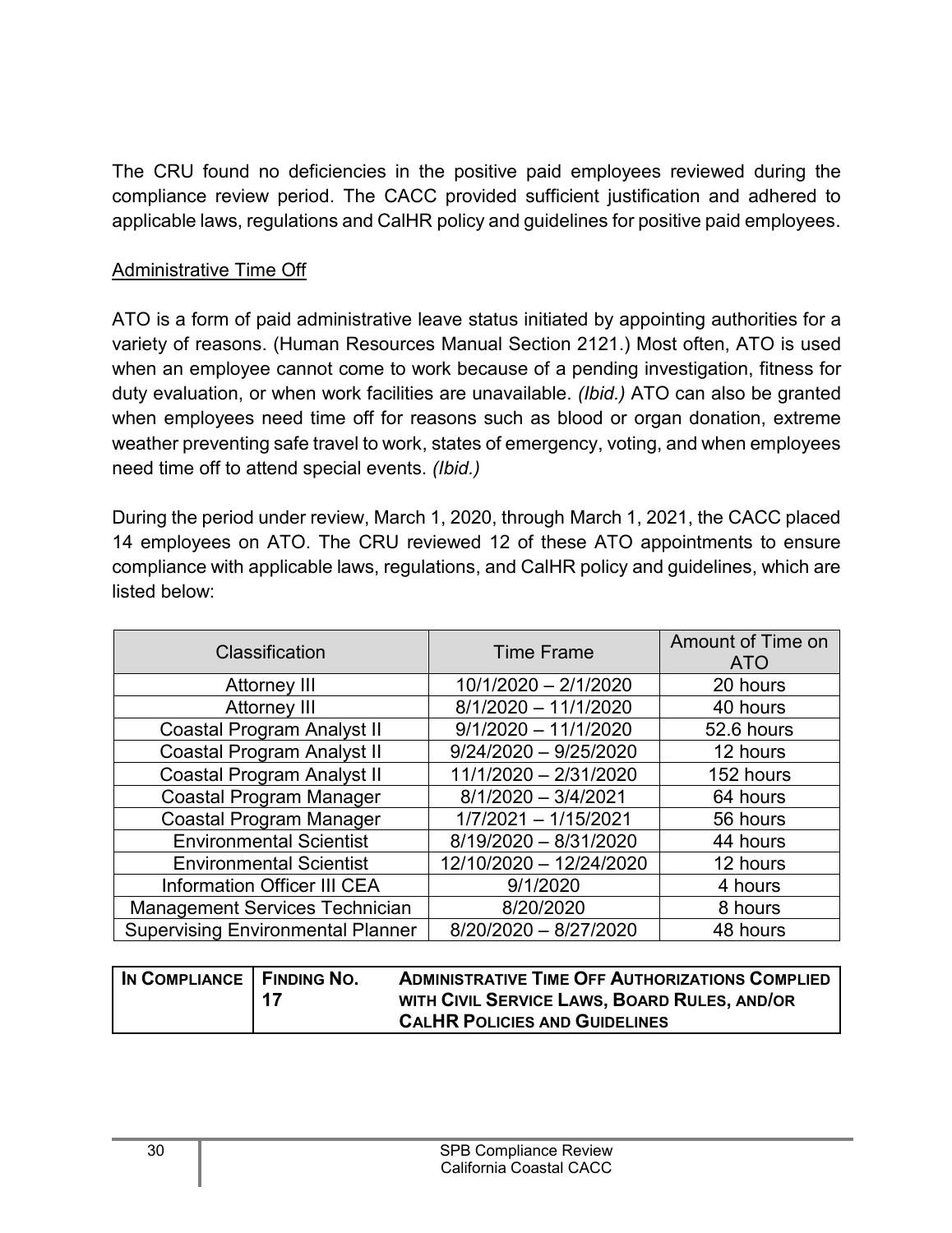The CRU found no deficiencies in the positive paid employees reviewed during the compliance review period. The CACC provided sufficient justification and adhered to applicable laws, regulations and CalHR policy and guidelines for positive paid employees.

#### Administrative Time Off

ATO is a form of paid administrative leave status initiated by appointing authorities for a variety of reasons. (Human Resources Manual Section 2121.) Most often, ATO is used when an employee cannot come to work because of a pending investigation, fitness for duty evaluation, or when work facilities are unavailable. *(Ibid.)* ATO can also be granted when employees need time off for reasons such as blood or organ donation, extreme weather preventing safe travel to work, states of emergency, voting, and when employees need time off to attend special events. *(Ibid.)* 

During the period under review, March 1, 2020, through March 1, 2021, the CACC placed 14 employees on ATO. The CRU reviewed 12 of these ATO appointments to ensure compliance with applicable laws, regulations, and CalHR policy and guidelines, which are listed below:

| Classification                           | <b>Time Frame</b>       | Amount of Time on<br><b>ATO</b> |
|------------------------------------------|-------------------------|---------------------------------|
| <b>Attorney III</b>                      | 10/1/2020 - 2/1/2020    | 20 hours                        |
| <b>Attorney III</b>                      | $8/1/2020 - 11/1/2020$  | 40 hours                        |
| <b>Coastal Program Analyst II</b>        | $9/1/2020 - 11/1/2020$  | 52.6 hours                      |
| <b>Coastal Program Analyst II</b>        | $9/24/2020 - 9/25/2020$ | 12 hours                        |
| <b>Coastal Program Analyst II</b>        | 11/1/2020 - 2/31/2020   | 152 hours                       |
| <b>Coastal Program Manager</b>           | $8/1/2020 - 3/4/2021$   | 64 hours                        |
| <b>Coastal Program Manager</b>           | $1/7/2021 - 1/15/2021$  | 56 hours                        |
| <b>Environmental Scientist</b>           | 8/19/2020 - 8/31/2020   | 44 hours                        |
| <b>Environmental Scientist</b>           | 12/10/2020 - 12/24/2020 | 12 hours                        |
| <b>Information Officer III CEA</b>       | 9/1/2020                | 4 hours                         |
| <b>Management Services Technician</b>    | 8/20/2020               | 8 hours                         |
| <b>Supervising Environmental Planner</b> | $8/20/2020 - 8/27/2020$ | 48 hours                        |

| IN COMPLIANCE   FINDING NO. | -17 | <b>ADMINISTRATIVE TIME OFF AUTHORIZATIONS COMPLIED</b><br>WITH CIVIL SERVICE LAWS, BOARD RULES, AND/OR |
|-----------------------------|-----|--------------------------------------------------------------------------------------------------------|
|                             |     | <b>CALHR POLICIES AND GUIDELINES</b>                                                                   |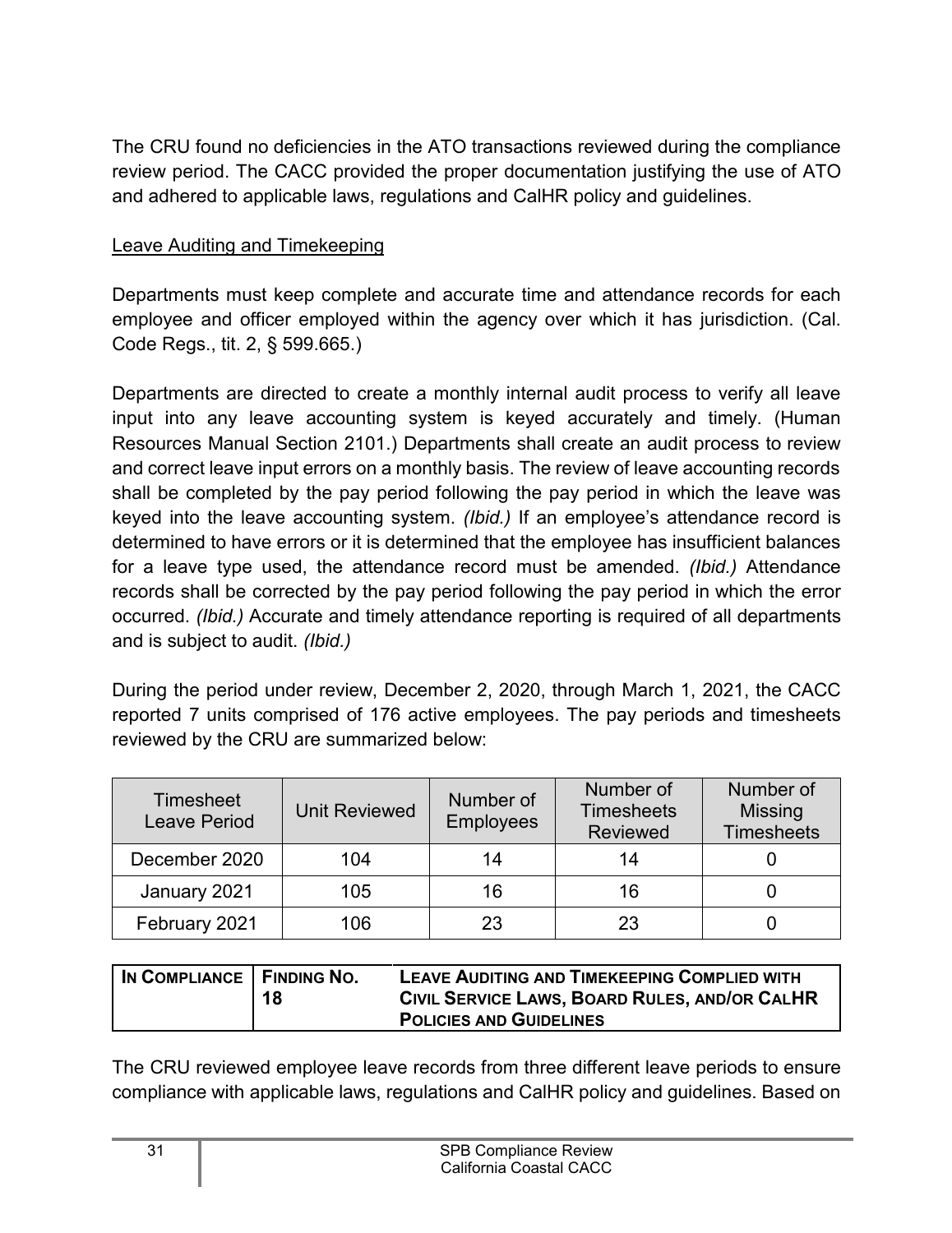The CRU found no deficiencies in the ATO transactions reviewed during the compliance review period. The CACC provided the proper documentation justifying the use of ATO and adhered to applicable laws, regulations and CalHR policy and guidelines.

#### Leave Auditing and Timekeeping

Departments must keep complete and accurate time and attendance records for each employee and officer employed within the agency over which it has jurisdiction. (Cal. Code Regs., tit. 2, § 599.665.)

Departments are directed to create a monthly internal audit process to verify all leave input into any leave accounting system is keyed accurately and timely. (Human Resources Manual Section 2101.) Departments shall create an audit process to review and correct leave input errors on a monthly basis. The review of leave accounting records shall be completed by the pay period following the pay period in which the leave was keyed into the leave accounting system. *(Ibid.)* If an employee's attendance record is determined to have errors or it is determined that the employee has insufficient balances for a leave type used, the attendance record must be amended. *(Ibid.)* Attendance records shall be corrected by the pay period following the pay period in which the error occurred. *(Ibid.)* Accurate and timely attendance reporting is required of all departments and is subject to audit. *(Ibid.)*

During the period under review, December 2, 2020, through March 1, 2021, the CACC reported 7 units comprised of 176 active employees. The pay periods and timesheets reviewed by the CRU are summarized below:

| <b>Timesheet</b><br><b>Leave Period</b> | <b>Unit Reviewed</b> | Number of<br><b>Employees</b> | Number of<br><b>Timesheets</b><br><b>Reviewed</b> | Number of<br><b>Missing</b><br><b>Timesheets</b> |
|-----------------------------------------|----------------------|-------------------------------|---------------------------------------------------|--------------------------------------------------|
| December 2020                           | 104                  | 14                            | 14                                                |                                                  |
| January 2021                            | 105                  | 16                            | 16                                                |                                                  |
| February 2021                           | 106                  | 23                            | 23                                                |                                                  |

| IN COMPLIANCE   FINDING NO. | 18 | LEAVE AUDITING AND TIMEKEEPING COMPLIED WITH<br>CIVIL SERVICE LAWS, BOARD RULES, AND/OR CALHR |
|-----------------------------|----|-----------------------------------------------------------------------------------------------|
|                             |    | <b>POLICIES AND GUIDELINES</b>                                                                |

The CRU reviewed employee leave records from three different leave periods to ensure compliance with applicable laws, regulations and CalHR policy and guidelines. Based on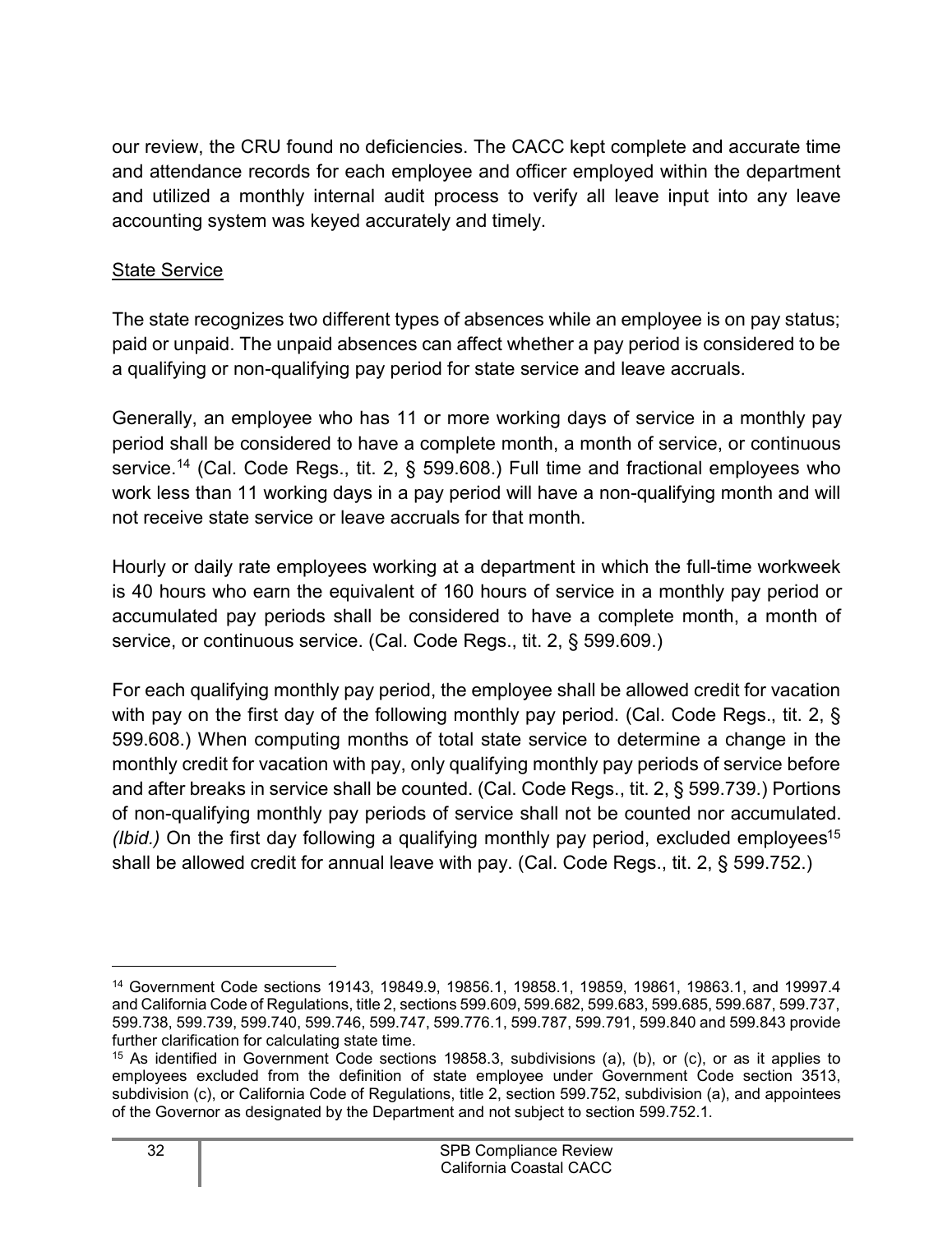our review, the CRU found no deficiencies. The CACC kept complete and accurate time and attendance records for each employee and officer employed within the department and utilized a monthly internal audit process to verify all leave input into any leave accounting system was keyed accurately and timely.

#### **State Service**

The state recognizes two different types of absences while an employee is on pay status; paid or unpaid. The unpaid absences can affect whether a pay period is considered to be a qualifying or non-qualifying pay period for state service and leave accruals.

Generally, an employee who has 11 or more working days of service in a monthly pay period shall be considered to have a complete month, a month of service, or continuous service. [14](#page-33-0) (Cal. Code Regs., tit. 2, § 599.608.) Full time and fractional employees who work less than 11 working days in a pay period will have a non-qualifying month and will not receive state service or leave accruals for that month.

Hourly or daily rate employees working at a department in which the full-time workweek is 40 hours who earn the equivalent of 160 hours of service in a monthly pay period or accumulated pay periods shall be considered to have a complete month, a month of service, or continuous service. (Cal. Code Regs., tit. 2, § 599.609.)

For each qualifying monthly pay period, the employee shall be allowed credit for vacation with pay on the first day of the following monthly pay period. (Cal. Code Regs., tit. 2, § 599.608.) When computing months of total state service to determine a change in the monthly credit for vacation with pay, only qualifying monthly pay periods of service before and after breaks in service shall be counted. (Cal. Code Regs., tit. 2, § 599.739.) Portions of non-qualifying monthly pay periods of service shall not be counted nor accumulated. *(Ibid.)* On the first day following a qualifying monthly pay period, excluded employees<sup>[15](#page-33-1)</sup> shall be allowed credit for annual leave with pay. (Cal. Code Regs., tit. 2, § 599.752.)

<span id="page-33-0"></span><sup>14</sup> Government Code sections 19143, 19849.9, 19856.1, 19858.1, 19859, 19861, 19863.1, and 19997.4 and California Code of Regulations, title 2, sections 599.609, 599.682, 599.683, 599.685, 599.687, 599.737, 599.738, 599.739, 599.740, 599.746, 599.747, 599.776.1, 599.787, 599.791, 599.840 and 599.843 provide further clarification for calculating state time.

<span id="page-33-1"></span><sup>15</sup> As identified in Government Code sections 19858.3, subdivisions (a), (b), or (c), or as it applies to employees excluded from the definition of state employee under Government Code section 3513, subdivision (c), or California Code of Regulations, title 2, section 599.752, subdivision (a), and appointees of the Governor as designated by the Department and not subject to section 599.752.1.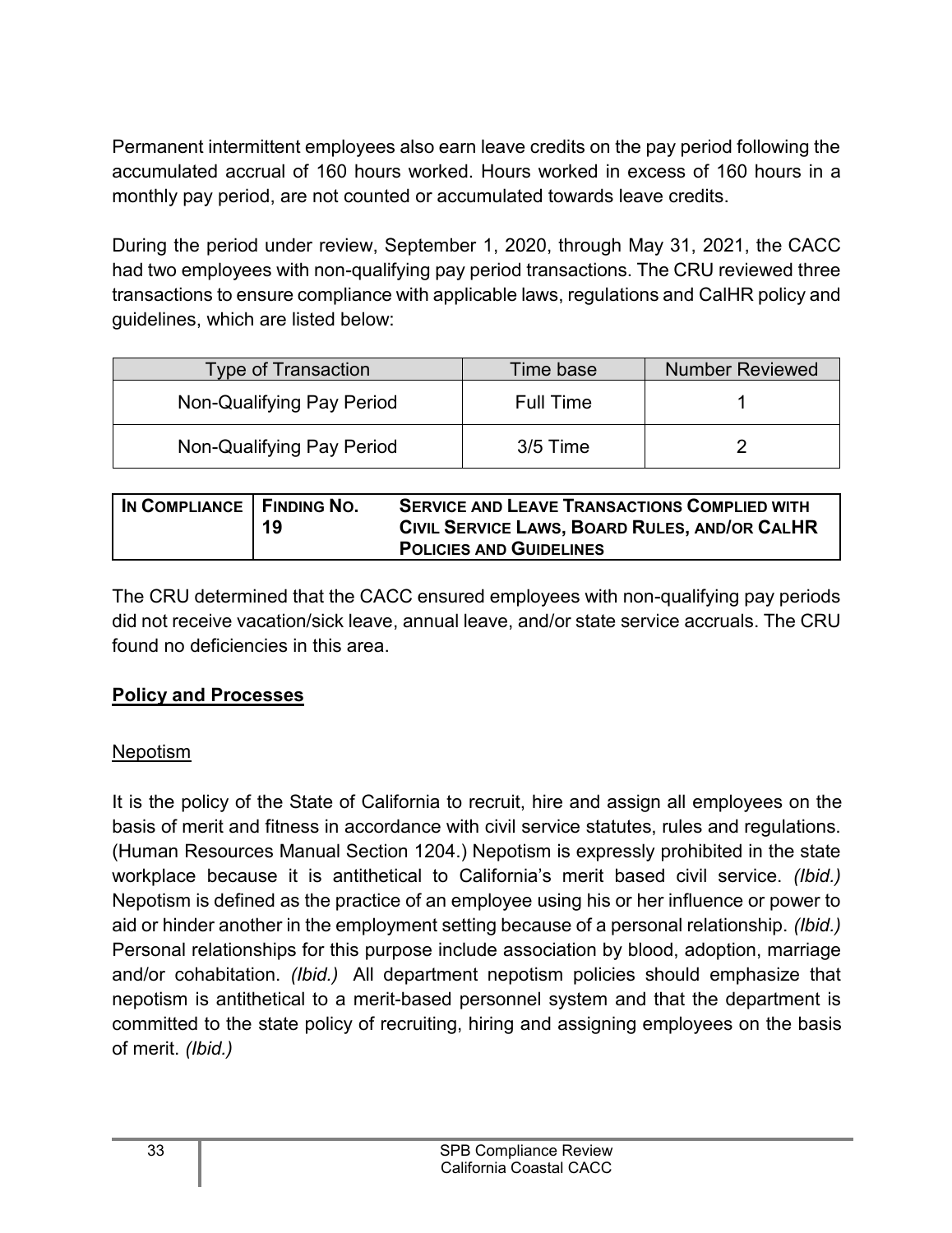Permanent intermittent employees also earn leave credits on the pay period following the accumulated accrual of 160 hours worked. Hours worked in excess of 160 hours in a monthly pay period, are not counted or accumulated towards leave credits.

During the period under review, September 1, 2020, through May 31, 2021, the CACC had two employees with non-qualifying pay period transactions. The CRU reviewed three transactions to ensure compliance with applicable laws, regulations and CalHR policy and guidelines, which are listed below:

| <b>Type of Transaction</b> | Time base  | <b>Number Reviewed</b> |
|----------------------------|------------|------------------------|
| Non-Qualifying Pay Period  | Full Time  |                        |
| Non-Qualifying Pay Period  | $3/5$ Time |                        |

| IN COMPLIANCE   FINDING NO. | 19 | <b>SERVICE AND LEAVE TRANSACTIONS COMPLIED WITH</b><br>CIVIL SERVICE LAWS, BOARD RULES, AND/OR CALHR<br><b>POLICIES AND GUIDELINES</b> |
|-----------------------------|----|----------------------------------------------------------------------------------------------------------------------------------------|
|                             |    |                                                                                                                                        |

The CRU determined that the CACC ensured employees with non-qualifying pay periods did not receive vacation/sick leave, annual leave, and/or state service accruals. The CRU found no deficiencies in this area.

#### <span id="page-34-0"></span>**Policy and Processes**

#### Nepotism

It is the policy of the State of California to recruit, hire and assign all employees on the basis of merit and fitness in accordance with civil service statutes, rules and regulations. (Human Resources Manual Section 1204.) Nepotism is expressly prohibited in the state workplace because it is antithetical to California's merit based civil service. *(Ibid.)* Nepotism is defined as the practice of an employee using his or her influence or power to aid or hinder another in the employment setting because of a personal relationship. *(Ibid.)* Personal relationships for this purpose include association by blood, adoption, marriage and/or cohabitation. *(Ibid.)* All department nepotism policies should emphasize that nepotism is antithetical to a merit-based personnel system and that the department is committed to the state policy of recruiting, hiring and assigning employees on the basis of merit. *(Ibid.)*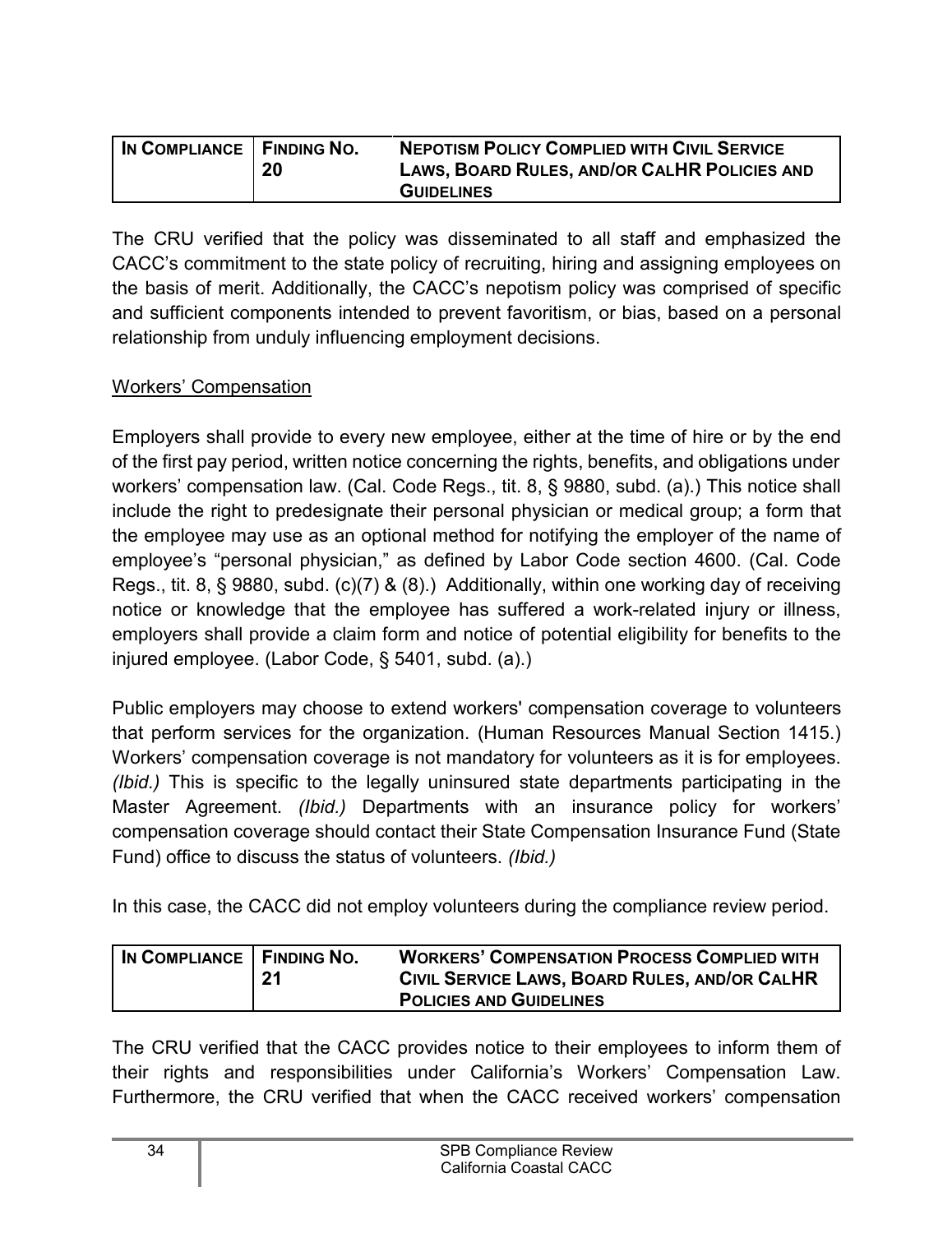| IN COMPLIANCE   FINDING NO. | 20 | <b>NEPOTISM POLICY COMPLIED WITH CIVIL SERVICE</b><br>LAWS, BOARD RULES, AND/OR CALHR POLICIES AND |
|-----------------------------|----|----------------------------------------------------------------------------------------------------|
|                             |    | <b>GUIDELINES</b>                                                                                  |

The CRU verified that the policy was disseminated to all staff and emphasized the CACC's commitment to the state policy of recruiting, hiring and assigning employees on the basis of merit. Additionally, the CACC's nepotism policy was comprised of specific and sufficient components intended to prevent favoritism, or bias, based on a personal relationship from unduly influencing employment decisions.

#### Workers' Compensation

Employers shall provide to every new employee, either at the time of hire or by the end of the first pay period, written notice concerning the rights, benefits, and obligations under workers' compensation law. (Cal. Code Regs., tit. 8, § 9880, subd. (a).) This notice shall include the right to predesignate their personal physician or medical group; a form that the employee may use as an optional method for notifying the employer of the name of employee's "personal physician," as defined by Labor Code section 4600. (Cal. Code Regs., tit. 8, § 9880, subd. (c)(7) & (8).) Additionally, within one working day of receiving notice or knowledge that the employee has suffered a work-related injury or illness, employers shall provide a claim form and notice of potential eligibility for benefits to the injured employee. (Labor Code, § 5401, subd. (a).)

Public employers may choose to extend workers' compensation coverage to volunteers that perform services for the organization. (Human Resources Manual Section 1415.) Workers' compensation coverage is not mandatory for volunteers as it is for employees. *(Ibid.)* This is specific to the legally uninsured state departments participating in the Master Agreement. *(Ibid.)* Departments with an insurance policy for workers' compensation coverage should contact their State Compensation Insurance Fund (State Fund) office to discuss the status of volunteers. *(Ibid.)*

In this case, the CACC did not employ volunteers during the compliance review period.

| IN COMPLIANCE   FINDING NO. | 21 | <b>WORKERS' COMPENSATION PROCESS COMPLIED WITH</b><br>CIVIL SERVICE LAWS, BOARD RULES, AND/OR CALHR |
|-----------------------------|----|-----------------------------------------------------------------------------------------------------|
|                             |    | <b>POLICIES AND GUIDELINES</b>                                                                      |

The CRU verified that the CACC provides notice to their employees to inform them of their rights and responsibilities under California's Workers' Compensation Law. Furthermore, the CRU verified that when the CACC received workers' compensation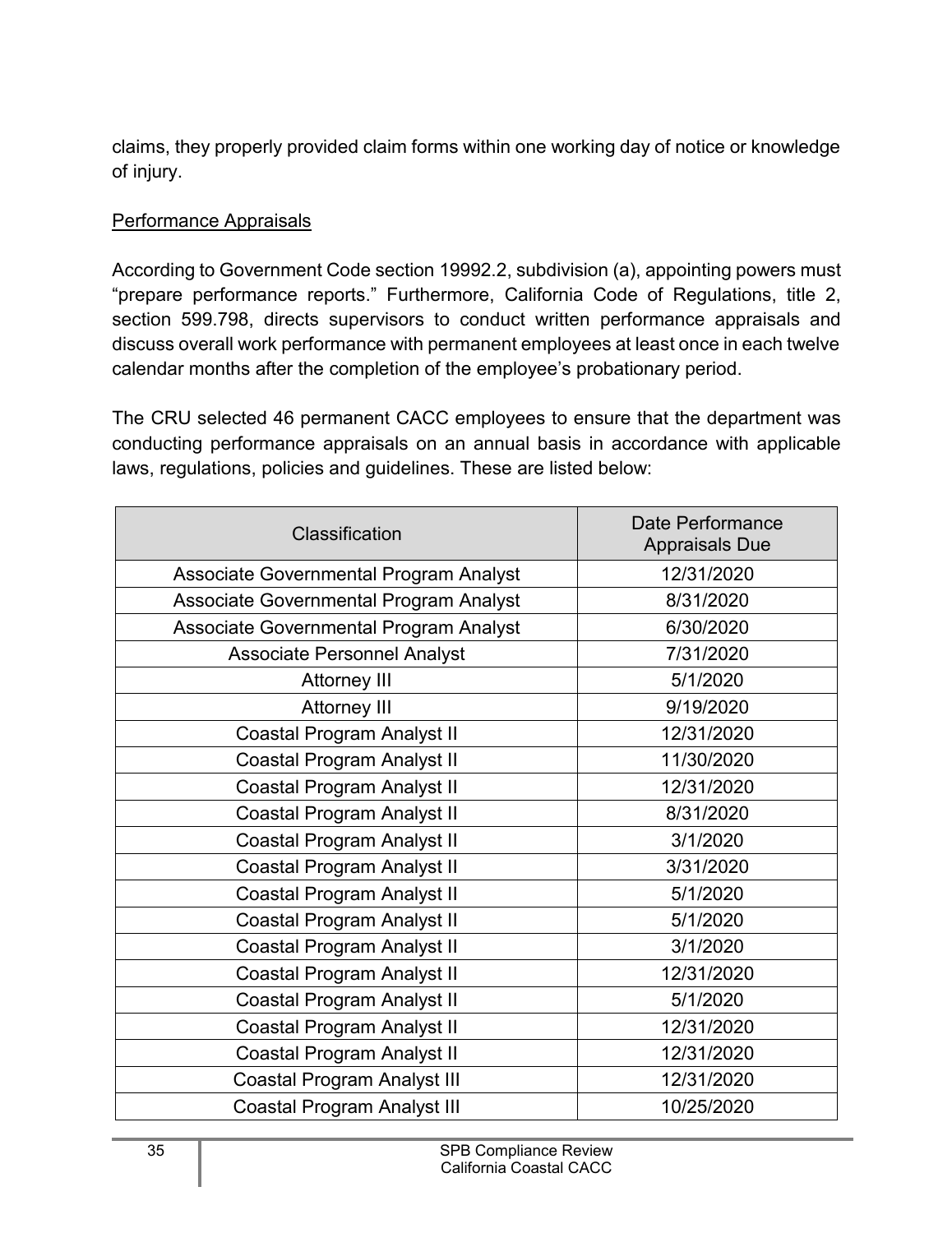claims, they properly provided claim forms within one working day of notice or knowledge of injury.

#### Performance Appraisals

According to Government Code section 19992.2, subdivision (a), appointing powers must "prepare performance reports." Furthermore, California Code of Regulations, title 2, section 599.798, directs supervisors to conduct written performance appraisals and discuss overall work performance with permanent employees at least once in each twelve calendar months after the completion of the employee's probationary period.

The CRU selected 46 permanent CACC employees to ensure that the department was conducting performance appraisals on an annual basis in accordance with applicable laws, regulations, policies and guidelines. These are listed below:

| Classification                         | Date Performance<br><b>Appraisals Due</b> |
|----------------------------------------|-------------------------------------------|
| Associate Governmental Program Analyst | 12/31/2020                                |
| Associate Governmental Program Analyst | 8/31/2020                                 |
| Associate Governmental Program Analyst | 6/30/2020                                 |
| <b>Associate Personnel Analyst</b>     | 7/31/2020                                 |
| <b>Attorney III</b>                    | 5/1/2020                                  |
| <b>Attorney III</b>                    | 9/19/2020                                 |
| <b>Coastal Program Analyst II</b>      | 12/31/2020                                |
| <b>Coastal Program Analyst II</b>      | 11/30/2020                                |
| Coastal Program Analyst II             | 12/31/2020                                |
| <b>Coastal Program Analyst II</b>      | 8/31/2020                                 |
| <b>Coastal Program Analyst II</b>      | 3/1/2020                                  |
| <b>Coastal Program Analyst II</b>      | 3/31/2020                                 |
| <b>Coastal Program Analyst II</b>      | 5/1/2020                                  |
| <b>Coastal Program Analyst II</b>      | 5/1/2020                                  |
| Coastal Program Analyst II             | 3/1/2020                                  |
| <b>Coastal Program Analyst II</b>      | 12/31/2020                                |
| <b>Coastal Program Analyst II</b>      | 5/1/2020                                  |
| Coastal Program Analyst II             | 12/31/2020                                |
| <b>Coastal Program Analyst II</b>      | 12/31/2020                                |
| <b>Coastal Program Analyst III</b>     | 12/31/2020                                |
| <b>Coastal Program Analyst III</b>     | 10/25/2020                                |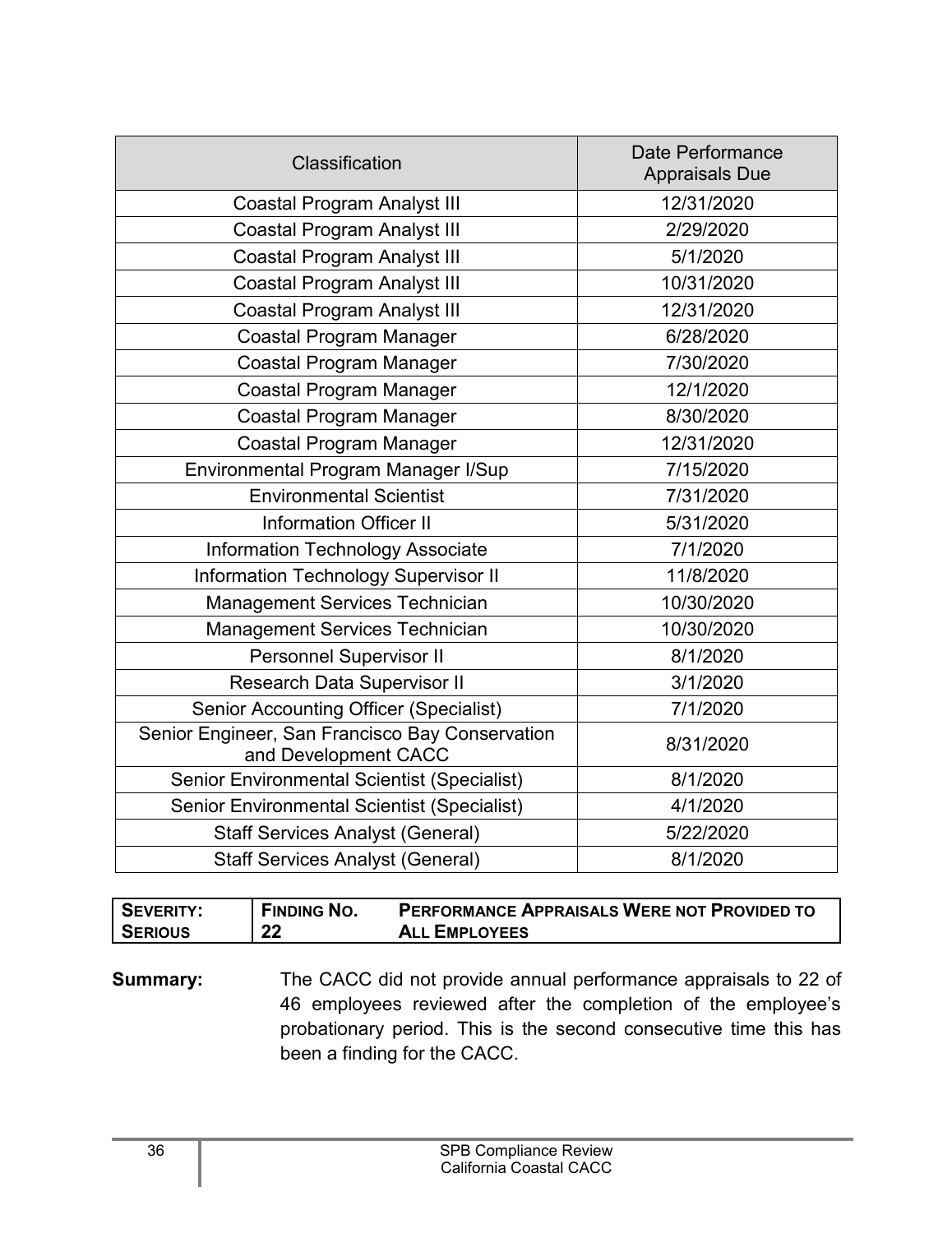| Classification                                                          | Date Performance<br><b>Appraisals Due</b> |
|-------------------------------------------------------------------------|-------------------------------------------|
| <b>Coastal Program Analyst III</b>                                      | 12/31/2020                                |
| <b>Coastal Program Analyst III</b>                                      | 2/29/2020                                 |
| <b>Coastal Program Analyst III</b>                                      | 5/1/2020                                  |
| <b>Coastal Program Analyst III</b>                                      | 10/31/2020                                |
| <b>Coastal Program Analyst III</b>                                      | 12/31/2020                                |
| Coastal Program Manager                                                 | 6/28/2020                                 |
| Coastal Program Manager                                                 | 7/30/2020                                 |
| <b>Coastal Program Manager</b>                                          | 12/1/2020                                 |
| Coastal Program Manager                                                 | 8/30/2020                                 |
| <b>Coastal Program Manager</b>                                          | 12/31/2020                                |
| Environmental Program Manager I/Sup                                     | 7/15/2020                                 |
| <b>Environmental Scientist</b>                                          | 7/31/2020                                 |
| <b>Information Officer II</b>                                           | 5/31/2020                                 |
| <b>Information Technology Associate</b>                                 | 7/1/2020                                  |
| <b>Information Technology Supervisor II</b>                             | 11/8/2020                                 |
| <b>Management Services Technician</b>                                   | 10/30/2020                                |
| Management Services Technician                                          | 10/30/2020                                |
| <b>Personnel Supervisor II</b>                                          | 8/1/2020                                  |
| <b>Research Data Supervisor II</b>                                      | 3/1/2020                                  |
| <b>Senior Accounting Officer (Specialist)</b>                           | 7/1/2020                                  |
| Senior Engineer, San Francisco Bay Conservation<br>and Development CACC | 8/31/2020                                 |
| <b>Senior Environmental Scientist (Specialist)</b>                      | 8/1/2020                                  |
| <b>Senior Environmental Scientist (Specialist)</b>                      | 4/1/2020                                  |
| <b>Staff Services Analyst (General)</b>                                 | 5/22/2020                                 |
| <b>Staff Services Analyst (General)</b>                                 | 8/1/2020                                  |

| <b>SEVERITY:</b> | <b>FINDING NO.</b> | <b>PERFORMANCE APPRAISALS WERE NOT PROVIDED TO</b> |
|------------------|--------------------|----------------------------------------------------|
| <b>SERIOUS</b>   | 22                 | <b>ALL EMPLOYEES</b>                               |

**Summary:** The CACC did not provide annual performance appraisals to 22 of 46 employees reviewed after the completion of the employee's probationary period. This is the second consecutive time this has been a finding for the CACC.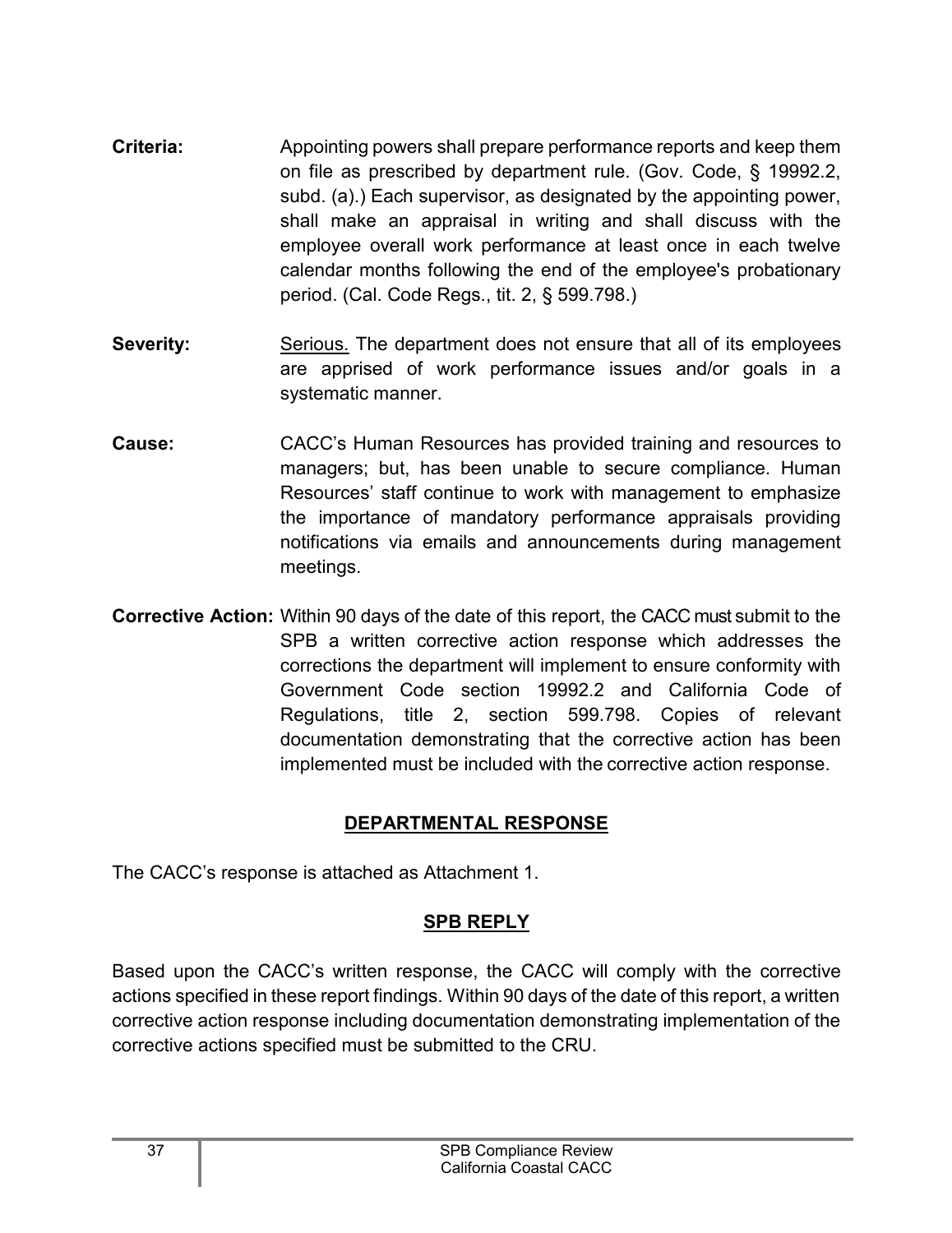- **Criteria:** Appointing powers shall prepare performance reports and keep them on file as prescribed by department rule. (Gov. Code, § 19992.2, subd. (a).) Each supervisor, as designated by the appointing power, shall make an appraisal in writing and shall discuss with the employee overall work performance at least once in each twelve calendar months following the end of the employee's probationary period. (Cal. Code Regs., tit. 2, § 599.798.)
- **Severity:** Serious. The department does not ensure that all of its employees are apprised of work performance issues and/or goals in a systematic manner.
- **Cause:** CACC's Human Resources has provided training and resources to managers; but, has been unable to secure compliance. Human Resources' staff continue to work with management to emphasize the importance of mandatory performance appraisals providing notifications via emails and announcements during management meetings.
- **Corrective Action:** Within 90 days of the date of this report, the CACC must submit to the SPB a written corrective action response which addresses the corrections the department will implement to ensure conformity with Government Code section 19992.2 and California Code of Regulations, title 2, section 599.798. Copies of relevant documentation demonstrating that the corrective action has been implemented must be included with the corrective action response.

### **DEPARTMENTAL RESPONSE**

<span id="page-38-1"></span><span id="page-38-0"></span>The CACC's response is attached as Attachment 1.

#### **SPB REPLY**

Based upon the CACC's written response, the CACC will comply with the corrective actions specified in these report findings. Within 90 days of the date of this report, a written corrective action response including documentation demonstrating implementation of the corrective actions specified must be submitted to the CRU.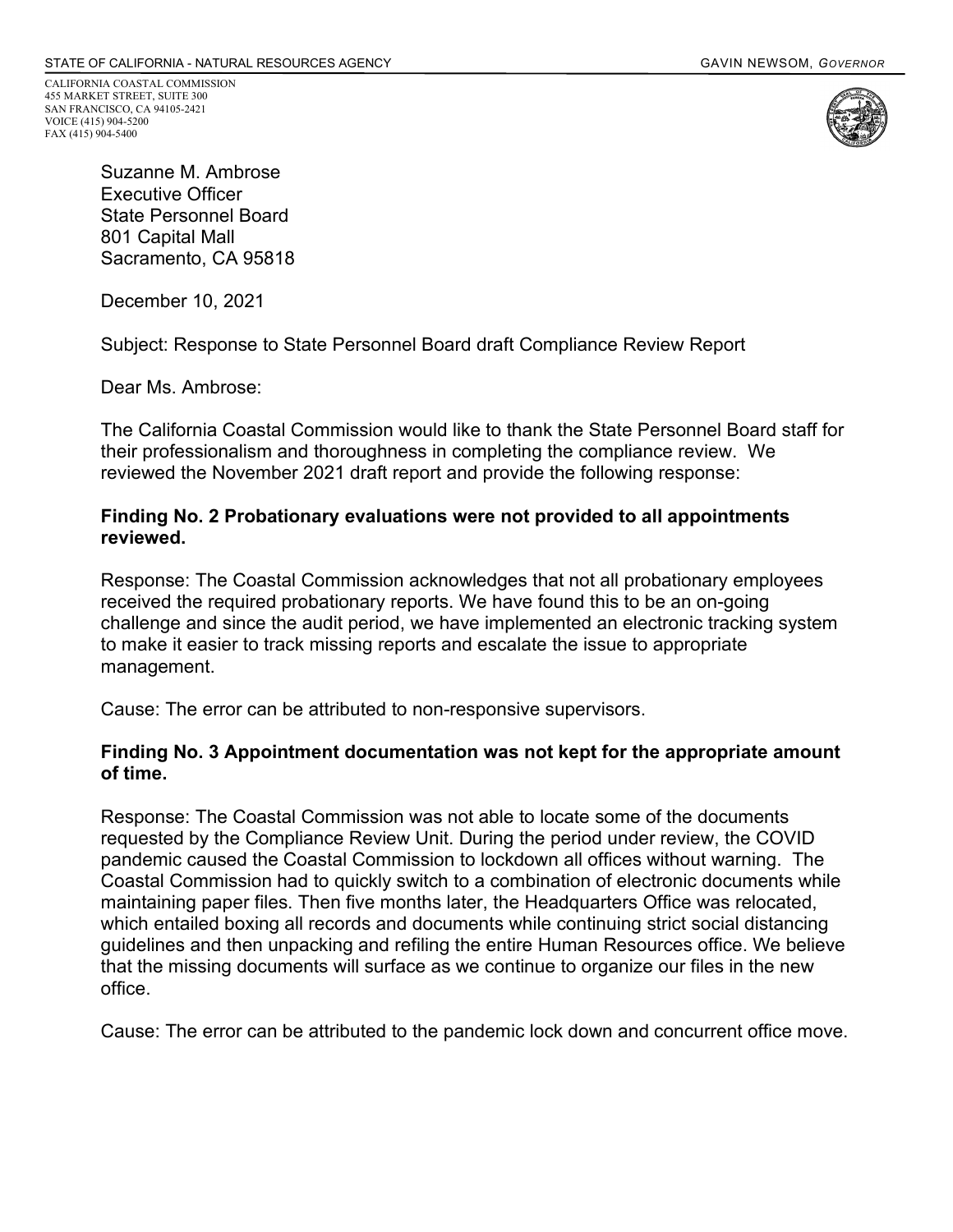CALIFORNIA COASTAL COMMISSION 455 MARKET STREET, SUITE 300 SAN FRANCISCO, CA 94105-2421 VOICE (415) 904-5200 FAX (415) 904-5400



Suzanne M. Ambrose Executive Officer State Personnel Board 801 Capital Mall Sacramento, CA 95818

December 10, 2021

Subject: Response to State Personnel Board draft Compliance Review Report

Dear Ms. Ambrose:

The California Coastal Commission would like to thank the State Personnel Board staff for their professionalism and thoroughness in completing the compliance review. We reviewed the November 2021 draft report and provide the following response:

#### **Finding No. 2 Probationary evaluations were not provided to all appointments reviewed.**

Response: The Coastal Commission acknowledges that not all probationary employees received the required probationary reports. We have found this to be an on-going challenge and since the audit period, we have implemented an electronic tracking system to make it easier to track missing reports and escalate the issue to appropriate management.

Cause: The error can be attributed to non-responsive supervisors.

#### **Finding No. 3 Appointment documentation was not kept for the appropriate amount of time.**

Response: The Coastal Commission was not able to locate some of the documents requested by the Compliance Review Unit. During the period under review, the COVID pandemic caused the Coastal Commission to lockdown all offices without warning. The Coastal Commission had to quickly switch to a combination of electronic documents while maintaining paper files. Then five months later, the Headquarters Office was relocated, which entailed boxing all records and documents while continuing strict social distancing guidelines and then unpacking and refiling the entire Human Resources office. We believe that the missing documents will surface as we continue to organize our files in the new office.

Cause: The error can be attributed to the pandemic lock down and concurrent office move.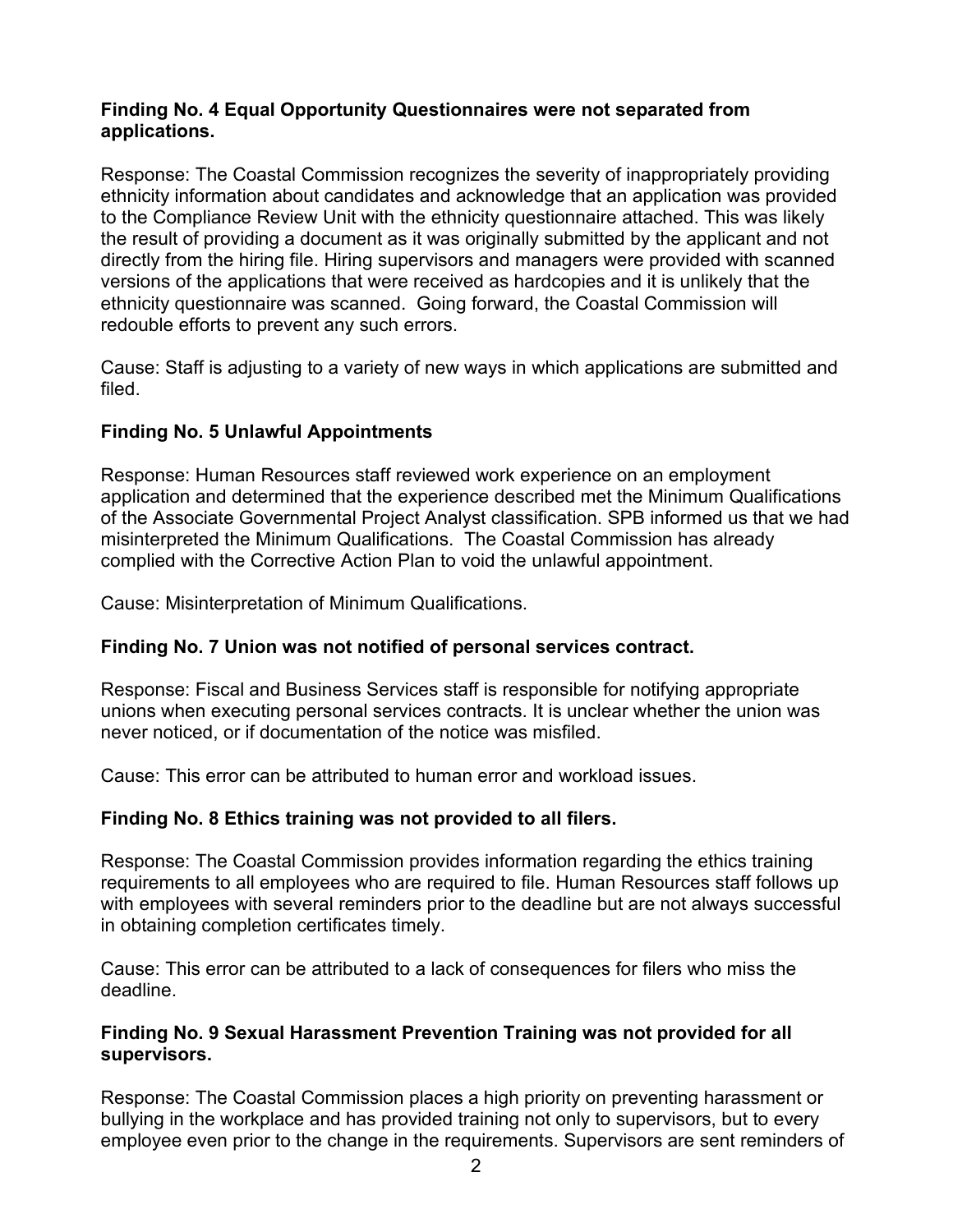#### **Finding No. 4 Equal Opportunity Questionnaires were not separated from applications.**

Response: The Coastal Commission recognizes the severity of inappropriately providing ethnicity information about candidates and acknowledge that an application was provided to the Compliance Review Unit with the ethnicity questionnaire attached. This was likely the result of providing a document as it was originally submitted by the applicant and not directly from the hiring file. Hiring supervisors and managers were provided with scanned versions of the applications that were received as hardcopies and it is unlikely that the ethnicity questionnaire was scanned. Going forward, the Coastal Commission will redouble efforts to prevent any such errors.

Cause: Staff is adjusting to a variety of new ways in which applications are submitted and filed.

#### **Finding No. 5 Unlawful Appointments**

Response: Human Resources staff reviewed work experience on an employment application and determined that the experience described met the Minimum Qualifications of the Associate Governmental Project Analyst classification. SPB informed us that we had misinterpreted the Minimum Qualifications. The Coastal Commission has already complied with the Corrective Action Plan to void the unlawful appointment.

Cause: Misinterpretation of Minimum Qualifications.

#### **Finding No. 7 Union was not notified of personal services contract.**

Response: Fiscal and Business Services staff is responsible for notifying appropriate unions when executing personal services contracts. It is unclear whether the union was never noticed, or if documentation of the notice was misfiled.

Cause: This error can be attributed to human error and workload issues.

#### **Finding No. 8 Ethics training was not provided to all filers.**

Response: The Coastal Commission provides information regarding the ethics training requirements to all employees who are required to file. Human Resources staff follows up with employees with several reminders prior to the deadline but are not always successful in obtaining completion certificates timely.

Cause: This error can be attributed to a lack of consequences for filers who miss the deadline.

#### **Finding No. 9 Sexual Harassment Prevention Training was not provided for all supervisors.**

Response: The Coastal Commission places a high priority on preventing harassment or bullying in the workplace and has provided training not only to supervisors, but to every employee even prior to the change in the requirements. Supervisors are sent reminders of